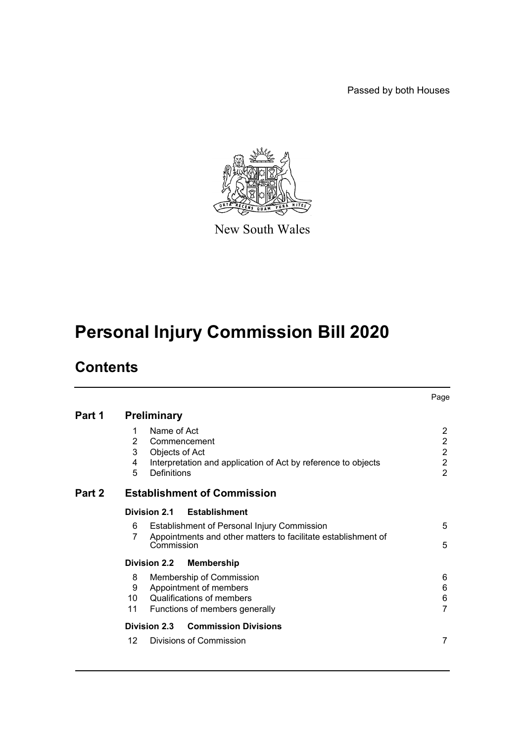Passed by both Houses



New South Wales

# **Personal Injury Commission Bill 2020**

# **Contents**

|        |                                                                                                                                                        | Page                                                                                   |  |  |  |
|--------|--------------------------------------------------------------------------------------------------------------------------------------------------------|----------------------------------------------------------------------------------------|--|--|--|
| Part 1 | <b>Preliminary</b>                                                                                                                                     |                                                                                        |  |  |  |
|        | Name of Act<br>1<br>2<br>Commencement<br>3<br>Objects of Act<br>4<br>Interpretation and application of Act by reference to objects<br>5<br>Definitions | $\overline{2}$<br>$\overline{2}$<br>$\overline{2}$<br>$\overline{c}$<br>$\overline{2}$ |  |  |  |
| Part 2 | <b>Establishment of Commission</b>                                                                                                                     |                                                                                        |  |  |  |
|        | Division 2.1<br><b>Establishment</b>                                                                                                                   |                                                                                        |  |  |  |
|        | Establishment of Personal Injury Commission<br>6<br>Appointments and other matters to facilitate establishment of<br>7<br>Commission                   | 5<br>5                                                                                 |  |  |  |
|        | <b>Division 2.2</b><br><b>Membership</b>                                                                                                               |                                                                                        |  |  |  |
|        | 8<br>Membership of Commission<br>Appointment of members<br>9<br>Qualifications of members<br>10<br>11<br>Functions of members generally                | 6<br>6<br>$\,6$<br>$\overline{7}$                                                      |  |  |  |
|        | Division 2.3<br><b>Commission Divisions</b>                                                                                                            |                                                                                        |  |  |  |
|        | Divisions of Commission<br>12                                                                                                                          | 7                                                                                      |  |  |  |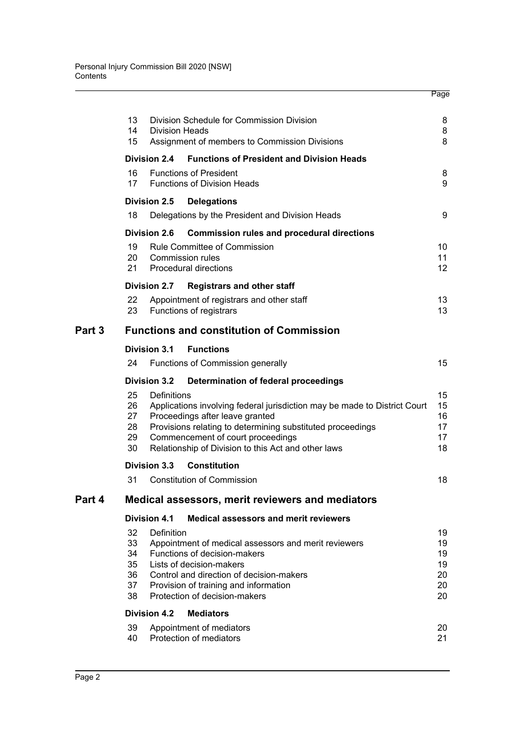|        | 13<br>Division Schedule for Commission Division<br>14<br><b>Division Heads</b><br>15<br>Assignment of members to Commission Divisions                                                                                                                                                                 |                     |                                                                                                                                                                                                                                                                        |                                  |  |  |  |  |  |
|--------|-------------------------------------------------------------------------------------------------------------------------------------------------------------------------------------------------------------------------------------------------------------------------------------------------------|---------------------|------------------------------------------------------------------------------------------------------------------------------------------------------------------------------------------------------------------------------------------------------------------------|----------------------------------|--|--|--|--|--|
|        |                                                                                                                                                                                                                                                                                                       | <b>Division 2.4</b> | <b>Functions of President and Division Heads</b>                                                                                                                                                                                                                       |                                  |  |  |  |  |  |
|        | 16<br><b>Functions of President</b><br>17<br><b>Functions of Division Heads</b>                                                                                                                                                                                                                       |                     |                                                                                                                                                                                                                                                                        |                                  |  |  |  |  |  |
|        |                                                                                                                                                                                                                                                                                                       | <b>Division 2.5</b> | <b>Delegations</b>                                                                                                                                                                                                                                                     |                                  |  |  |  |  |  |
|        | 18                                                                                                                                                                                                                                                                                                    |                     | Delegations by the President and Division Heads                                                                                                                                                                                                                        | 9                                |  |  |  |  |  |
|        |                                                                                                                                                                                                                                                                                                       | <b>Division 2.6</b> | <b>Commission rules and procedural directions</b>                                                                                                                                                                                                                      |                                  |  |  |  |  |  |
|        | 19<br>20<br>21                                                                                                                                                                                                                                                                                        |                     | <b>Rule Committee of Commission</b><br>Commission rules<br>Procedural directions                                                                                                                                                                                       | 10<br>11<br>12 <sup>2</sup>      |  |  |  |  |  |
|        |                                                                                                                                                                                                                                                                                                       | <b>Division 2.7</b> | <b>Registrars and other staff</b>                                                                                                                                                                                                                                      |                                  |  |  |  |  |  |
|        | 22<br>23                                                                                                                                                                                                                                                                                              |                     | Appointment of registrars and other staff<br>Functions of registrars                                                                                                                                                                                                   | 13<br>13                         |  |  |  |  |  |
| Part 3 | <b>Functions and constitution of Commission</b>                                                                                                                                                                                                                                                       |                     |                                                                                                                                                                                                                                                                        |                                  |  |  |  |  |  |
|        |                                                                                                                                                                                                                                                                                                       | <b>Division 3.1</b> | <b>Functions</b>                                                                                                                                                                                                                                                       |                                  |  |  |  |  |  |
|        | 24                                                                                                                                                                                                                                                                                                    |                     | Functions of Commission generally                                                                                                                                                                                                                                      | 15                               |  |  |  |  |  |
|        |                                                                                                                                                                                                                                                                                                       | <b>Division 3.2</b> | Determination of federal proceedings                                                                                                                                                                                                                                   |                                  |  |  |  |  |  |
|        | 25<br>26<br>27<br>28<br>29<br>30                                                                                                                                                                                                                                                                      | Definitions         | Applications involving federal jurisdiction may be made to District Court<br>Proceedings after leave granted<br>Provisions relating to determining substituted proceedings<br>Commencement of court proceedings<br>Relationship of Division to this Act and other laws | 15<br>15<br>16<br>17<br>17<br>18 |  |  |  |  |  |
|        |                                                                                                                                                                                                                                                                                                       | <b>Division 3.3</b> | <b>Constitution</b>                                                                                                                                                                                                                                                    |                                  |  |  |  |  |  |
|        | 31                                                                                                                                                                                                                                                                                                    |                     | <b>Constitution of Commission</b>                                                                                                                                                                                                                                      | 18                               |  |  |  |  |  |
| Part 4 | <b>Medical assessors, merit reviewers and mediators</b>                                                                                                                                                                                                                                               |                     |                                                                                                                                                                                                                                                                        |                                  |  |  |  |  |  |
|        |                                                                                                                                                                                                                                                                                                       | <b>Division 4.1</b> | <b>Medical assessors and merit reviewers</b>                                                                                                                                                                                                                           | 19                               |  |  |  |  |  |
|        | 32<br><b>Definition</b><br>33<br>Appointment of medical assessors and merit reviewers<br>34<br>Functions of decision-makers<br>35<br>Lists of decision-makers<br>36<br>Control and direction of decision-makers<br>37<br>Provision of training and information<br>38<br>Protection of decision-makers |                     |                                                                                                                                                                                                                                                                        |                                  |  |  |  |  |  |
|        |                                                                                                                                                                                                                                                                                                       | <b>Division 4.2</b> | <b>Mediators</b>                                                                                                                                                                                                                                                       |                                  |  |  |  |  |  |
|        | 39<br>40                                                                                                                                                                                                                                                                                              |                     | Appointment of mediators<br>Protection of mediators                                                                                                                                                                                                                    | 20<br>21                         |  |  |  |  |  |

Page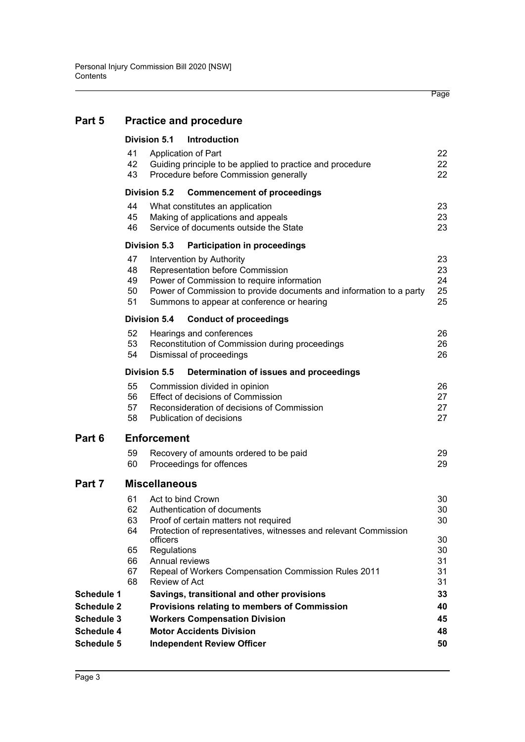# **[Part 5 Practice and procedure](#page-25-0)**

|                   | <b>Division 5.1</b><br>Introduction                       |                                                                                                                 |                                                                                                                                                                                                                                  |                            |  |  |  |  |  |
|-------------------|-----------------------------------------------------------|-----------------------------------------------------------------------------------------------------------------|----------------------------------------------------------------------------------------------------------------------------------------------------------------------------------------------------------------------------------|----------------------------|--|--|--|--|--|
|                   | 41<br>42<br>43                                            |                                                                                                                 | Application of Part<br>Guiding principle to be applied to practice and procedure<br>Procedure before Commission generally                                                                                                        | 22<br>22<br>22             |  |  |  |  |  |
|                   | <b>Division 5.2</b><br><b>Commencement of proceedings</b> |                                                                                                                 |                                                                                                                                                                                                                                  |                            |  |  |  |  |  |
|                   | 44<br>45<br>46                                            | What constitutes an application<br>Making of applications and appeals<br>Service of documents outside the State | 23<br>23<br>23                                                                                                                                                                                                                   |                            |  |  |  |  |  |
|                   |                                                           | <b>Division 5.3</b>                                                                                             | <b>Participation in proceedings</b>                                                                                                                                                                                              |                            |  |  |  |  |  |
|                   | 47<br>48<br>49<br>50<br>51                                |                                                                                                                 | Intervention by Authority<br>Representation before Commission<br>Power of Commission to require information<br>Power of Commission to provide documents and information to a party<br>Summons to appear at conference or hearing | 23<br>23<br>24<br>25<br>25 |  |  |  |  |  |
|                   |                                                           | Division 5.4                                                                                                    | <b>Conduct of proceedings</b>                                                                                                                                                                                                    |                            |  |  |  |  |  |
|                   | 52<br>53<br>54                                            |                                                                                                                 | Hearings and conferences<br>Reconstitution of Commission during proceedings<br>Dismissal of proceedings                                                                                                                          | 26<br>26<br>26             |  |  |  |  |  |
|                   | Division 5.5<br>Determination of issues and proceedings   |                                                                                                                 |                                                                                                                                                                                                                                  |                            |  |  |  |  |  |
|                   | 55<br>56<br>57<br>58                                      |                                                                                                                 | Commission divided in opinion<br><b>Effect of decisions of Commission</b><br>Reconsideration of decisions of Commission<br>Publication of decisions                                                                              | 26<br>27<br>27<br>27       |  |  |  |  |  |
| Part 6            | <b>Enforcement</b>                                        |                                                                                                                 |                                                                                                                                                                                                                                  |                            |  |  |  |  |  |
|                   | 59<br>60                                                  |                                                                                                                 | Recovery of amounts ordered to be paid<br>Proceedings for offences                                                                                                                                                               | 29<br>29                   |  |  |  |  |  |
| Part 7            | <b>Miscellaneous</b>                                      |                                                                                                                 |                                                                                                                                                                                                                                  |                            |  |  |  |  |  |
|                   | 61<br>62<br>63<br>64                                      |                                                                                                                 | Act to bind Crown<br>Authentication of documents<br>Proof of certain matters not required<br>Protection of representatives, witnesses and relevant Commission                                                                    | 30<br>30<br>30             |  |  |  |  |  |
|                   | 65<br>66                                                  | officers<br>Regulations<br>Annual reviews                                                                       |                                                                                                                                                                                                                                  | 30<br>30<br>31             |  |  |  |  |  |
|                   | 67<br>68                                                  | Review of Act                                                                                                   | Repeal of Workers Compensation Commission Rules 2011                                                                                                                                                                             | 31<br>31                   |  |  |  |  |  |
| <b>Schedule 1</b> |                                                           |                                                                                                                 | Savings, transitional and other provisions                                                                                                                                                                                       | 33                         |  |  |  |  |  |
| <b>Schedule 2</b> |                                                           |                                                                                                                 | Provisions relating to members of Commission                                                                                                                                                                                     | 40                         |  |  |  |  |  |
| <b>Schedule 3</b> |                                                           |                                                                                                                 | <b>Workers Compensation Division</b>                                                                                                                                                                                             | 45                         |  |  |  |  |  |
| Schedule 4        |                                                           |                                                                                                                 | <b>Motor Accidents Division</b>                                                                                                                                                                                                  | 48                         |  |  |  |  |  |
| Schedule 5        |                                                           |                                                                                                                 | <b>Independent Review Officer</b>                                                                                                                                                                                                | 50                         |  |  |  |  |  |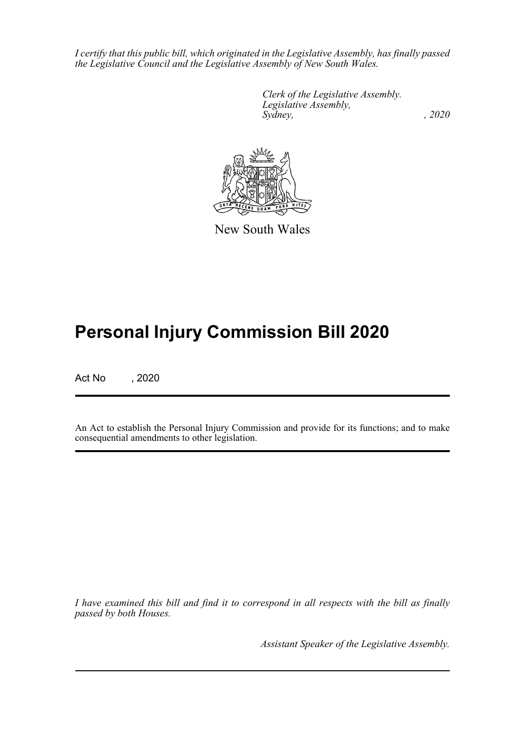*I certify that this public bill, which originated in the Legislative Assembly, has finally passed the Legislative Council and the Legislative Assembly of New South Wales.*

> *Clerk of the Legislative Assembly. Legislative Assembly, Sydney, , 2020*



New South Wales

# **Personal Injury Commission Bill 2020**

Act No , 2020

An Act to establish the Personal Injury Commission and provide for its functions; and to make consequential amendments to other legislation.

*I have examined this bill and find it to correspond in all respects with the bill as finally passed by both Houses.*

*Assistant Speaker of the Legislative Assembly.*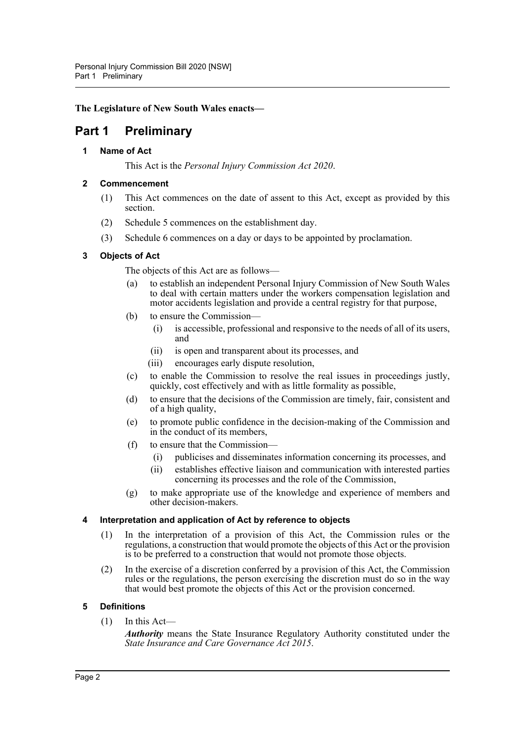### **The Legislature of New South Wales enacts—**

# <span id="page-5-1"></span><span id="page-5-0"></span>**Part 1 Preliminary**

### **1 Name of Act**

This Act is the *Personal Injury Commission Act 2020*.

### <span id="page-5-2"></span>**2 Commencement**

- (1) This Act commences on the date of assent to this Act, except as provided by this section.
- (2) Schedule 5 commences on the establishment day.
- (3) Schedule 6 commences on a day or days to be appointed by proclamation.

### <span id="page-5-3"></span>**3 Objects of Act**

The objects of this Act are as follows—

- (a) to establish an independent Personal Injury Commission of New South Wales to deal with certain matters under the workers compensation legislation and motor accidents legislation and provide a central registry for that purpose,
- (b) to ensure the Commission—
	- (i) is accessible, professional and responsive to the needs of all of its users, and
	- (ii) is open and transparent about its processes, and
	- (iii) encourages early dispute resolution,
- (c) to enable the Commission to resolve the real issues in proceedings justly, quickly, cost effectively and with as little formality as possible,
- (d) to ensure that the decisions of the Commission are timely, fair, consistent and of a high quality,
- (e) to promote public confidence in the decision-making of the Commission and in the conduct of its members,
- (f) to ensure that the Commission—
	- (i) publicises and disseminates information concerning its processes, and
	- (ii) establishes effective liaison and communication with interested parties concerning its processes and the role of the Commission,
- (g) to make appropriate use of the knowledge and experience of members and other decision-makers.

### <span id="page-5-4"></span>**4 Interpretation and application of Act by reference to objects**

- (1) In the interpretation of a provision of this Act, the Commission rules or the regulations, a construction that would promote the objects of this Act or the provision is to be preferred to a construction that would not promote those objects.
- (2) In the exercise of a discretion conferred by a provision of this Act, the Commission rules or the regulations, the person exercising the discretion must do so in the way that would best promote the objects of this Act or the provision concerned.

### <span id="page-5-5"></span>**5 Definitions**

 $(1)$  In this Act—

*Authority* means the State Insurance Regulatory Authority constituted under the *State Insurance and Care Governance Act 2015*.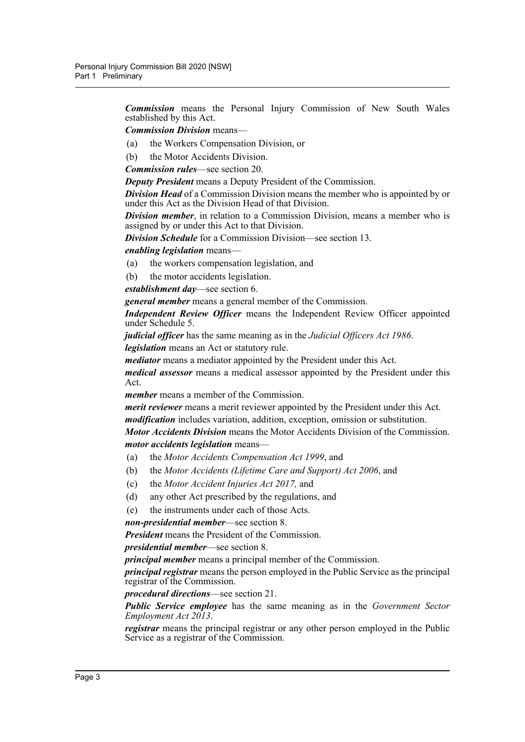*Commission* means the Personal Injury Commission of New South Wales established by this Act.

*Commission Division* means—

- (a) the Workers Compensation Division, or
- (b) the Motor Accidents Division.

*Commission rules*—see section 20.

*Deputy President* means a Deputy President of the Commission.

*Division Head* of a Commission Division means the member who is appointed by or under this Act as the Division Head of that Division.

*Division member*, in relation to a Commission Division, means a member who is assigned by or under this Act to that Division.

*Division Schedule* for a Commission Division—see section 13.

*enabling legislation* means—

- (a) the workers compensation legislation, and
- (b) the motor accidents legislation.

*establishment day*—see section 6.

*general member* means a general member of the Commission.

*Independent Review Officer* means the Independent Review Officer appointed under Schedule 5.

*judicial officer* has the same meaning as in the *Judicial Officers Act 1986*. *legislation* means an Act or statutory rule.

*mediator* means a mediator appointed by the President under this Act.

*medical assessor* means a medical assessor appointed by the President under this Act.

*member* means a member of the Commission.

*merit reviewer* means a merit reviewer appointed by the President under this Act. *modification* includes variation, addition, exception, omission or substitution.

*Motor Accidents Division* means the Motor Accidents Division of the Commission. *motor accidents legislation* means—

- (a) the *Motor Accidents Compensation Act 1999*, and
- (b) the *Motor Accidents (Lifetime Care and Support) Act 2006*, and
- (c) the *Motor Accident Injuries Act 2017,* and
- (d) any other Act prescribed by the regulations, and
- (e) the instruments under each of those Acts.

*non-presidential member*—see section 8.

*President* means the President of the Commission.

*presidential member*—see section 8.

*principal member* means a principal member of the Commission.

*principal registrar* means the person employed in the Public Service as the principal registrar of the Commission.

*procedural directions*—see section 21.

*Public Service employee* has the same meaning as in the *Government Sector Employment Act 2013*.

*registrar* means the principal registrar or any other person employed in the Public Service as a registrar of the Commission.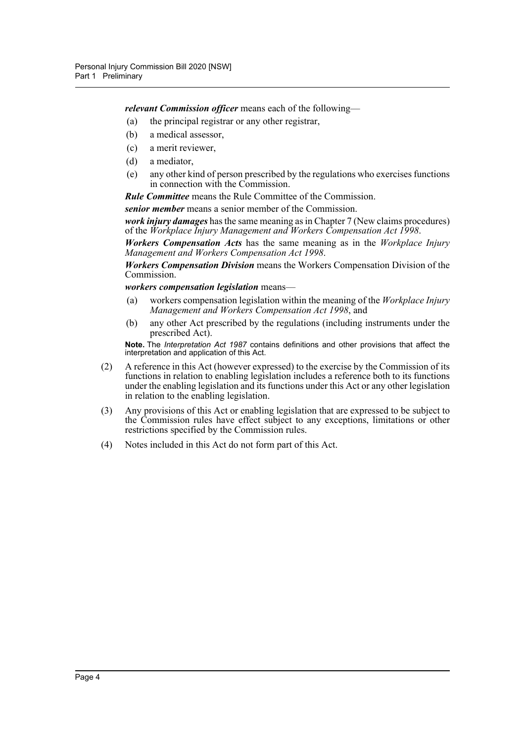*relevant Commission officer* means each of the following—

- (a) the principal registrar or any other registrar,
- (b) a medical assessor,
- (c) a merit reviewer,
- (d) a mediator,
- (e) any other kind of person prescribed by the regulations who exercises functions in connection with the Commission.

*Rule Committee* means the Rule Committee of the Commission.

*senior member* means a senior member of the Commission.

*work injury damages* has the same meaning as in Chapter 7 (New claims procedures) of the *Workplace Injury Management and Workers Compensation Act 1998*.

*Workers Compensation Acts* has the same meaning as in the *Workplace Injury Management and Workers Compensation Act 1998*.

*Workers Compensation Division* means the Workers Compensation Division of the Commission.

*workers compensation legislation* means—

- (a) workers compensation legislation within the meaning of the *Workplace Injury Management and Workers Compensation Act 1998*, and
- (b) any other Act prescribed by the regulations (including instruments under the prescribed Act).

**Note.** The *Interpretation Act 1987* contains definitions and other provisions that affect the interpretation and application of this Act.

- (2) A reference in this Act (however expressed) to the exercise by the Commission of its functions in relation to enabling legislation includes a reference both to its functions under the enabling legislation and its functions under this Act or any other legislation in relation to the enabling legislation.
- (3) Any provisions of this Act or enabling legislation that are expressed to be subject to the Commission rules have effect subject to any exceptions, limitations or other restrictions specified by the Commission rules.
- (4) Notes included in this Act do not form part of this Act.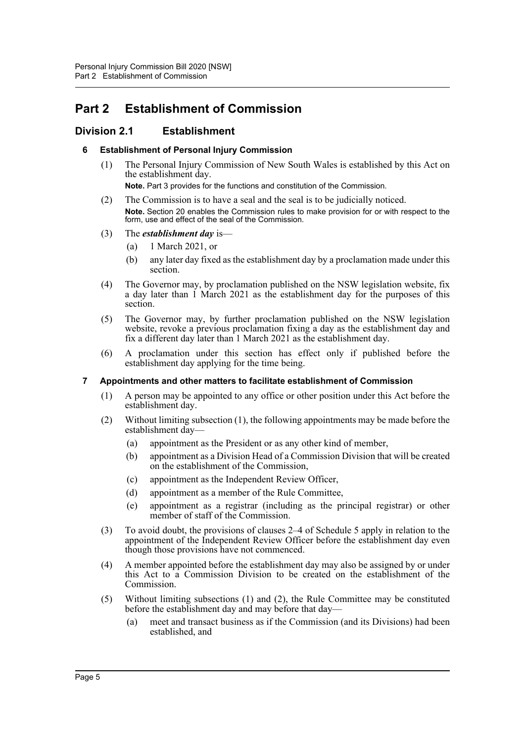# <span id="page-8-0"></span>**Part 2 Establishment of Commission**

# <span id="page-8-2"></span><span id="page-8-1"></span>**Division 2.1 Establishment**

### **6 Establishment of Personal Injury Commission**

(1) The Personal Injury Commission of New South Wales is established by this Act on the establishment day.

**Note.** Part 3 provides for the functions and constitution of the Commission.

(2) The Commission is to have a seal and the seal is to be judicially noticed. **Note.** Section 20 enables the Commission rules to make provision for or with respect to the form, use and effect of the seal of the Commission.

### (3) The *establishment day* is—

- (a) 1 March 2021, or
- (b) any later day fixed as the establishment day by a proclamation made under this section.
- (4) The Governor may, by proclamation published on the NSW legislation website, fix a day later than 1 March 2021 as the establishment day for the purposes of this section.
- (5) The Governor may, by further proclamation published on the NSW legislation website, revoke a previous proclamation fixing a day as the establishment day and fix a different day later than 1 March 2021 as the establishment day.
- (6) A proclamation under this section has effect only if published before the establishment day applying for the time being.

### <span id="page-8-3"></span>**7 Appointments and other matters to facilitate establishment of Commission**

- (1) A person may be appointed to any office or other position under this Act before the establishment day.
- (2) Without limiting subsection (1), the following appointments may be made before the establishment day—
	- (a) appointment as the President or as any other kind of member,
	- (b) appointment as a Division Head of a Commission Division that will be created on the establishment of the Commission,
	- (c) appointment as the Independent Review Officer,
	- (d) appointment as a member of the Rule Committee,
	- (e) appointment as a registrar (including as the principal registrar) or other member of staff of the Commission.
- (3) To avoid doubt, the provisions of clauses 2–4 of Schedule 5 apply in relation to the appointment of the Independent Review Officer before the establishment day even though those provisions have not commenced.
- (4) A member appointed before the establishment day may also be assigned by or under this Act to  $\hat{a}$  Commission Division to be created on the establishment of the Commission.
- (5) Without limiting subsections (1) and (2), the Rule Committee may be constituted before the establishment day and may before that day—
	- (a) meet and transact business as if the Commission (and its Divisions) had been established, and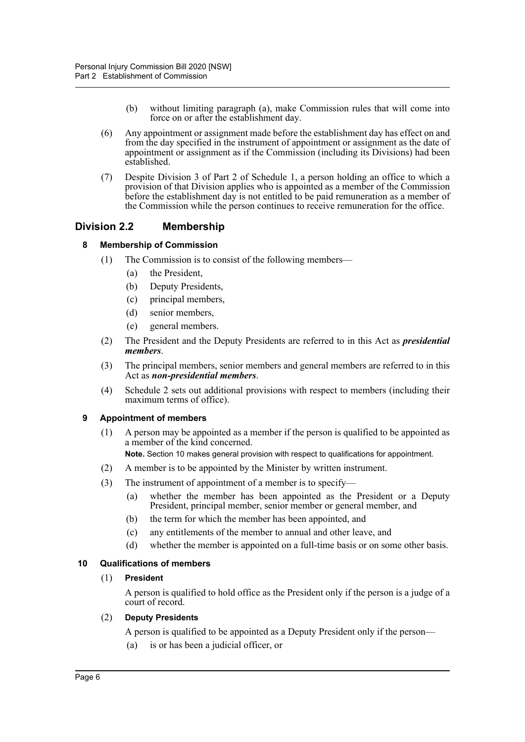- (b) without limiting paragraph (a), make Commission rules that will come into force on or after the establishment day.
- (6) Any appointment or assignment made before the establishment day has effect on and from the day specified in the instrument of appointment or assignment as the date of appointment or assignment as if the Commission (including its Divisions) had been established.
- (7) Despite Division 3 of Part 2 of Schedule 1, a person holding an office to which a provision of that Division applies who is appointed as a member of the Commission before the establishment day is not entitled to be paid remuneration as a member of the Commission while the person continues to receive remuneration for the office.

### <span id="page-9-1"></span><span id="page-9-0"></span>**Division 2.2 Membership**

### **8 Membership of Commission**

- (1) The Commission is to consist of the following members—
	- (a) the President,
	- (b) Deputy Presidents,
	- (c) principal members,
	- (d) senior members,
	- (e) general members.
- (2) The President and the Deputy Presidents are referred to in this Act as *presidential members*.
- (3) The principal members, senior members and general members are referred to in this Act as *non-presidential members*.
- (4) Schedule 2 sets out additional provisions with respect to members (including their maximum terms of office).

### <span id="page-9-2"></span>**9 Appointment of members**

(1) A person may be appointed as a member if the person is qualified to be appointed as a member of the kind concerned.

**Note.** Section 10 makes general provision with respect to qualifications for appointment.

- (2) A member is to be appointed by the Minister by written instrument.
- (3) The instrument of appointment of a member is to specify—
	- (a) whether the member has been appointed as the President or a Deputy President, principal member, senior member or general member, and
	- (b) the term for which the member has been appointed, and
	- (c) any entitlements of the member to annual and other leave, and
	- (d) whether the member is appointed on a full-time basis or on some other basis.

### <span id="page-9-3"></span>**10 Qualifications of members**

### (1) **President**

A person is qualified to hold office as the President only if the person is a judge of a court of record.

### (2) **Deputy Presidents**

- A person is qualified to be appointed as a Deputy President only if the person—
- (a) is or has been a judicial officer, or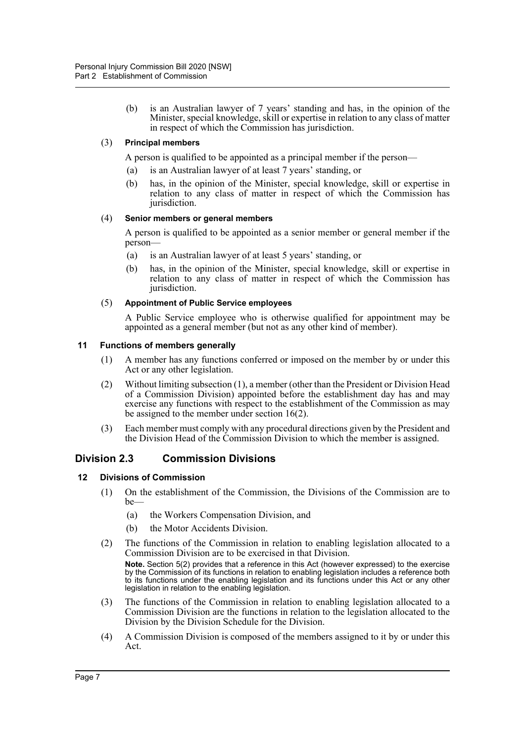(b) is an Australian lawyer of 7 years' standing and has, in the opinion of the Minister, special knowledge, skill or expertise in relation to any class of matter in respect of which the Commission has jurisdiction.

### (3) **Principal members**

A person is qualified to be appointed as a principal member if the person—

- (a) is an Australian lawyer of at least 7 years' standing, or
- (b) has, in the opinion of the Minister, special knowledge, skill or expertise in relation to any class of matter in respect of which the Commission has jurisdiction.

### (4) **Senior members or general members**

A person is qualified to be appointed as a senior member or general member if the person—

- (a) is an Australian lawyer of at least 5 years' standing, or
- (b) has, in the opinion of the Minister, special knowledge, skill or expertise in relation to any class of matter in respect of which the Commission has jurisdiction.

### (5) **Appointment of Public Service employees**

A Public Service employee who is otherwise qualified for appointment may be appointed as a general member (but not as any other kind of member).

### <span id="page-10-0"></span>**11 Functions of members generally**

- (1) A member has any functions conferred or imposed on the member by or under this Act or any other legislation.
- (2) Without limiting subsection (1), a member (other than the President or Division Head of a Commission Division) appointed before the establishment day has and may exercise any functions with respect to the establishment of the Commission as may be assigned to the member under section 16(2).
- (3) Each member must comply with any procedural directions given by the President and the Division Head of the Commission Division to which the member is assigned.

# <span id="page-10-1"></span>**Division 2.3 Commission Divisions**

### <span id="page-10-2"></span>**12 Divisions of Commission**

- (1) On the establishment of the Commission, the Divisions of the Commission are to be—
	- (a) the Workers Compensation Division, and
	- (b) the Motor Accidents Division.
- (2) The functions of the Commission in relation to enabling legislation allocated to a Commission Division are to be exercised in that Division.

**Note.** Section 5(2) provides that a reference in this Act (however expressed) to the exercise by the Commission of its functions in relation to enabling legislation includes a reference both to its functions under the enabling legislation and its functions under this Act or any other legislation in relation to the enabling legislation.

- (3) The functions of the Commission in relation to enabling legislation allocated to a Commission Division are the functions in relation to the legislation allocated to the Division by the Division Schedule for the Division.
- (4) A Commission Division is composed of the members assigned to it by or under this Act.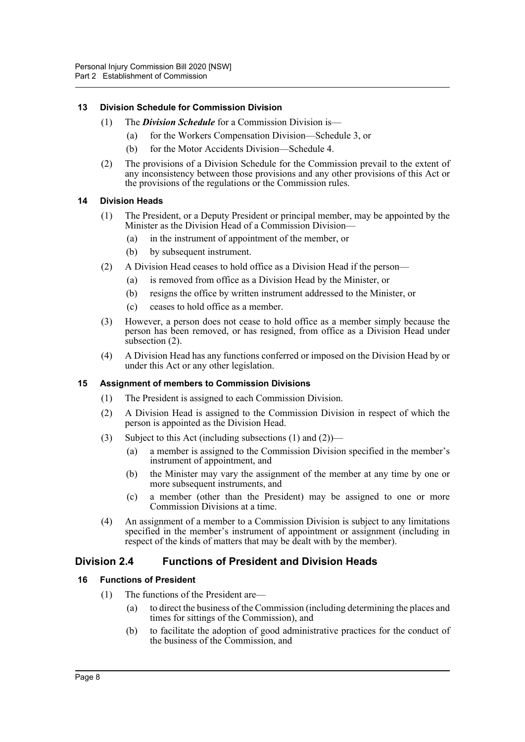### <span id="page-11-0"></span>**13 Division Schedule for Commission Division**

- (1) The *Division Schedule* for a Commission Division is—
	- (a) for the Workers Compensation Division—Schedule 3, or
	- (b) for the Motor Accidents Division—Schedule 4.
- (2) The provisions of a Division Schedule for the Commission prevail to the extent of any inconsistency between those provisions and any other provisions of this Act or the provisions of the regulations or the Commission rules.

### <span id="page-11-1"></span>**14 Division Heads**

- (1) The President, or a Deputy President or principal member, may be appointed by the Minister as the Division Head of a Commission Division—
	- (a) in the instrument of appointment of the member, or
	- (b) by subsequent instrument.
- (2) A Division Head ceases to hold office as a Division Head if the person—
	- (a) is removed from office as a Division Head by the Minister, or
	- (b) resigns the office by written instrument addressed to the Minister, or
	- (c) ceases to hold office as a member.
- (3) However, a person does not cease to hold office as a member simply because the person has been removed, or has resigned, from office as a Division Head under subsection (2).
- (4) A Division Head has any functions conferred or imposed on the Division Head by or under this Act or any other legislation.

### <span id="page-11-2"></span>**15 Assignment of members to Commission Divisions**

- (1) The President is assigned to each Commission Division.
- (2) A Division Head is assigned to the Commission Division in respect of which the person is appointed as the Division Head.
- (3) Subject to this Act (including subsections (1) and (2))—
	- (a) a member is assigned to the Commission Division specified in the member's instrument of appointment, and
	- (b) the Minister may vary the assignment of the member at any time by one or more subsequent instruments, and
	- (c) a member (other than the President) may be assigned to one or more Commission Divisions at a time.
- (4) An assignment of a member to a Commission Division is subject to any limitations specified in the member's instrument of appointment or assignment (including in respect of the kinds of matters that may be dealt with by the member).

### <span id="page-11-3"></span>**Division 2.4 Functions of President and Division Heads**

### <span id="page-11-4"></span>**16 Functions of President**

- (1) The functions of the President are—
	- (a) to direct the business of the Commission (including determining the places and times for sittings of the Commission), and
	- (b) to facilitate the adoption of good administrative practices for the conduct of the business of the Commission, and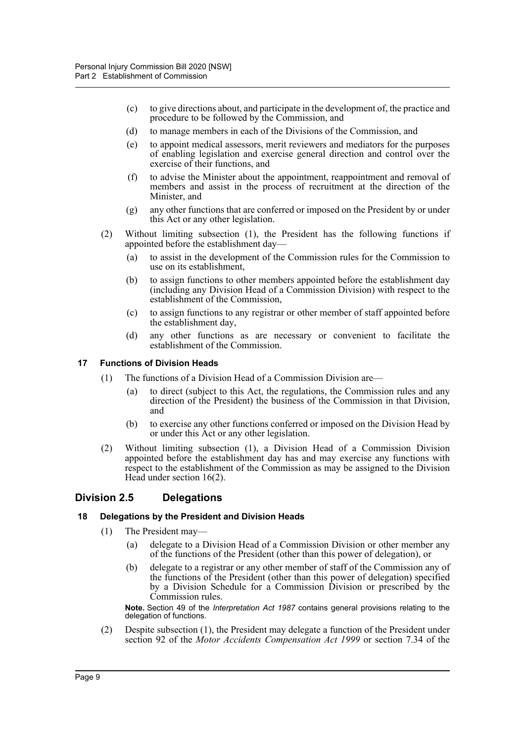- (c) to give directions about, and participate in the development of, the practice and procedure to be followed by the Commission, and
- (d) to manage members in each of the Divisions of the Commission, and
- (e) to appoint medical assessors, merit reviewers and mediators for the purposes of enabling legislation and exercise general direction and control over the exercise of their functions, and
- (f) to advise the Minister about the appointment, reappointment and removal of members and assist in the process of recruitment at the direction of the Minister, and
- (g) any other functions that are conferred or imposed on the President by or under this Act or any other legislation.
- (2) Without limiting subsection (1), the President has the following functions if appointed before the establishment day—
	- (a) to assist in the development of the Commission rules for the Commission to use on its establishment,
	- (b) to assign functions to other members appointed before the establishment day (including any Division Head of a Commission Division) with respect to the establishment of the Commission,
	- (c) to assign functions to any registrar or other member of staff appointed before the establishment day,
	- (d) any other functions as are necessary or convenient to facilitate the establishment of the Commission.

### <span id="page-12-0"></span>**17 Functions of Division Heads**

- (1) The functions of a Division Head of a Commission Division are—
	- (a) to direct (subject to this Act, the regulations, the Commission rules and any direction of the President) the business of the Commission in that Division, and
	- (b) to exercise any other functions conferred or imposed on the Division Head by or under this Act or any other legislation.
- (2) Without limiting subsection (1), a Division Head of a Commission Division appointed before the establishment day has and may exercise any functions with respect to the establishment of the Commission as may be assigned to the Division Head under section 16(2).

### <span id="page-12-1"></span>**Division 2.5 Delegations**

### <span id="page-12-2"></span>**18 Delegations by the President and Division Heads**

- (1) The President may—
	- (a) delegate to a Division Head of a Commission Division or other member any of the functions of the President (other than this power of delegation), or
	- (b) delegate to a registrar or any other member of staff of the Commission any of the functions of the President (other than this power of delegation) specified by a Division Schedule for a Commission Division or prescribed by the Commission rules.

**Note.** Section 49 of the *Interpretation Act 1987* contains general provisions relating to the delegation of functions.

(2) Despite subsection (1), the President may delegate a function of the President under section 92 of the *Motor Accidents Compensation Act 1999* or section 7.34 of the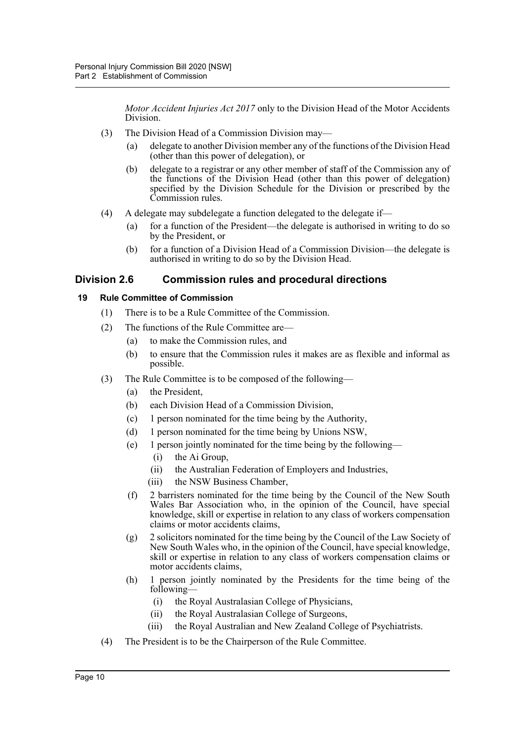*Motor Accident Injuries Act 2017* only to the Division Head of the Motor Accidents Division.

- (3) The Division Head of a Commission Division may
	- delegate to another Division member any of the functions of the Division Head (other than this power of delegation), or
	- (b) delegate to a registrar or any other member of staff of the Commission any of the functions of the Division Head (other than this power of delegation) specified by the Division Schedule for the Division or prescribed by the Commission rules.
- (4) A delegate may subdelegate a function delegated to the delegate if-
	- (a) for a function of the President—the delegate is authorised in writing to do so by the President, or
	- (b) for a function of a Division Head of a Commission Division—the delegate is authorised in writing to do so by the Division Head.

## <span id="page-13-0"></span>**Division 2.6 Commission rules and procedural directions**

### <span id="page-13-1"></span>**19 Rule Committee of Commission**

- (1) There is to be a Rule Committee of the Commission.
- (2) The functions of the Rule Committee are—
	- (a) to make the Commission rules, and
	- (b) to ensure that the Commission rules it makes are as flexible and informal as possible.
- (3) The Rule Committee is to be composed of the following—
	- (a) the President,
	- (b) each Division Head of a Commission Division,
	- (c) 1 person nominated for the time being by the Authority,
	- (d) 1 person nominated for the time being by Unions NSW,
	- (e) 1 person jointly nominated for the time being by the following—
		- (i) the Ai Group,
		- (ii) the Australian Federation of Employers and Industries,
		- (iii) the NSW Business Chamber,
	- (f) 2 barristers nominated for the time being by the Council of the New South Wales Bar Association who, in the opinion of the Council, have special knowledge, skill or expertise in relation to any class of workers compensation claims or motor accidents claims,
	- (g) 2 solicitors nominated for the time being by the Council of the Law Society of New South Wales who, in the opinion of the Council, have special knowledge, skill or expertise in relation to any class of workers compensation claims or motor accidents claims,
	- (h) 1 person jointly nominated by the Presidents for the time being of the following—
		- (i) the Royal Australasian College of Physicians,
		- (ii) the Royal Australasian College of Surgeons,
		- (iii) the Royal Australian and New Zealand College of Psychiatrists.
- (4) The President is to be the Chairperson of the Rule Committee.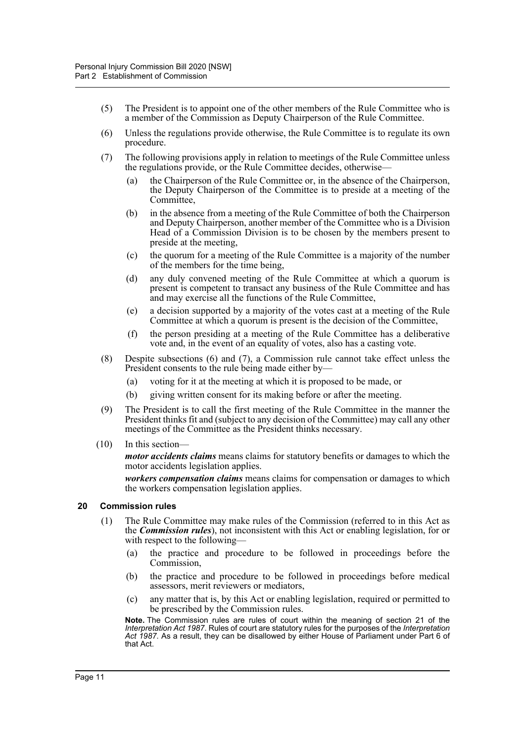- (5) The President is to appoint one of the other members of the Rule Committee who is a member of the Commission as Deputy Chairperson of the Rule Committee.
- (6) Unless the regulations provide otherwise, the Rule Committee is to regulate its own procedure.
- (7) The following provisions apply in relation to meetings of the Rule Committee unless the regulations provide, or the Rule Committee decides, otherwise—
	- (a) the Chairperson of the Rule Committee or, in the absence of the Chairperson, the Deputy Chairperson of the Committee is to preside at a meeting of the Committee,
	- (b) in the absence from a meeting of the Rule Committee of both the Chairperson and Deputy Chairperson, another member of the Committee who is a Division Head of a Commission Division is to be chosen by the members present to preside at the meeting,
	- (c) the quorum for a meeting of the Rule Committee is a majority of the number of the members for the time being,
	- (d) any duly convened meeting of the Rule Committee at which a quorum is present is competent to transact any business of the Rule Committee and has and may exercise all the functions of the Rule Committee,
	- (e) a decision supported by a majority of the votes cast at a meeting of the Rule Committee at which a quorum is present is the decision of the Committee,
	- (f) the person presiding at a meeting of the Rule Committee has a deliberative vote and, in the event of an equality of votes, also has a casting vote.
- (8) Despite subsections (6) and (7), a Commission rule cannot take effect unless the President consents to the rule being made either by—
	- (a) voting for it at the meeting at which it is proposed to be made, or
	- (b) giving written consent for its making before or after the meeting.
- (9) The President is to call the first meeting of the Rule Committee in the manner the President thinks fit and (subject to any decision of the Committee) may call any other meetings of the Committee as the President thinks necessary.
- (10) In this section—

*motor accidents claims* means claims for statutory benefits or damages to which the motor accidents legislation applies.

*workers compensation claims* means claims for compensation or damages to which the workers compensation legislation applies.

### <span id="page-14-0"></span>**20 Commission rules**

- (1) The Rule Committee may make rules of the Commission (referred to in this Act as the *Commission rules*), not inconsistent with this Act or enabling legislation, for or with respect to the following—
	- (a) the practice and procedure to be followed in proceedings before the Commission,
	- (b) the practice and procedure to be followed in proceedings before medical assessors, merit reviewers or mediators,
	- (c) any matter that is, by this Act or enabling legislation, required or permitted to be prescribed by the Commission rules.

**Note.** The Commission rules are rules of court within the meaning of section 21 of the *Interpretation Act 1987*. Rules of court are statutory rules for the purposes of the *Interpretation Act 1987*. As a result, they can be disallowed by either House of Parliament under Part 6 of that Act.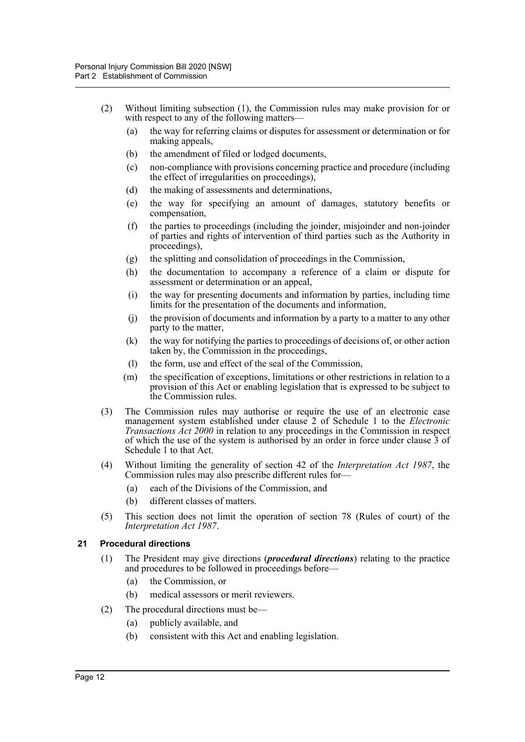- (2) Without limiting subsection (1), the Commission rules may make provision for or with respect to any of the following matters—
	- (a) the way for referring claims or disputes for assessment or determination or for making appeals,
	- (b) the amendment of filed or lodged documents,
	- (c) non-compliance with provisions concerning practice and procedure (including the effect of irregularities on proceedings),
	- (d) the making of assessments and determinations,
	- (e) the way for specifying an amount of damages, statutory benefits or compensation,
	- (f) the parties to proceedings (including the joinder, misjoinder and non-joinder of parties and rights of intervention of third parties such as the Authority in proceedings),
	- (g) the splitting and consolidation of proceedings in the Commission,
	- (h) the documentation to accompany a reference of a claim or dispute for assessment or determination or an appeal,
	- (i) the way for presenting documents and information by parties, including time limits for the presentation of the documents and information,
	- (j) the provision of documents and information by a party to a matter to any other party to the matter,
	- (k) the way for notifying the parties to proceedings of decisions of, or other action taken by, the Commission in the proceedings,
	- (l) the form, use and effect of the seal of the Commission,
	- (m) the specification of exceptions, limitations or other restrictions in relation to a provision of this Act or enabling legislation that is expressed to be subject to the Commission rules.
- (3) The Commission rules may authorise or require the use of an electronic case management system established under clause 2 of Schedule 1 to the *Electronic Transactions Act 2000* in relation to any proceedings in the Commission in respect of which the use of the system is authorised by an order in force under clause 3 of Schedule 1 to that Act.
- (4) Without limiting the generality of section 42 of the *Interpretation Act 1987*, the Commission rules may also prescribe different rules for—
	- (a) each of the Divisions of the Commission, and
	- (b) different classes of matters.
- (5) This section does not limit the operation of section 78 (Rules of court) of the *Interpretation Act 1987*.

### <span id="page-15-0"></span>**21 Procedural directions**

- (1) The President may give directions (*procedural directions*) relating to the practice and procedures to be followed in proceedings before—
	- (a) the Commission, or
	- (b) medical assessors or merit reviewers.
- (2) The procedural directions must be—
	- (a) publicly available, and
	- (b) consistent with this Act and enabling legislation.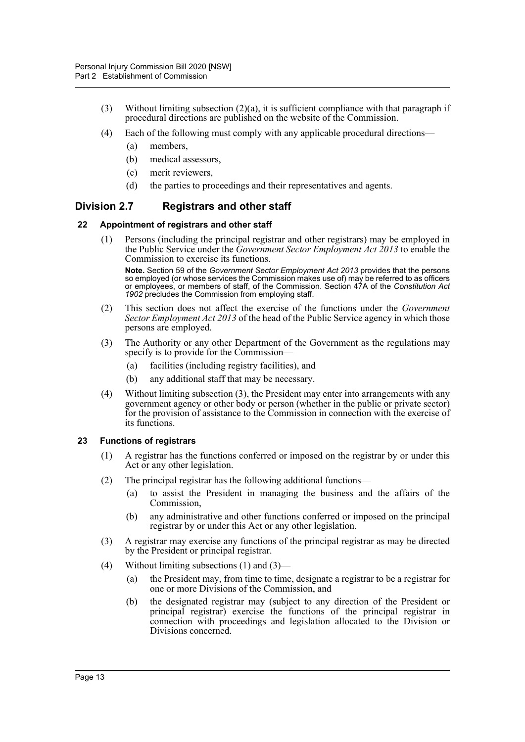- (3) Without limiting subsection (2)(a), it is sufficient compliance with that paragraph if procedural directions are published on the website of the Commission.
- (4) Each of the following must comply with any applicable procedural directions—
	- (a) members,
	- (b) medical assessors,
	- (c) merit reviewers,
	- (d) the parties to proceedings and their representatives and agents.

## <span id="page-16-0"></span>**Division 2.7 Registrars and other staff**

### <span id="page-16-1"></span>**22 Appointment of registrars and other staff**

(1) Persons (including the principal registrar and other registrars) may be employed in the Public Service under the *Government Sector Employment Act 2013* to enable the Commission to exercise its functions.

**Note.** Section 59 of the *Government Sector Employment Act 2013* provides that the persons so employed (or whose services the Commission makes use of) may be referred to as officers or employees, or members of staff, of the Commission. Section 47A of the *Constitution Act 1902* precludes the Commission from employing staff.

- (2) This section does not affect the exercise of the functions under the *Government Sector Employment Act 2013* of the head of the Public Service agency in which those persons are employed.
- (3) The Authority or any other Department of the Government as the regulations may specify is to provide for the Commission—
	- (a) facilities (including registry facilities), and
	- (b) any additional staff that may be necessary.
- (4) Without limiting subsection (3), the President may enter into arrangements with any government agency or other body or person (whether in the public or private sector) for the provision of assistance to the Commission in connection with the exercise of its functions.

### <span id="page-16-2"></span>**23 Functions of registrars**

- (1) A registrar has the functions conferred or imposed on the registrar by or under this Act or any other legislation.
- (2) The principal registrar has the following additional functions—
	- (a) to assist the President in managing the business and the affairs of the Commission,
	- (b) any administrative and other functions conferred or imposed on the principal registrar by or under this Act or any other legislation.
- (3) A registrar may exercise any functions of the principal registrar as may be directed by the President or principal registrar.
- (4) Without limiting subsections (1) and (3)—
	- (a) the President may, from time to time, designate a registrar to be a registrar for one or more Divisions of the Commission, and
	- (b) the designated registrar may (subject to any direction of the President or principal registrar) exercise the functions of the principal registrar in connection with proceedings and legislation allocated to the Division or Divisions concerned.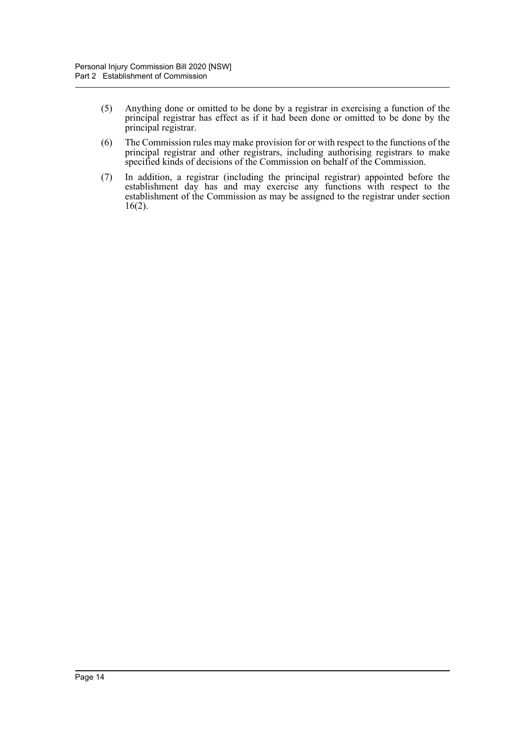- (5) Anything done or omitted to be done by a registrar in exercising a function of the principal registrar has effect as if it had been done or omitted to be done by the principal registrar.
- (6) The Commission rules may make provision for or with respect to the functions of the principal registrar and other registrars, including authorising registrars to make specified kinds of decisions of the Commission on behalf of the Commission.
- (7) In addition, a registrar (including the principal registrar) appointed before the establishment day has and may exercise any functions with respect to the establishment of the Commission as may be assigned to the registrar under section 16(2).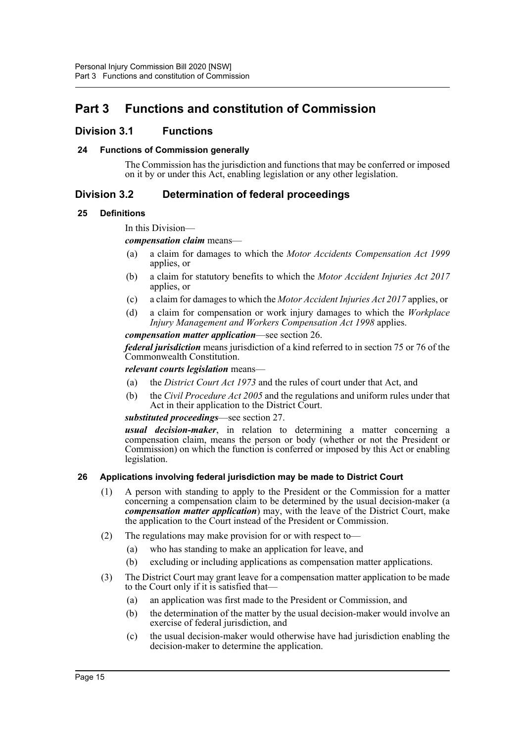# <span id="page-18-0"></span>**Part 3 Functions and constitution of Commission**

### <span id="page-18-1"></span>**Division 3.1 Functions**

### <span id="page-18-2"></span>**24 Functions of Commission generally**

The Commission has the jurisdiction and functions that may be conferred or imposed on it by or under this Act, enabling legislation or any other legislation.

### <span id="page-18-3"></span>**Division 3.2 Determination of federal proceedings**

### <span id="page-18-4"></span>**25 Definitions**

In this Division—

### *compensation claim* means—

- (a) a claim for damages to which the *Motor Accidents Compensation Act 1999* applies, or
- (b) a claim for statutory benefits to which the *Motor Accident Injuries Act 2017* applies, or
- (c) a claim for damages to which the *Motor Accident Injuries Act 2017* applies, or
- (d) a claim for compensation or work injury damages to which the *Workplace Injury Management and Workers Compensation Act 1998* applies.

*compensation matter application*—see section 26.

*federal jurisdiction* means jurisdiction of a kind referred to in section 75 or 76 of the Commonwealth Constitution.

*relevant courts legislation* means—

- (a) the *District Court Act 1973* and the rules of court under that Act, and
- (b) the *Civil Procedure Act 2005* and the regulations and uniform rules under that Act in their application to the District Court.

### *substituted proceedings*—see section 27.

*usual decision-maker*, in relation to determining a matter concerning a compensation claim, means the person or body (whether or not the President or Commission) on which the function is conferred or imposed by this Act or enabling legislation.

### <span id="page-18-5"></span>**26 Applications involving federal jurisdiction may be made to District Court**

- (1) A person with standing to apply to the President or the Commission for a matter concerning a compensation claim to be determined by the usual decision-maker (a *compensation matter application*) may, with the leave of the District Court, make the application to the Court instead of the President or Commission.
- (2) The regulations may make provision for or with respect to—
	- (a) who has standing to make an application for leave, and
	- (b) excluding or including applications as compensation matter applications.
- (3) The District Court may grant leave for a compensation matter application to be made to the Court only if it is satisfied that—
	- (a) an application was first made to the President or Commission, and
	- (b) the determination of the matter by the usual decision-maker would involve an exercise of federal jurisdiction, and
	- (c) the usual decision-maker would otherwise have had jurisdiction enabling the decision-maker to determine the application.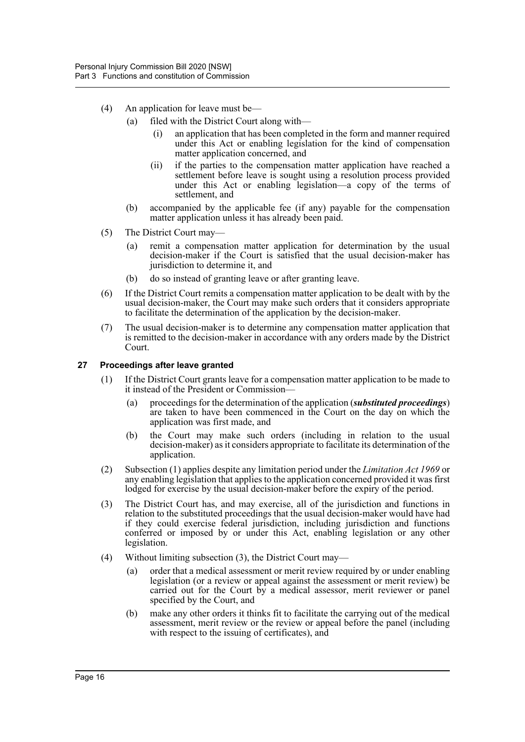- (4) An application for leave must be—
	- (a) filed with the District Court along with—
		- (i) an application that has been completed in the form and manner required under this Act or enabling legislation for the kind of compensation matter application concerned, and
		- (ii) if the parties to the compensation matter application have reached a settlement before leave is sought using a resolution process provided under this Act or enabling legislation—a copy of the terms of settlement, and
	- (b) accompanied by the applicable fee (if any) payable for the compensation matter application unless it has already been paid.
- (5) The District Court may—
	- (a) remit a compensation matter application for determination by the usual decision-maker if the Court is satisfied that the usual decision-maker has jurisdiction to determine it, and
	- (b) do so instead of granting leave or after granting leave.
- (6) If the District Court remits a compensation matter application to be dealt with by the usual decision-maker, the Court may make such orders that it considers appropriate to facilitate the determination of the application by the decision-maker.
- (7) The usual decision-maker is to determine any compensation matter application that is remitted to the decision-maker in accordance with any orders made by the District Court.

### <span id="page-19-0"></span>**27 Proceedings after leave granted**

- (1) If the District Court grants leave for a compensation matter application to be made to it instead of the President or Commission—
	- (a) proceedings for the determination of the application (*substituted proceedings*) are taken to have been commenced in the Court on the day on which the application was first made, and
	- (b) the Court may make such orders (including in relation to the usual decision-maker) as it considers appropriate to facilitate its determination of the application.
- (2) Subsection (1) applies despite any limitation period under the *Limitation Act 1969* or any enabling legislation that applies to the application concerned provided it was first lodged for exercise by the usual decision-maker before the expiry of the period.
- (3) The District Court has, and may exercise, all of the jurisdiction and functions in relation to the substituted proceedings that the usual decision-maker would have had if they could exercise federal jurisdiction, including jurisdiction and functions conferred or imposed by or under this Act, enabling legislation or any other legislation.
- (4) Without limiting subsection (3), the District Court may—
	- (a) order that a medical assessment or merit review required by or under enabling legislation (or a review or appeal against the assessment or merit review) be carried out for the Court by a medical assessor, merit reviewer or panel specified by the Court, and
	- (b) make any other orders it thinks fit to facilitate the carrying out of the medical assessment, merit review or the review or appeal before the panel (including with respect to the issuing of certificates), and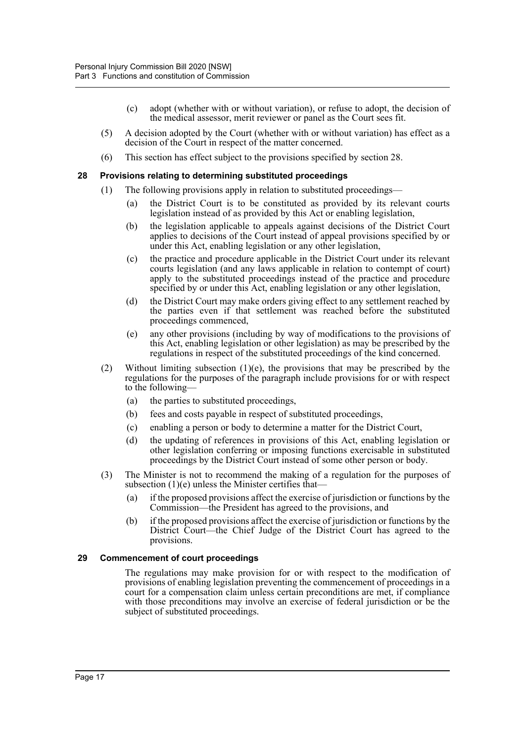- (c) adopt (whether with or without variation), or refuse to adopt, the decision of the medical assessor, merit reviewer or panel as the Court sees fit.
- (5) A decision adopted by the Court (whether with or without variation) has effect as a decision of the Court in respect of the matter concerned.
- (6) This section has effect subject to the provisions specified by section 28.

#### <span id="page-20-0"></span>**28 Provisions relating to determining substituted proceedings**

- (1) The following provisions apply in relation to substituted proceedings—
	- (a) the District Court is to be constituted as provided by its relevant courts legislation instead of as provided by this Act or enabling legislation,
	- (b) the legislation applicable to appeals against decisions of the District Court applies to decisions of the Court instead of appeal provisions specified by or under this Act, enabling legislation or any other legislation,
	- (c) the practice and procedure applicable in the District Court under its relevant courts legislation (and any laws applicable in relation to contempt of court) apply to the substituted proceedings instead of the practice and procedure specified by or under this Act, enabling legislation or any other legislation,
	- (d) the District Court may make orders giving effect to any settlement reached by the parties even if that settlement was reached before the substituted proceedings commenced,
	- (e) any other provisions (including by way of modifications to the provisions of this Act, enabling legislation or other legislation) as may be prescribed by the regulations in respect of the substituted proceedings of the kind concerned.
- (2) Without limiting subsection  $(1)(e)$ , the provisions that may be prescribed by the regulations for the purposes of the paragraph include provisions for or with respect to the following—
	- (a) the parties to substituted proceedings,
	- (b) fees and costs payable in respect of substituted proceedings,
	- (c) enabling a person or body to determine a matter for the District Court,
	- (d) the updating of references in provisions of this Act, enabling legislation or other legislation conferring or imposing functions exercisable in substituted proceedings by the District Court instead of some other person or body.
- (3) The Minister is not to recommend the making of a regulation for the purposes of subsection (1)(e) unless the Minister certifies that—
	- (a) if the proposed provisions affect the exercise of jurisdiction or functions by the Commission—the President has agreed to the provisions, and
	- (b) if the proposed provisions affect the exercise of jurisdiction or functions by the District Court—the Chief Judge of the District Court has agreed to the provisions.

#### <span id="page-20-1"></span>**29 Commencement of court proceedings**

The regulations may make provision for or with respect to the modification of provisions of enabling legislation preventing the commencement of proceedings in a court for a compensation claim unless certain preconditions are met, if compliance with those preconditions may involve an exercise of federal jurisdiction or be the subject of substituted proceedings.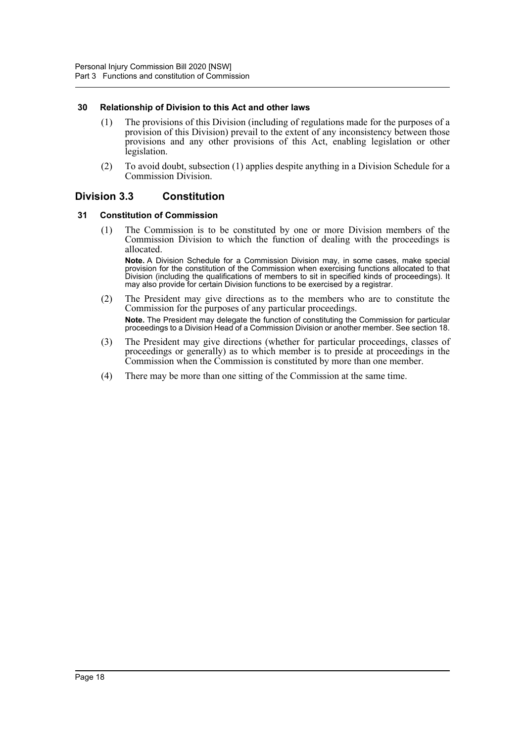### <span id="page-21-0"></span>**30 Relationship of Division to this Act and other laws**

- (1) The provisions of this Division (including of regulations made for the purposes of a provision of this Division) prevail to the extent of any inconsistency between those provisions and any other provisions of this Act, enabling legislation or other legislation.
- (2) To avoid doubt, subsection (1) applies despite anything in a Division Schedule for a Commission Division.

### <span id="page-21-1"></span>**Division 3.3 Constitution**

### <span id="page-21-2"></span>**31 Constitution of Commission**

(1) The Commission is to be constituted by one or more Division members of the Commission Division to which the function of dealing with the proceedings is allocated.

**Note.** A Division Schedule for a Commission Division may, in some cases, make special provision for the constitution of the Commission when exercising functions allocated to that Division (including the qualifications of members to sit in specified kinds of proceedings). It may also provide for certain Division functions to be exercised by a registrar.

- (2) The President may give directions as to the members who are to constitute the Commission for the purposes of any particular proceedings. **Note.** The President may delegate the function of constituting the Commission for particular proceedings to a Division Head of a Commission Division or another member. See section 18.
- (3) The President may give directions (whether for particular proceedings, classes of proceedings or generally) as to which member is to preside at proceedings in the Commission when the Commission is constituted by more than one member.
- (4) There may be more than one sitting of the Commission at the same time.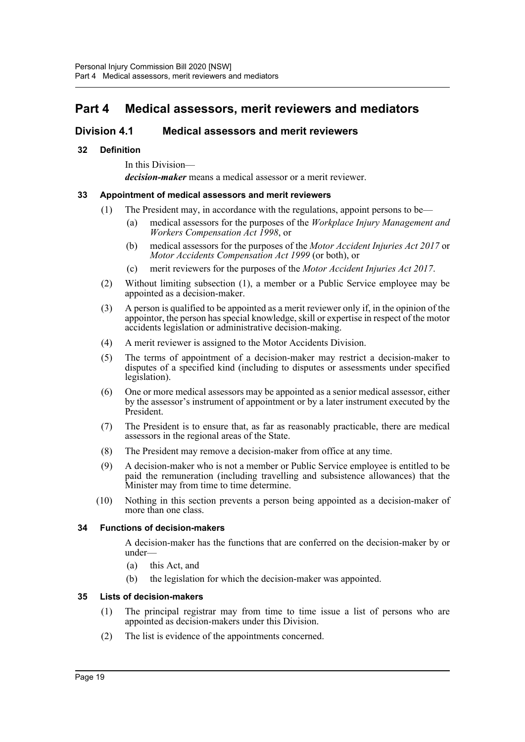# <span id="page-22-0"></span>**Part 4 Medical assessors, merit reviewers and mediators**

## <span id="page-22-1"></span>**Division 4.1 Medical assessors and merit reviewers**

### <span id="page-22-2"></span>**32 Definition**

In this Division—

*decision-maker* means a medical assessor or a merit reviewer.

### <span id="page-22-3"></span>**33 Appointment of medical assessors and merit reviewers**

- (1) The President may, in accordance with the regulations, appoint persons to be—
	- (a) medical assessors for the purposes of the *Workplace Injury Management and Workers Compensation Act 1998*, or
	- (b) medical assessors for the purposes of the *Motor Accident Injuries Act 2017* or *Motor Accidents Compensation Act 1999* (or both), or
	- (c) merit reviewers for the purposes of the *Motor Accident Injuries Act 2017*.
- (2) Without limiting subsection (1), a member or a Public Service employee may be appointed as a decision-maker.
- (3) A person is qualified to be appointed as a merit reviewer only if, in the opinion of the appointor, the person has special knowledge, skill or expertise in respect of the motor accidents legislation or administrative decision-making.
- (4) A merit reviewer is assigned to the Motor Accidents Division.
- (5) The terms of appointment of a decision-maker may restrict a decision-maker to disputes of a specified kind (including to disputes or assessments under specified legislation).
- (6) One or more medical assessors may be appointed as a senior medical assessor, either by the assessor's instrument of appointment or by a later instrument executed by the President.
- (7) The President is to ensure that, as far as reasonably practicable, there are medical assessors in the regional areas of the State.
- (8) The President may remove a decision-maker from office at any time.
- (9) A decision-maker who is not a member or Public Service employee is entitled to be paid the remuneration (including travelling and subsistence allowances) that the Minister may from time to time determine.
- (10) Nothing in this section prevents a person being appointed as a decision-maker of more than one class.

### <span id="page-22-4"></span>**34 Functions of decision-makers**

A decision-maker has the functions that are conferred on the decision-maker by or under—

- (a) this Act, and
- (b) the legislation for which the decision-maker was appointed.

### <span id="page-22-5"></span>**35 Lists of decision-makers**

- (1) The principal registrar may from time to time issue a list of persons who are appointed as decision-makers under this Division.
- (2) The list is evidence of the appointments concerned.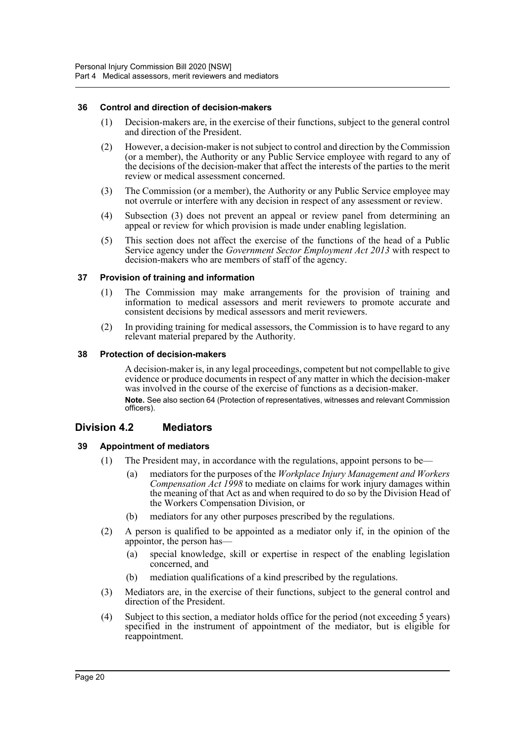### <span id="page-23-0"></span>**36 Control and direction of decision-makers**

- (1) Decision-makers are, in the exercise of their functions, subject to the general control and direction of the President.
- (2) However, a decision-maker is not subject to control and direction by the Commission (or a member), the Authority or any Public Service employee with regard to any of the decisions of the decision-maker that affect the interests of the parties to the merit review or medical assessment concerned.
- (3) The Commission (or a member), the Authority or any Public Service employee may not overrule or interfere with any decision in respect of any assessment or review.
- (4) Subsection (3) does not prevent an appeal or review panel from determining an appeal or review for which provision is made under enabling legislation.
- (5) This section does not affect the exercise of the functions of the head of a Public Service agency under the *Government Sector Employment Act 2013* with respect to decision-makers who are members of staff of the agency.

### <span id="page-23-1"></span>**37 Provision of training and information**

- (1) The Commission may make arrangements for the provision of training and information to medical assessors and merit reviewers to promote accurate and consistent decisions by medical assessors and merit reviewers.
- (2) In providing training for medical assessors, the Commission is to have regard to any relevant material prepared by the Authority.

### <span id="page-23-2"></span>**38 Protection of decision-makers**

A decision-maker is, in any legal proceedings, competent but not compellable to give evidence or produce documents in respect of any matter in which the decision-maker was involved in the course of the exercise of functions as a decision-maker. **Note.** See also section 64 (Protection of representatives, witnesses and relevant Commission officers).

### <span id="page-23-3"></span>**Division 4.2 Mediators**

### <span id="page-23-4"></span>**39 Appointment of mediators**

- (1) The President may, in accordance with the regulations, appoint persons to be—
	- (a) mediators for the purposes of the *Workplace Injury Management and Workers Compensation Act 1998* to mediate on claims for work injury damages within the meaning of that Act as and when required to do so by the Division Head of the Workers Compensation Division, or
	- (b) mediators for any other purposes prescribed by the regulations.
- (2) A person is qualified to be appointed as a mediator only if, in the opinion of the appointor, the person has—
	- (a) special knowledge, skill or expertise in respect of the enabling legislation concerned, and
	- (b) mediation qualifications of a kind prescribed by the regulations.
- (3) Mediators are, in the exercise of their functions, subject to the general control and direction of the President.
- (4) Subject to this section, a mediator holds office for the period (not exceeding 5 years) specified in the instrument of appointment of the mediator, but is eligible for reappointment.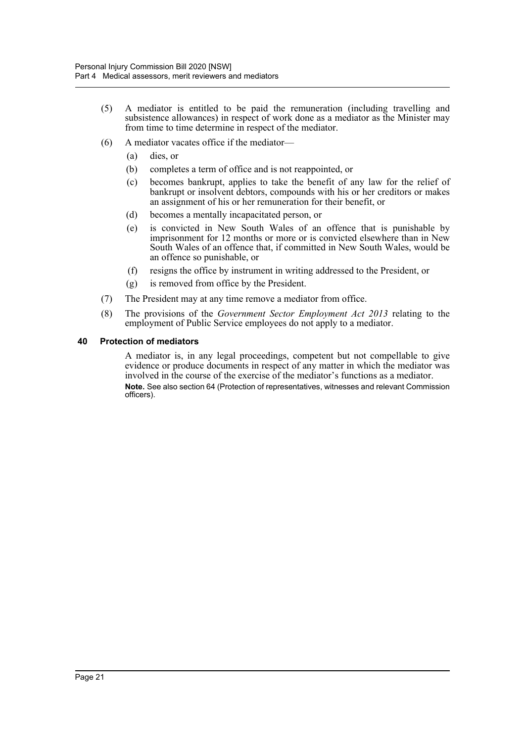- (5) A mediator is entitled to be paid the remuneration (including travelling and subsistence allowances) in respect of work done as a mediator as the Minister may from time to time determine in respect of the mediator.
- (6) A mediator vacates office if the mediator—
	- (a) dies, or
	- (b) completes a term of office and is not reappointed, or
	- (c) becomes bankrupt, applies to take the benefit of any law for the relief of bankrupt or insolvent debtors, compounds with his or her creditors or makes an assignment of his or her remuneration for their benefit, or
	- (d) becomes a mentally incapacitated person, or
	- (e) is convicted in New South Wales of an offence that is punishable by imprisonment for 12 months or more or is convicted elsewhere than in New South Wales of an offence that, if committed in New South Wales, would be an offence so punishable, or
	- (f) resigns the office by instrument in writing addressed to the President, or
	- (g) is removed from office by the President.
- (7) The President may at any time remove a mediator from office.
- (8) The provisions of the *Government Sector Employment Act 2013* relating to the employment of Public Service employees do not apply to a mediator.

### <span id="page-24-0"></span>**40 Protection of mediators**

A mediator is, in any legal proceedings, competent but not compellable to give evidence or produce documents in respect of any matter in which the mediator was involved in the course of the exercise of the mediator's functions as a mediator. **Note.** See also section 64 (Protection of representatives, witnesses and relevant Commission officers).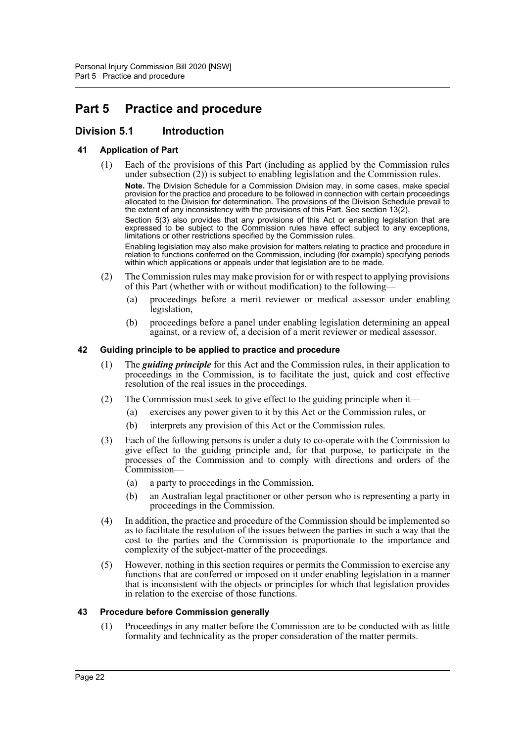# <span id="page-25-0"></span>**Part 5 Practice and procedure**

# <span id="page-25-1"></span>**Division 5.1 Introduction**

### <span id="page-25-2"></span>**41 Application of Part**

(1) Each of the provisions of this Part (including as applied by the Commission rules under subsection (2)) is subject to enabling legislation and the Commission rules.

**Note.** The Division Schedule for a Commission Division may, in some cases, make special provision for the practice and procedure to be followed in connection with certain proceedings allocated to the Division for determination. The provisions of the Division Schedule prevail to the extent of any inconsistency with the provisions of this Part. See section 13(2).

Section 5(3) also provides that any provisions of this Act or enabling legislation that are expressed to be subject to the Commission rules have effect subject to any exceptions, limitations or other restrictions specified by the Commission rules.

Enabling legislation may also make provision for matters relating to practice and procedure in relation to functions conferred on the Commission, including (for example) specifying periods within which applications or appeals under that legislation are to be made.

- (2) The Commission rules may make provision for or with respect to applying provisions of this Part (whether with or without modification) to the following—
	- (a) proceedings before a merit reviewer or medical assessor under enabling legislation,
	- (b) proceedings before a panel under enabling legislation determining an appeal against, or a review of, a decision of a merit reviewer or medical assessor.

#### <span id="page-25-3"></span>**42 Guiding principle to be applied to practice and procedure**

- (1) The *guiding principle* for this Act and the Commission rules, in their application to proceedings in the Commission, is to facilitate the just, quick and cost effective resolution of the real issues in the proceedings.
- (2) The Commission must seek to give effect to the guiding principle when it—
	- (a) exercises any power given to it by this Act or the Commission rules, or
	- (b) interprets any provision of this Act or the Commission rules.
- (3) Each of the following persons is under a duty to co-operate with the Commission to give effect to the guiding principle and, for that purpose, to participate in the processes of the Commission and to comply with directions and orders of the Commission—
	- (a) a party to proceedings in the Commission,
	- (b) an Australian legal practitioner or other person who is representing a party in proceedings in the Commission.
- (4) In addition, the practice and procedure of the Commission should be implemented so as to facilitate the resolution of the issues between the parties in such a way that the cost to the parties and the Commission is proportionate to the importance and complexity of the subject-matter of the proceedings.
- (5) However, nothing in this section requires or permits the Commission to exercise any functions that are conferred or imposed on it under enabling legislation in a manner that is inconsistent with the objects or principles for which that legislation provides in relation to the exercise of those functions.

### <span id="page-25-4"></span>**43 Procedure before Commission generally**

(1) Proceedings in any matter before the Commission are to be conducted with as little formality and technicality as the proper consideration of the matter permits.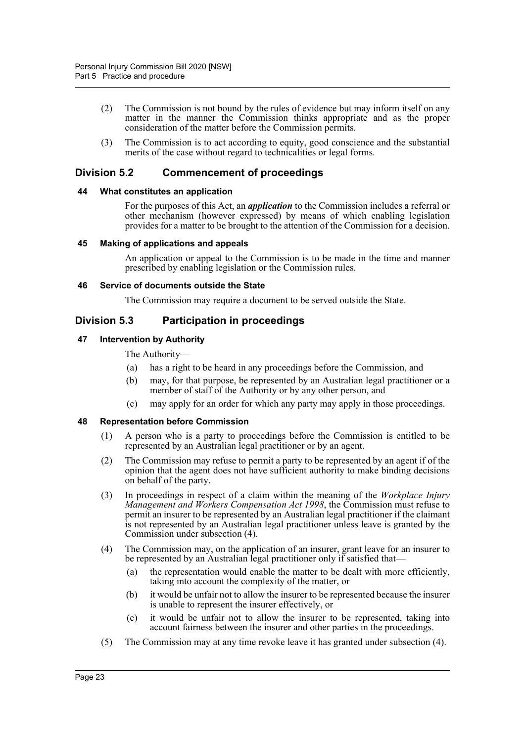- (2) The Commission is not bound by the rules of evidence but may inform itself on any matter in the manner the Commission thinks appropriate and as the proper consideration of the matter before the Commission permits.
- (3) The Commission is to act according to equity, good conscience and the substantial merits of the case without regard to technicalities or legal forms.

## <span id="page-26-0"></span>**Division 5.2 Commencement of proceedings**

### <span id="page-26-1"></span>**44 What constitutes an application**

For the purposes of this Act, an *application* to the Commission includes a referral or other mechanism (however expressed) by means of which enabling legislation provides for a matter to be brought to the attention of the Commission for a decision.

#### <span id="page-26-2"></span>**45 Making of applications and appeals**

An application or appeal to the Commission is to be made in the time and manner prescribed by enabling legislation or the Commission rules.

#### <span id="page-26-3"></span>**46 Service of documents outside the State**

The Commission may require a document to be served outside the State.

### <span id="page-26-4"></span>**Division 5.3 Participation in proceedings**

### <span id="page-26-5"></span>**47 Intervention by Authority**

The Authority—

- (a) has a right to be heard in any proceedings before the Commission, and
- (b) may, for that purpose, be represented by an Australian legal practitioner or a member of staff of the Authority or by any other person, and
- (c) may apply for an order for which any party may apply in those proceedings.

### <span id="page-26-6"></span>**48 Representation before Commission**

- (1) A person who is a party to proceedings before the Commission is entitled to be represented by an Australian legal practitioner or by an agent.
- (2) The Commission may refuse to permit a party to be represented by an agent if of the opinion that the agent does not have sufficient authority to make binding decisions on behalf of the party.
- (3) In proceedings in respect of a claim within the meaning of the *Workplace Injury Management and Workers Compensation Act 1998*, the Commission must refuse to permit an insurer to be represented by an Australian legal practitioner if the claimant is not represented by an Australian legal practitioner unless leave is granted by the Commission under subsection (4).
- (4) The Commission may, on the application of an insurer, grant leave for an insurer to be represented by an Australian legal practitioner only if satisfied that-
	- (a) the representation would enable the matter to be dealt with more efficiently, taking into account the complexity of the matter, or
	- (b) it would be unfair not to allow the insurer to be represented because the insurer is unable to represent the insurer effectively, or
	- (c) it would be unfair not to allow the insurer to be represented, taking into account fairness between the insurer and other parties in the proceedings.
- (5) The Commission may at any time revoke leave it has granted under subsection (4).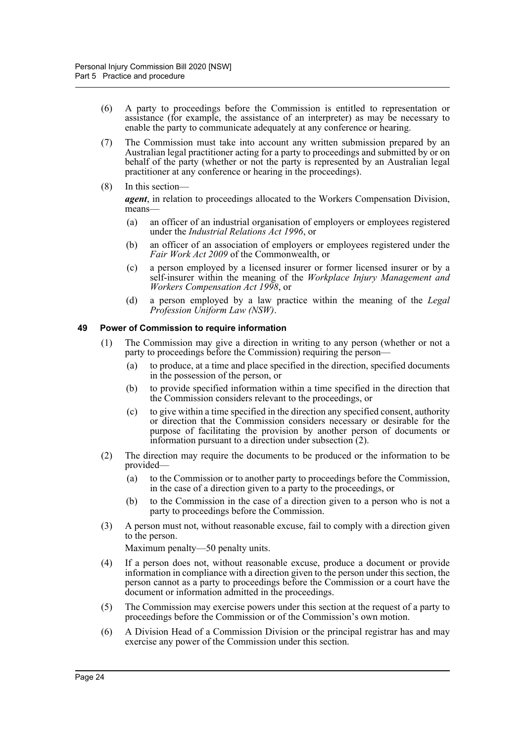- (6) A party to proceedings before the Commission is entitled to representation or assistance (for example, the assistance of an interpreter) as may be necessary to enable the party to communicate adequately at any conference or hearing.
- (7) The Commission must take into account any written submission prepared by an Australian legal practitioner acting for a party to proceedings and submitted by or on behalf of the party (whether or not the party is represented by an Australian legal practitioner at any conference or hearing in the proceedings).
- (8) In this section—

*agent*, in relation to proceedings allocated to the Workers Compensation Division, means—

- (a) an officer of an industrial organisation of employers or employees registered under the *Industrial Relations Act 1996*, or
- (b) an officer of an association of employers or employees registered under the *Fair Work Act 2009* of the Commonwealth, or
- (c) a person employed by a licensed insurer or former licensed insurer or by a self-insurer within the meaning of the *Workplace Injury Management and Workers Compensation Act 1998*, or
- (d) a person employed by a law practice within the meaning of the *Legal Profession Uniform Law (NSW)*.

### <span id="page-27-0"></span>**49 Power of Commission to require information**

- (1) The Commission may give a direction in writing to any person (whether or not a party to proceedings before the Commission) requiring the person—
	- (a) to produce, at a time and place specified in the direction, specified documents in the possession of the person, or
	- (b) to provide specified information within a time specified in the direction that the Commission considers relevant to the proceedings, or
	- (c) to give within a time specified in the direction any specified consent, authority or direction that the Commission considers necessary or desirable for the purpose of facilitating the provision by another person of documents or information pursuant to a direction under subsection (2).
- (2) The direction may require the documents to be produced or the information to be provided—
	- (a) to the Commission or to another party to proceedings before the Commission, in the case of a direction given to a party to the proceedings, or
	- (b) to the Commission in the case of a direction given to a person who is not a party to proceedings before the Commission.
- (3) A person must not, without reasonable excuse, fail to comply with a direction given to the person.

Maximum penalty—50 penalty units.

- (4) If a person does not, without reasonable excuse, produce a document or provide information in compliance with a direction given to the person under this section, the person cannot as a party to proceedings before the Commission or a court have the document or information admitted in the proceedings.
- (5) The Commission may exercise powers under this section at the request of a party to proceedings before the Commission or of the Commission's own motion.
- (6) A Division Head of a Commission Division or the principal registrar has and may exercise any power of the Commission under this section.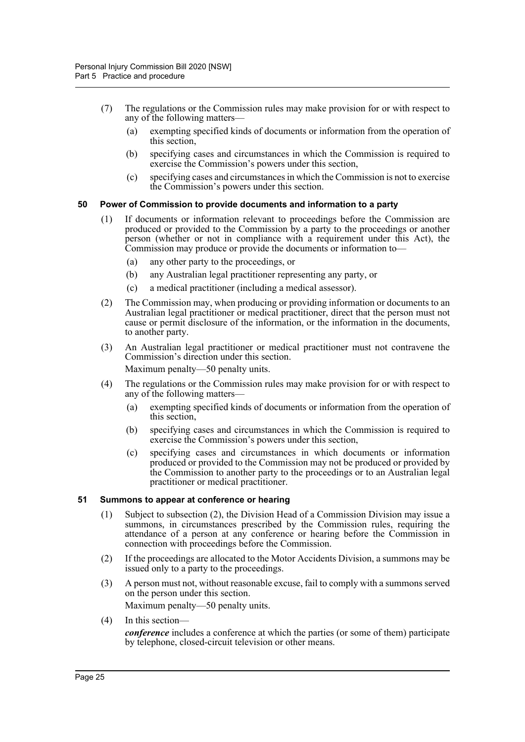- (7) The regulations or the Commission rules may make provision for or with respect to any of the following matters—
	- (a) exempting specified kinds of documents or information from the operation of this section,
	- (b) specifying cases and circumstances in which the Commission is required to exercise the Commission's powers under this section,
	- (c) specifying cases and circumstances in which the Commission is not to exercise the Commission's powers under this section.

### <span id="page-28-0"></span>**50 Power of Commission to provide documents and information to a party**

- (1) If documents or information relevant to proceedings before the Commission are produced or provided to the Commission by a party to the proceedings or another person (whether or not in compliance with a requirement under this Act), the Commission may produce or provide the documents or information to—
	- (a) any other party to the proceedings, or
	- (b) any Australian legal practitioner representing any party, or
	- (c) a medical practitioner (including a medical assessor).
- (2) The Commission may, when producing or providing information or documents to an Australian legal practitioner or medical practitioner, direct that the person must not cause or permit disclosure of the information, or the information in the documents, to another party.
- (3) An Australian legal practitioner or medical practitioner must not contravene the Commission's direction under this section. Maximum penalty—50 penalty units.
- (4) The regulations or the Commission rules may make provision for or with respect to any of the following matters—
	- (a) exempting specified kinds of documents or information from the operation of this section,
	- (b) specifying cases and circumstances in which the Commission is required to exercise the Commission's powers under this section,
	- (c) specifying cases and circumstances in which documents or information produced or provided to the Commission may not be produced or provided by the Commission to another party to the proceedings or to an Australian legal practitioner or medical practitioner.

#### <span id="page-28-1"></span>**51 Summons to appear at conference or hearing**

- (1) Subject to subsection (2), the Division Head of a Commission Division may issue a summons, in circumstances prescribed by the Commission rules, requiring the attendance of a person at any conference or hearing before the Commission in connection with proceedings before the Commission.
- (2) If the proceedings are allocated to the Motor Accidents Division, a summons may be issued only to a party to the proceedings.
- (3) A person must not, without reasonable excuse, fail to comply with a summons served on the person under this section. Maximum penalty—50 penalty units.
- (4) In this section—

*conference* includes a conference at which the parties (or some of them) participate by telephone, closed-circuit television or other means.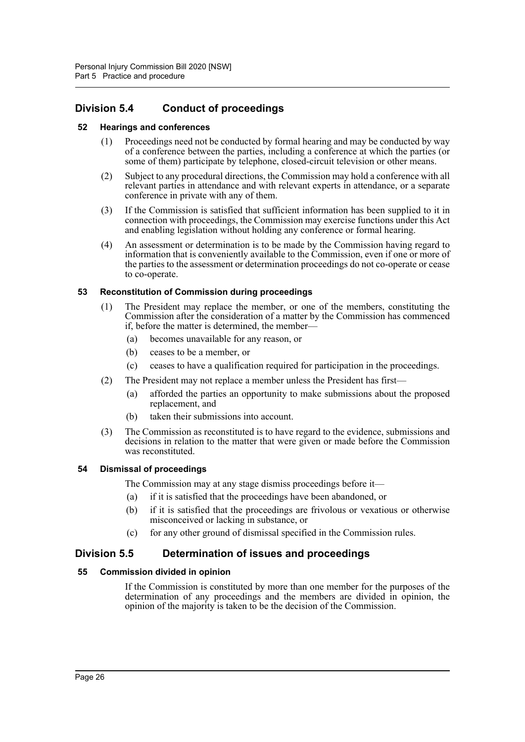# <span id="page-29-0"></span>**Division 5.4 Conduct of proceedings**

### <span id="page-29-1"></span>**52 Hearings and conferences**

- (1) Proceedings need not be conducted by formal hearing and may be conducted by way of a conference between the parties, including a conference at which the parties (or some of them) participate by telephone, closed-circuit television or other means.
- (2) Subject to any procedural directions, the Commission may hold a conference with all relevant parties in attendance and with relevant experts in attendance, or a separate conference in private with any of them.
- (3) If the Commission is satisfied that sufficient information has been supplied to it in connection with proceedings, the Commission may exercise functions under this Act and enabling legislation without holding any conference or formal hearing.
- (4) An assessment or determination is to be made by the Commission having regard to information that is conveniently available to the Commission, even if one or more of the parties to the assessment or determination proceedings do not co-operate or cease to co-operate.

### <span id="page-29-2"></span>**53 Reconstitution of Commission during proceedings**

- (1) The President may replace the member, or one of the members, constituting the Commission after the consideration of a matter by the Commission has commenced if, before the matter is determined, the member—
	- (a) becomes unavailable for any reason, or
	- (b) ceases to be a member, or
	- (c) ceases to have a qualification required for participation in the proceedings.
- (2) The President may not replace a member unless the President has first—
	- (a) afforded the parties an opportunity to make submissions about the proposed replacement, and
	- (b) taken their submissions into account.
- (3) The Commission as reconstituted is to have regard to the evidence, submissions and decisions in relation to the matter that were given or made before the Commission was reconstituted.

### <span id="page-29-3"></span>**54 Dismissal of proceedings**

The Commission may at any stage dismiss proceedings before it—

- (a) if it is satisfied that the proceedings have been abandoned, or
- (b) if it is satisfied that the proceedings are frivolous or vexatious or otherwise misconceived or lacking in substance, or
- (c) for any other ground of dismissal specified in the Commission rules.

## <span id="page-29-4"></span>**Division 5.5 Determination of issues and proceedings**

### <span id="page-29-5"></span>**55 Commission divided in opinion**

If the Commission is constituted by more than one member for the purposes of the determination of any proceedings and the members are divided in opinion, the opinion of the majority is taken to be the decision of the Commission.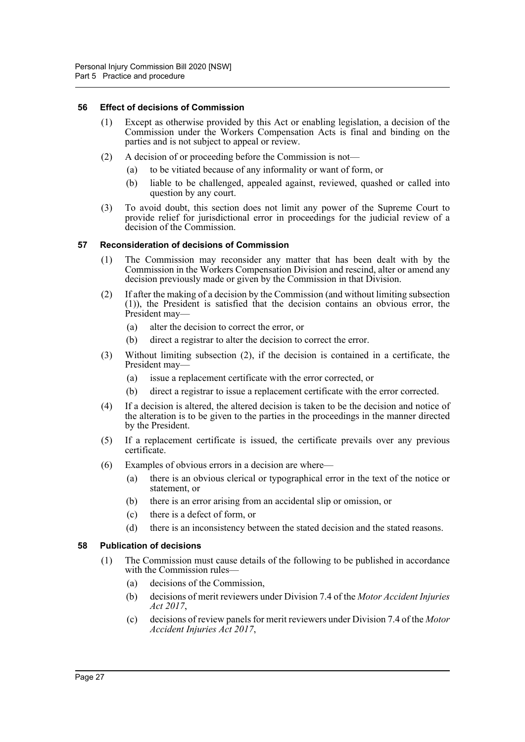### <span id="page-30-0"></span>**56 Effect of decisions of Commission**

- (1) Except as otherwise provided by this Act or enabling legislation, a decision of the Commission under the Workers Compensation Acts is final and binding on the parties and is not subject to appeal or review.
- (2) A decision of or proceeding before the Commission is not—
	- (a) to be vitiated because of any informality or want of form, or
	- (b) liable to be challenged, appealed against, reviewed, quashed or called into question by any court.
- (3) To avoid doubt, this section does not limit any power of the Supreme Court to provide relief for jurisdictional error in proceedings for the judicial review of a decision of the Commission.

### <span id="page-30-1"></span>**57 Reconsideration of decisions of Commission**

- (1) The Commission may reconsider any matter that has been dealt with by the Commission in the Workers Compensation Division and rescind, alter or amend any decision previously made or given by the Commission in that Division.
- (2) If after the making of a decision by the Commission (and without limiting subsection (1)), the President is satisfied that the decision contains an obvious error, the President may—
	- (a) alter the decision to correct the error, or
	- (b) direct a registrar to alter the decision to correct the error.
- (3) Without limiting subsection (2), if the decision is contained in a certificate, the President may—
	- (a) issue a replacement certificate with the error corrected, or
	- (b) direct a registrar to issue a replacement certificate with the error corrected.
- (4) If a decision is altered, the altered decision is taken to be the decision and notice of the alteration is to be given to the parties in the proceedings in the manner directed by the President.
- (5) If a replacement certificate is issued, the certificate prevails over any previous certificate.
- (6) Examples of obvious errors in a decision are where—
	- (a) there is an obvious clerical or typographical error in the text of the notice or statement, or
	- (b) there is an error arising from an accidental slip or omission, or
	- (c) there is a defect of form, or
	- (d) there is an inconsistency between the stated decision and the stated reasons.

### <span id="page-30-2"></span>**58 Publication of decisions**

- (1) The Commission must cause details of the following to be published in accordance with the Commission rules—
	- (a) decisions of the Commission,
	- (b) decisions of merit reviewers under Division 7.4 of the *Motor Accident Injuries Act 2017*,
	- (c) decisions of review panels for merit reviewers under Division 7.4 of the *Motor Accident Injuries Act 2017*,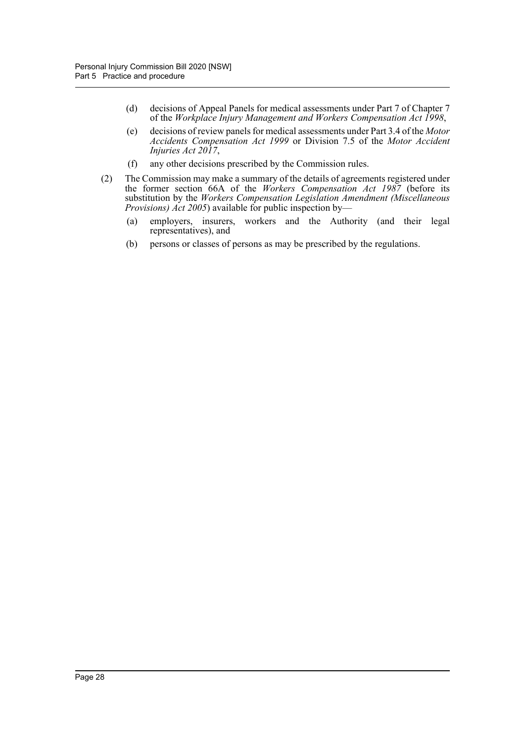- (d) decisions of Appeal Panels for medical assessments under Part 7 of Chapter 7 of the *Workplace Injury Management and Workers Compensation Act 1998*,
- (e) decisions of review panels for medical assessments under Part 3.4 of the *Motor Accidents Compensation Act 1999* or Division 7.5 of the *Motor Accident Injuries Act 2017*,
- (f) any other decisions prescribed by the Commission rules.
- (2) The Commission may make a summary of the details of agreements registered under the former section 66A of the *Workers Compensation Act 1987* (before its substitution by the *Workers Compensation Legislation Amendment (Miscellaneous Provisions) Act 2005*) available for public inspection by—
	- (a) employers, insurers, workers and the Authority (and their legal representatives), and
	- (b) persons or classes of persons as may be prescribed by the regulations.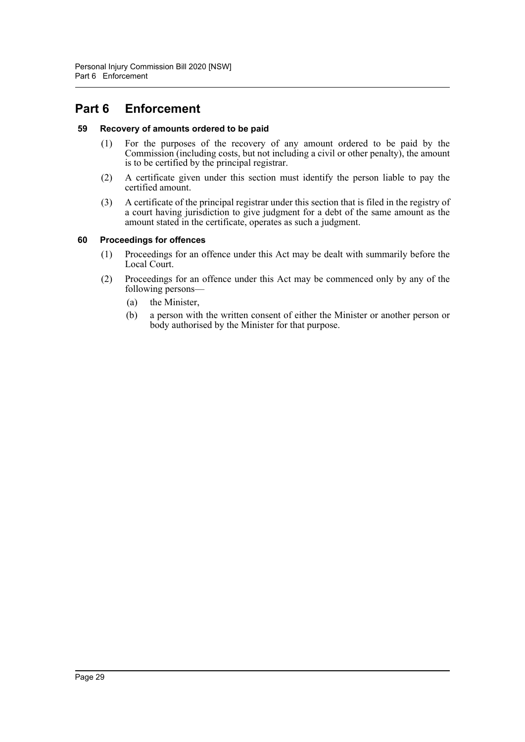# <span id="page-32-0"></span>**Part 6 Enforcement**

### <span id="page-32-1"></span>**59 Recovery of amounts ordered to be paid**

- (1) For the purposes of the recovery of any amount ordered to be paid by the Commission (including costs, but not including a civil or other penalty), the amount is to be certified by the principal registrar.
- (2) A certificate given under this section must identify the person liable to pay the certified amount.
- (3) A certificate of the principal registrar under this section that is filed in the registry of a court having jurisdiction to give judgment for a debt of the same amount as the amount stated in the certificate, operates as such a judgment.

### <span id="page-32-2"></span>**60 Proceedings for offences**

- (1) Proceedings for an offence under this Act may be dealt with summarily before the Local Court.
- (2) Proceedings for an offence under this Act may be commenced only by any of the following persons—
	- (a) the Minister,
	- (b) a person with the written consent of either the Minister or another person or body authorised by the Minister for that purpose.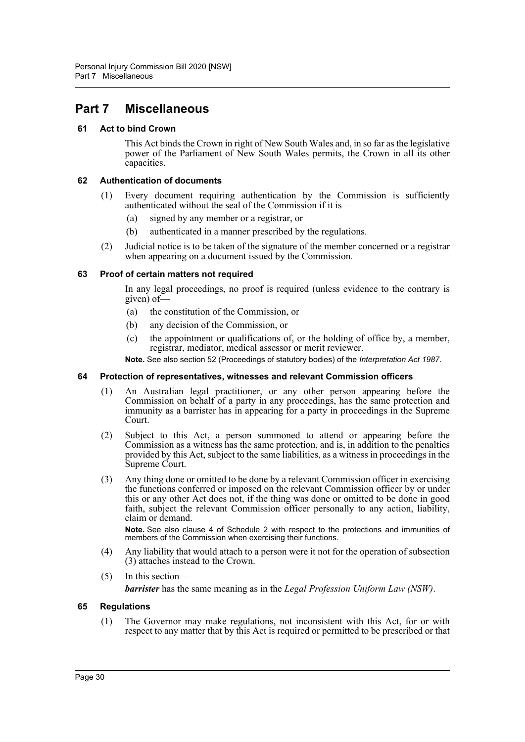# <span id="page-33-0"></span>**Part 7 Miscellaneous**

### <span id="page-33-1"></span>**61 Act to bind Crown**

This Act binds the Crown in right of New South Wales and, in so far as the legislative power of the Parliament of New South Wales permits, the Crown in all its other capacities.

### <span id="page-33-2"></span>**62 Authentication of documents**

- (1) Every document requiring authentication by the Commission is sufficiently authenticated without the seal of the Commission if it is—
	- (a) signed by any member or a registrar, or
	- (b) authenticated in a manner prescribed by the regulations.
- (2) Judicial notice is to be taken of the signature of the member concerned or a registrar when appearing on a document issued by the Commission.

### <span id="page-33-3"></span>**63 Proof of certain matters not required**

In any legal proceedings, no proof is required (unless evidence to the contrary is given) of—

- (a) the constitution of the Commission, or
- (b) any decision of the Commission, or
- (c) the appointment or qualifications of, or the holding of office by, a member, registrar, mediator, medical assessor or merit reviewer.

**Note.** See also section 52 (Proceedings of statutory bodies) of the *Interpretation Act 1987*.

### <span id="page-33-4"></span>**64 Protection of representatives, witnesses and relevant Commission officers**

- (1) An Australian legal practitioner, or any other person appearing before the Commission on behalf of a party in any proceedings, has the same protection and immunity as a barrister has in appearing for a party in proceedings in the Supreme Court.
- (2) Subject to this Act, a person summoned to attend or appearing before the Commission as a witness has the same protection, and is, in addition to the penalties provided by this Act, subject to the same liabilities, as a witness in proceedings in the Supreme Court.
- (3) Any thing done or omitted to be done by a relevant Commission officer in exercising the functions conferred or imposed on the relevant Commission officer by or under this or any other Act does not, if the thing was done or omitted to be done in good faith, subject the relevant Commission officer personally to any action, liability, claim or demand.

**Note.** See also clause 4 of Schedule 2 with respect to the protections and immunities of members of the Commission when exercising their functions.

- (4) Any liability that would attach to a person were it not for the operation of subsection (3) attaches instead to the Crown.
- (5) In this section—

*barrister* has the same meaning as in the *Legal Profession Uniform Law (NSW)*.

### <span id="page-33-5"></span>**65 Regulations**

(1) The Governor may make regulations, not inconsistent with this Act, for or with respect to any matter that by this Act is required or permitted to be prescribed or that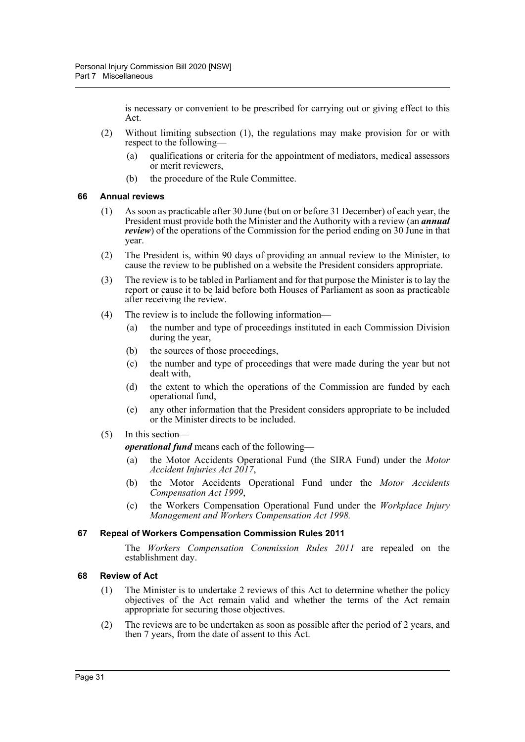is necessary or convenient to be prescribed for carrying out or giving effect to this Act.

- (2) Without limiting subsection (1), the regulations may make provision for or with respect to the following—
	- (a) qualifications or criteria for the appointment of mediators, medical assessors or merit reviewers,
	- (b) the procedure of the Rule Committee.

#### <span id="page-34-0"></span>**66 Annual reviews**

- (1) As soon as practicable after 30 June (but on or before 31 December) of each year, the President must provide both the Minister and the Authority with a review (an *annual review*) of the operations of the Commission for the period ending on 30 June in that year.
- (2) The President is, within 90 days of providing an annual review to the Minister, to cause the review to be published on a website the President considers appropriate.
- (3) The review is to be tabled in Parliament and for that purpose the Minister is to lay the report or cause it to be laid before both Houses of Parliament as soon as practicable after receiving the review.
- (4) The review is to include the following information—
	- (a) the number and type of proceedings instituted in each Commission Division during the year,
	- (b) the sources of those proceedings,
	- (c) the number and type of proceedings that were made during the year but not dealt with,
	- (d) the extent to which the operations of the Commission are funded by each operational fund,
	- (e) any other information that the President considers appropriate to be included or the Minister directs to be included.
- (5) In this section—

*operational fund* means each of the following—

- (a) the Motor Accidents Operational Fund (the SIRA Fund) under the *Motor Accident Injuries Act 2017*,
- (b) the Motor Accidents Operational Fund under the *Motor Accidents Compensation Act 1999*,
- (c) the Workers Compensation Operational Fund under the *Workplace Injury Management and Workers Compensation Act 1998.*

### <span id="page-34-1"></span>**67 Repeal of Workers Compensation Commission Rules 2011**

The *Workers Compensation Commission Rules 2011* are repealed on the establishment day.

### <span id="page-34-2"></span>**68 Review of Act**

- (1) The Minister is to undertake 2 reviews of this Act to determine whether the policy objectives of the Act remain valid and whether the terms of the Act remain appropriate for securing those objectives.
- (2) The reviews are to be undertaken as soon as possible after the period of 2 years, and then 7 years, from the date of assent to this Act.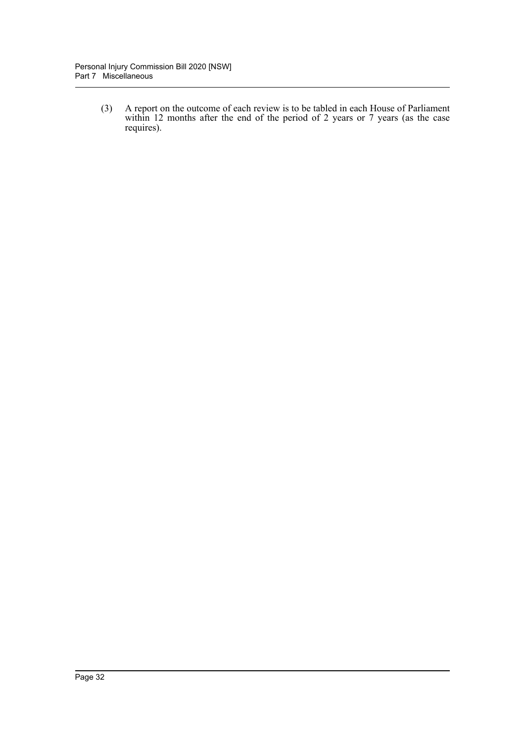(3) A report on the outcome of each review is to be tabled in each House of Parliament within 12 months after the end of the period of 2 years or 7 years (as the case requires).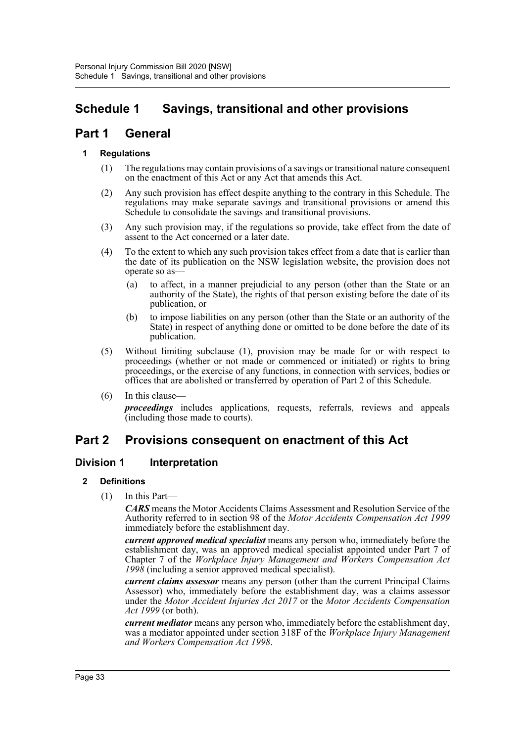# **Schedule 1 Savings, transitional and other provisions**

# **Part 1 General**

# **1 Regulations**

- (1) The regulations may contain provisions of a savings or transitional nature consequent on the enactment of this Act or any Act that amends this Act.
- (2) Any such provision has effect despite anything to the contrary in this Schedule. The regulations may make separate savings and transitional provisions or amend this Schedule to consolidate the savings and transitional provisions.
- (3) Any such provision may, if the regulations so provide, take effect from the date of assent to the Act concerned or a later date.
- (4) To the extent to which any such provision takes effect from a date that is earlier than the date of its publication on the NSW legislation website, the provision does not operate so as—
	- (a) to affect, in a manner prejudicial to any person (other than the State or an authority of the State), the rights of that person existing before the date of its publication, or
	- (b) to impose liabilities on any person (other than the State or an authority of the State) in respect of anything done or omitted to be done before the date of its publication.
- (5) Without limiting subclause (1), provision may be made for or with respect to proceedings (whether or not made or commenced or initiated) or rights to bring proceedings, or the exercise of any functions, in connection with services, bodies or offices that are abolished or transferred by operation of Part 2 of this Schedule.
- $(6)$  In this clause-

*proceedings* includes applications, requests, referrals, reviews and appeals (including those made to courts).

# **Part 2 Provisions consequent on enactment of this Act**

# **Division 1 Interpretation**

# **2 Definitions**

(1) In this Part—

*CARS* means the Motor Accidents Claims Assessment and Resolution Service of the Authority referred to in section 98 of the *Motor Accidents Compensation Act 1999* immediately before the establishment day.

*current approved medical specialist* means any person who, immediately before the establishment day, was an approved medical specialist appointed under Part 7 of Chapter 7 of the *Workplace Injury Management and Workers Compensation Act 1998* (including a senior approved medical specialist).

*current claims assessor* means any person (other than the current Principal Claims Assessor) who, immediately before the establishment day, was a claims assessor under the *Motor Accident Injuries Act 2017* or the *Motor Accidents Compensation Act 1999* (or both).

*current mediator* means any person who, immediately before the establishment day, was a mediator appointed under section 318F of the *Workplace Injury Management and Workers Compensation Act 1998*.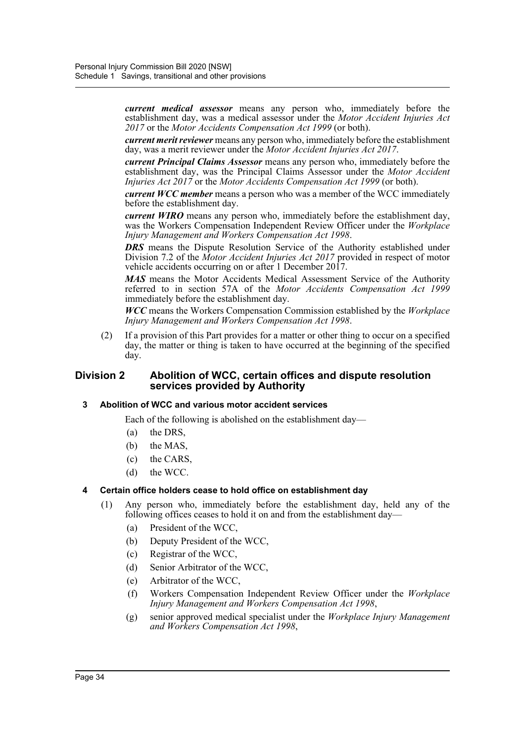*current medical assessor* means any person who, immediately before the establishment day, was a medical assessor under the *Motor Accident Injuries Act 2017* or the *Motor Accidents Compensation Act 1999* (or both).

*current merit reviewer* means any person who, immediately before the establishment day, was a merit reviewer under the *Motor Accident Injuries Act 2017*.

*current Principal Claims Assessor* means any person who, immediately before the establishment day, was the Principal Claims Assessor under the *Motor Accident Injuries Act 2017* or the *Motor Accidents Compensation Act 1999* (or both).

*current WCC member* means a person who was a member of the WCC immediately before the establishment day.

*current WIRO* means any person who, immediately before the establishment day, was the Workers Compensation Independent Review Officer under the *Workplace Injury Management and Workers Compensation Act 1998*.

*DRS* means the Dispute Resolution Service of the Authority established under Division 7.2 of the *Motor Accident Injuries Act 2017* provided in respect of motor vehicle accidents occurring on or after 1 December 2017.

*MAS* means the Motor Accidents Medical Assessment Service of the Authority referred to in section 57A of the *Motor Accidents Compensation Act 1999* immediately before the establishment day.

*WCC* means the Workers Compensation Commission established by the *Workplace Injury Management and Workers Compensation Act 1998*.

(2) If a provision of this Part provides for a matter or other thing to occur on a specified day, the matter or thing is taken to have occurred at the beginning of the specified day.

# **Division 2 Abolition of WCC, certain offices and dispute resolution services provided by Authority**

#### **3 Abolition of WCC and various motor accident services**

Each of the following is abolished on the establishment day—

- (a) the DRS,
- (b) the MAS,
- (c) the CARS,
- (d) the WCC.

# **4 Certain office holders cease to hold office on establishment day**

- (1) Any person who, immediately before the establishment day, held any of the following offices ceases to hold it on and from the establishment day—
	- (a) President of the WCC,
	- (b) Deputy President of the WCC,
	- (c) Registrar of the WCC,
	- (d) Senior Arbitrator of the WCC,
	- (e) Arbitrator of the WCC,
	- (f) Workers Compensation Independent Review Officer under the *Workplace Injury Management and Workers Compensation Act 1998*,
	- (g) senior approved medical specialist under the *Workplace Injury Management and Workers Compensation Act 1998*,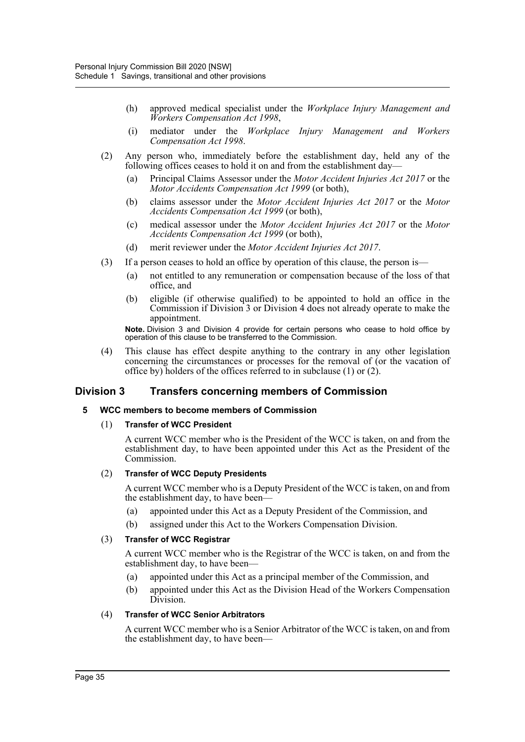- (h) approved medical specialist under the *Workplace Injury Management and Workers Compensation Act 1998*,
- (i) mediator under the *Workplace Injury Management and Workers Compensation Act 1998*.
- (2) Any person who, immediately before the establishment day, held any of the following offices ceases to hold it on and from the establishment day—
	- (a) Principal Claims Assessor under the *Motor Accident Injuries Act 2017* or the *Motor Accidents Compensation Act 1999* (or both),
	- (b) claims assessor under the *Motor Accident Injuries Act 2017* or the *Motor Accidents Compensation Act 1999* (or both),
	- (c) medical assessor under the *Motor Accident Injuries Act 2017* or the *Motor Accidents Compensation Act 1999* (or both),
	- (d) merit reviewer under the *Motor Accident Injuries Act 2017*.
- (3) If a person ceases to hold an office by operation of this clause, the person is—
	- (a) not entitled to any remuneration or compensation because of the loss of that office, and
	- (b) eligible (if otherwise qualified) to be appointed to hold an office in the Commission if Division 3 or Division 4 does not already operate to make the appointment.

**Note.** Division 3 and Division 4 provide for certain persons who cease to hold office by operation of this clause to be transferred to the Commission.

(4) This clause has effect despite anything to the contrary in any other legislation concerning the circumstances or processes for the removal of (or the vacation of office by) holders of the offices referred to in subclause (1) or (2).

# **Division 3 Transfers concerning members of Commission**

#### **5 WCC members to become members of Commission**

#### (1) **Transfer of WCC President**

A current WCC member who is the President of the WCC is taken, on and from the establishment day, to have been appointed under this Act as the President of the Commission.

#### (2) **Transfer of WCC Deputy Presidents**

A current WCC member who is a Deputy President of the WCC is taken, on and from the establishment day, to have been—

- (a) appointed under this Act as a Deputy President of the Commission, and
- (b) assigned under this Act to the Workers Compensation Division.

#### (3) **Transfer of WCC Registrar**

A current WCC member who is the Registrar of the WCC is taken, on and from the establishment day, to have been—

- (a) appointed under this Act as a principal member of the Commission, and
- (b) appointed under this Act as the Division Head of the Workers Compensation Division.

#### (4) **Transfer of WCC Senior Arbitrators**

A current WCC member who is a Senior Arbitrator of the WCC is taken, on and from the establishment day, to have been—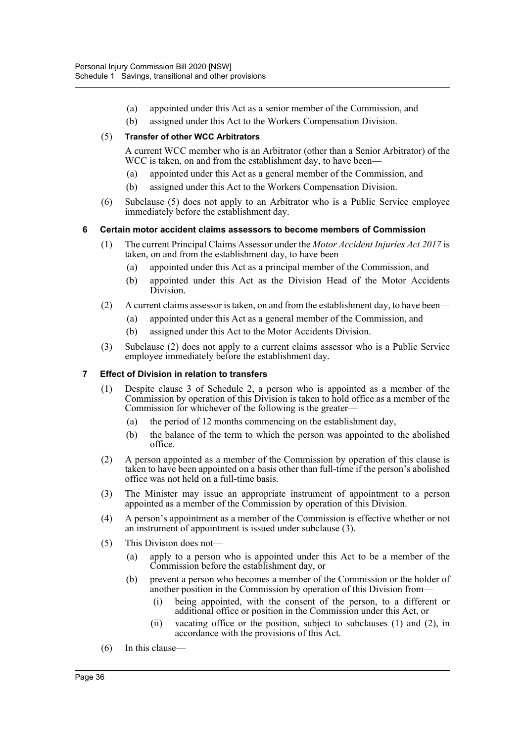- (a) appointed under this Act as a senior member of the Commission, and
- (b) assigned under this Act to the Workers Compensation Division.

## (5) **Transfer of other WCC Arbitrators**

A current WCC member who is an Arbitrator (other than a Senior Arbitrator) of the WCC is taken, on and from the establishment day, to have been—

- (a) appointed under this Act as a general member of the Commission, and
- (b) assigned under this Act to the Workers Compensation Division.
- (6) Subclause (5) does not apply to an Arbitrator who is a Public Service employee immediately before the establishment day.

## **6 Certain motor accident claims assessors to become members of Commission**

- (1) The current Principal Claims Assessor under the *Motor Accident Injuries Act 2017* is taken, on and from the establishment day, to have been—
	- (a) appointed under this Act as a principal member of the Commission, and
	- (b) appointed under this Act as the Division Head of the Motor Accidents Division.
- (2) A current claims assessor is taken, on and from the establishment day, to have been—
	- (a) appointed under this Act as a general member of the Commission, and
	- (b) assigned under this Act to the Motor Accidents Division.
- (3) Subclause (2) does not apply to a current claims assessor who is a Public Service employee immediately before the establishment day.

#### **7 Effect of Division in relation to transfers**

- (1) Despite clause 3 of Schedule 2, a person who is appointed as a member of the Commission by operation of this Division is taken to hold office as a member of the Commission for whichever of the following is the greater—
	- (a) the period of 12 months commencing on the establishment day,
	- (b) the balance of the term to which the person was appointed to the abolished office.
- (2) A person appointed as a member of the Commission by operation of this clause is taken to have been appointed on a basis other than full-time if the person's abolished office was not held on a full-time basis.
- (3) The Minister may issue an appropriate instrument of appointment to a person appointed as a member of the Commission by operation of this Division.
- (4) A person's appointment as a member of the Commission is effective whether or not an instrument of appointment is issued under subclause (3).
- (5) This Division does not—
	- (a) apply to a person who is appointed under this Act to be a member of the Commission before the establishment day, or
	- (b) prevent a person who becomes a member of the Commission or the holder of another position in the Commission by operation of this Division from—
		- (i) being appointed, with the consent of the person, to a different or additional office or position in the Commission under this Act, or
		- (ii) vacating office or the position, subject to subclauses (1) and (2), in accordance with the provisions of this Act.
- (6) In this clause—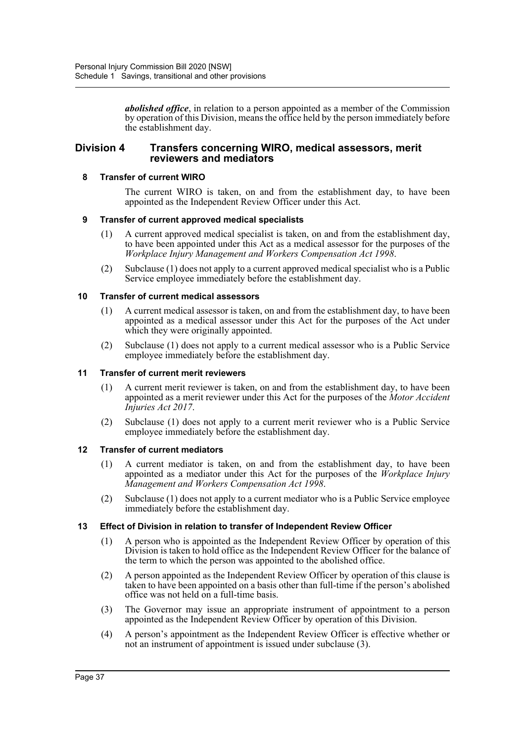*abolished office*, in relation to a person appointed as a member of the Commission by operation of this Division, means the office held by the person immediately before the establishment day.

# **Division 4 Transfers concerning WIRO, medical assessors, merit reviewers and mediators**

#### **8 Transfer of current WIRO**

The current WIRO is taken, on and from the establishment day, to have been appointed as the Independent Review Officer under this Act.

## **9 Transfer of current approved medical specialists**

- (1) A current approved medical specialist is taken, on and from the establishment day, to have been appointed under this Act as a medical assessor for the purposes of the *Workplace Injury Management and Workers Compensation Act 1998*.
- (2) Subclause (1) does not apply to a current approved medical specialist who is a Public Service employee immediately before the establishment day.

## **10 Transfer of current medical assessors**

- (1) A current medical assessor is taken, on and from the establishment day, to have been appointed as a medical assessor under this Act for the purposes of the Act under which they were originally appointed.
- (2) Subclause (1) does not apply to a current medical assessor who is a Public Service employee immediately before the establishment day.

#### **11 Transfer of current merit reviewers**

- (1) A current merit reviewer is taken, on and from the establishment day, to have been appointed as a merit reviewer under this Act for the purposes of the *Motor Accident Injuries Act 2017*.
- (2) Subclause (1) does not apply to a current merit reviewer who is a Public Service employee immediately before the establishment day.

#### **12 Transfer of current mediators**

- (1) A current mediator is taken, on and from the establishment day, to have been appointed as a mediator under this Act for the purposes of the *Workplace Injury Management and Workers Compensation Act 1998*.
- (2) Subclause (1) does not apply to a current mediator who is a Public Service employee immediately before the establishment day.

# **13 Effect of Division in relation to transfer of Independent Review Officer**

- (1) A person who is appointed as the Independent Review Officer by operation of this Division is taken to hold office as the Independent Review Officer for the balance of the term to which the person was appointed to the abolished office.
- (2) A person appointed as the Independent Review Officer by operation of this clause is taken to have been appointed on a basis other than full-time if the person's abolished office was not held on a full-time basis.
- (3) The Governor may issue an appropriate instrument of appointment to a person appointed as the Independent Review Officer by operation of this Division.
- (4) A person's appointment as the Independent Review Officer is effective whether or not an instrument of appointment is issued under subclause (3).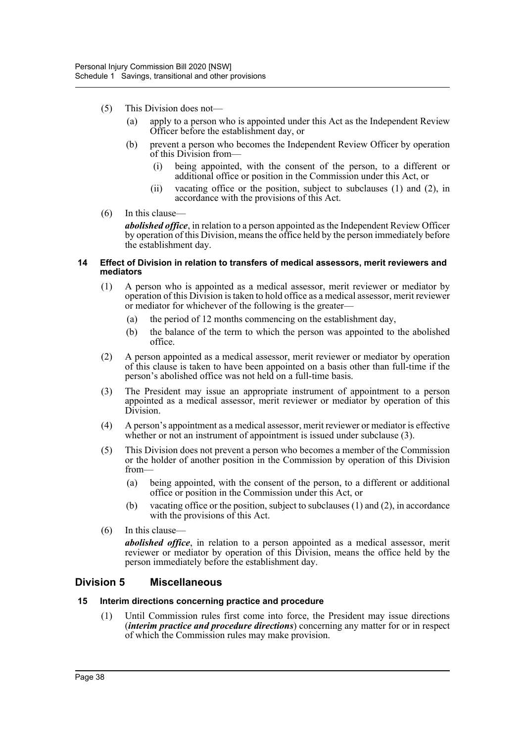- (5) This Division does not—
	- (a) apply to a person who is appointed under this Act as the Independent Review Officer before the establishment day, or
	- (b) prevent a person who becomes the Independent Review Officer by operation of this Division from—
		- (i) being appointed, with the consent of the person, to a different or additional office or position in the Commission under this Act, or
		- (ii) vacating office or the position, subject to subclauses (1) and (2), in accordance with the provisions of this Act.
- (6) In this clause—

*abolished office*, in relation to a person appointed as the Independent Review Officer by operation of this Division, means the office held by the person immediately before the establishment day.

#### **14 Effect of Division in relation to transfers of medical assessors, merit reviewers and mediators**

- (1) A person who is appointed as a medical assessor, merit reviewer or mediator by operation of this Division is taken to hold office as a medical assessor, merit reviewer or mediator for whichever of the following is the greater—
	- (a) the period of 12 months commencing on the establishment day,
	- (b) the balance of the term to which the person was appointed to the abolished office.
- (2) A person appointed as a medical assessor, merit reviewer or mediator by operation of this clause is taken to have been appointed on a basis other than full-time if the person's abolished office was not held on a full-time basis.
- (3) The President may issue an appropriate instrument of appointment to a person appointed as a medical assessor, merit reviewer or mediator by operation of this Division.
- (4) A person's appointment as a medical assessor, merit reviewer or mediator is effective whether or not an instrument of appointment is issued under subclause (3).
- (5) This Division does not prevent a person who becomes a member of the Commission or the holder of another position in the Commission by operation of this Division from—
	- (a) being appointed, with the consent of the person, to a different or additional office or position in the Commission under this Act, or
	- (b) vacating office or the position, subject to subclauses (1) and (2), in accordance with the provisions of this Act.
- (6) In this clause—

*abolished office*, in relation to a person appointed as a medical assessor, merit reviewer or mediator by operation of this Division, means the office held by the person immediately before the establishment day.

# **Division 5 Miscellaneous**

#### **15 Interim directions concerning practice and procedure**

(1) Until Commission rules first come into force, the President may issue directions (*interim practice and procedure directions*) concerning any matter for or in respect of which the Commission rules may make provision.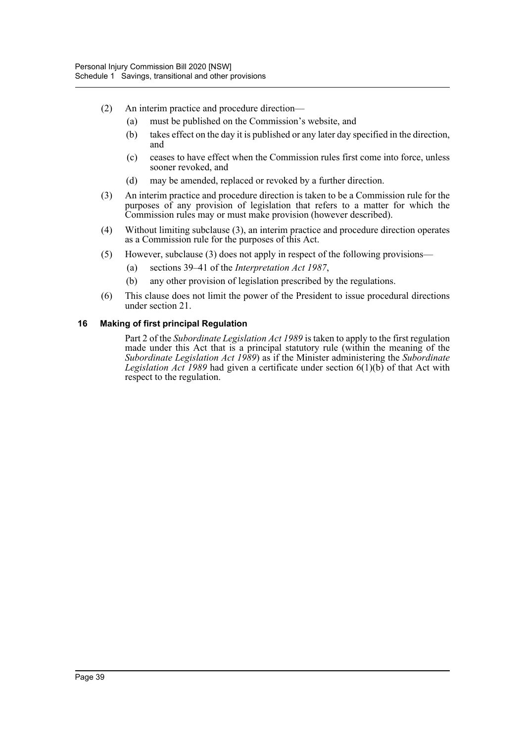- (2) An interim practice and procedure direction—
	- (a) must be published on the Commission's website, and
	- (b) takes effect on the day it is published or any later day specified in the direction, and
	- (c) ceases to have effect when the Commission rules first come into force, unless sooner revoked, and
	- (d) may be amended, replaced or revoked by a further direction.
- (3) An interim practice and procedure direction is taken to be a Commission rule for the purposes of any provision of legislation that refers to a matter for which the Commission rules may or must make provision (however described).
- (4) Without limiting subclause (3), an interim practice and procedure direction operates as a Commission rule for the purposes of this Act.
- (5) However, subclause (3) does not apply in respect of the following provisions—
	- (a) sections 39–41 of the *Interpretation Act 1987*,
	- (b) any other provision of legislation prescribed by the regulations.
- (6) This clause does not limit the power of the President to issue procedural directions under section 21.

#### **16 Making of first principal Regulation**

Part 2 of the *Subordinate Legislation Act 1989* is taken to apply to the first regulation made under this Act that is a principal statutory rule (within the meaning of the *Subordinate Legislation Act 1989*) as if the Minister administering the *Subordinate Legislation Act 1989* had given a certificate under section 6(1)(b) of that Act with respect to the regulation.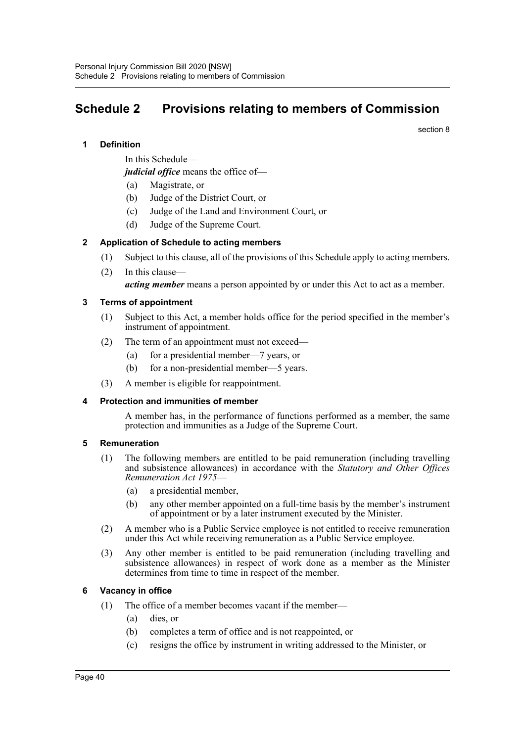# **Schedule 2 Provisions relating to members of Commission**

section 8

# **1 Definition**

In this Schedule—

*judicial office* means the office of—

- (a) Magistrate, or
- (b) Judge of the District Court, or
- (c) Judge of the Land and Environment Court, or
- (d) Judge of the Supreme Court.

## **2 Application of Schedule to acting members**

- (1) Subject to this clause, all of the provisions of this Schedule apply to acting members.
- (2) In this clause—

*acting member* means a person appointed by or under this Act to act as a member.

## **3 Terms of appointment**

- (1) Subject to this Act, a member holds office for the period specified in the member's instrument of appointment.
- (2) The term of an appointment must not exceed—
	- (a) for a presidential member—7 years, or
	- (b) for a non-presidential member—5 years.
- (3) A member is eligible for reappointment.

#### **4 Protection and immunities of member**

A member has, in the performance of functions performed as a member, the same protection and immunities as a Judge of the Supreme Court.

#### **5 Remuneration**

- (1) The following members are entitled to be paid remuneration (including travelling and subsistence allowances) in accordance with the *Statutory and Other Offices Remuneration Act 1975*—
	- (a) a presidential member,
	- (b) any other member appointed on a full-time basis by the member's instrument of appointment or by a later instrument executed by the Minister.
- (2) A member who is a Public Service employee is not entitled to receive remuneration under this Act while receiving remuneration as a Public Service employee.
- (3) Any other member is entitled to be paid remuneration (including travelling and subsistence allowances) in respect of work done as a member as the Minister determines from time to time in respect of the member.

#### **6 Vacancy in office**

- (1) The office of a member becomes vacant if the member—
	- (a) dies, or
	- (b) completes a term of office and is not reappointed, or
	- (c) resigns the office by instrument in writing addressed to the Minister, or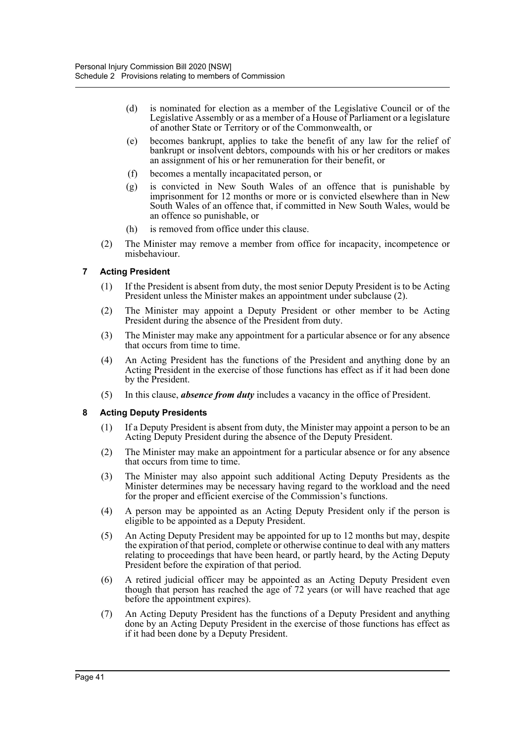- (d) is nominated for election as a member of the Legislative Council or of the Legislative Assembly or as a member of a House of Parliament or a legislature of another State or Territory or of the Commonwealth, or
- (e) becomes bankrupt, applies to take the benefit of any law for the relief of bankrupt or insolvent debtors, compounds with his or her creditors or makes an assignment of his or her remuneration for their benefit, or
- (f) becomes a mentally incapacitated person, or
- (g) is convicted in New South Wales of an offence that is punishable by imprisonment for 12 months or more or is convicted elsewhere than in New South Wales of an offence that, if committed in New South Wales, would be an offence so punishable, or
- (h) is removed from office under this clause.
- (2) The Minister may remove a member from office for incapacity, incompetence or misbehaviour.

# **7 Acting President**

- (1) If the President is absent from duty, the most senior Deputy President is to be Acting President unless the Minister makes an appointment under subclause (2).
- (2) The Minister may appoint a Deputy President or other member to be Acting President during the absence of the President from duty.
- (3) The Minister may make any appointment for a particular absence or for any absence that occurs from time to time.
- (4) An Acting President has the functions of the President and anything done by an Acting President in the exercise of those functions has effect as if it had been done by the President.
- (5) In this clause, *absence from duty* includes a vacancy in the office of President.

# **8 Acting Deputy Presidents**

- (1) If a Deputy President is absent from duty, the Minister may appoint a person to be an Acting Deputy President during the absence of the Deputy President.
- (2) The Minister may make an appointment for a particular absence or for any absence that occurs from time to time.
- (3) The Minister may also appoint such additional Acting Deputy Presidents as the Minister determines may be necessary having regard to the workload and the need for the proper and efficient exercise of the Commission's functions.
- (4) A person may be appointed as an Acting Deputy President only if the person is eligible to be appointed as a Deputy President.
- (5) An Acting Deputy President may be appointed for up to 12 months but may, despite the expiration of that period, complete or otherwise continue to deal with any matters relating to proceedings that have been heard, or partly heard, by the Acting Deputy President before the expiration of that period.
- (6) A retired judicial officer may be appointed as an Acting Deputy President even though that person has reached the age of 72 years (or will have reached that age before the appointment expires).
- (7) An Acting Deputy President has the functions of a Deputy President and anything done by an Acting Deputy President in the exercise of those functions has effect as if it had been done by a Deputy President.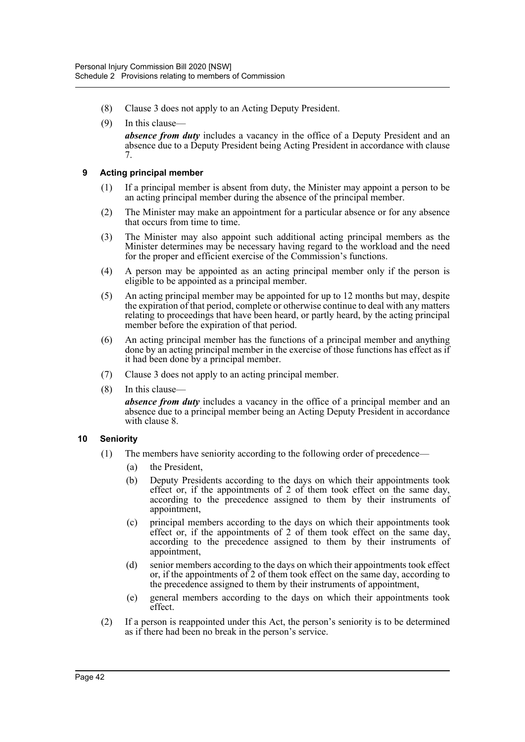- (8) Clause 3 does not apply to an Acting Deputy President.
- (9) In this clause *absence from duty* includes a vacancy in the office of a Deputy President and an absence due to a Deputy President being Acting President in accordance with clause 7.

#### **9 Acting principal member**

- (1) If a principal member is absent from duty, the Minister may appoint a person to be an acting principal member during the absence of the principal member.
- (2) The Minister may make an appointment for a particular absence or for any absence that occurs from time to time.
- (3) The Minister may also appoint such additional acting principal members as the Minister determines may be necessary having regard to the workload and the need for the proper and efficient exercise of the Commission's functions.
- (4) A person may be appointed as an acting principal member only if the person is eligible to be appointed as a principal member.
- (5) An acting principal member may be appointed for up to 12 months but may, despite the expiration of that period, complete or otherwise continue to deal with any matters relating to proceedings that have been heard, or partly heard, by the acting principal member before the expiration of that period.
- (6) An acting principal member has the functions of a principal member and anything done by an acting principal member in the exercise of those functions has effect as if it had been done by a principal member.
- (7) Clause 3 does not apply to an acting principal member.
- (8) In this clause—

*absence from duty* includes a vacancy in the office of a principal member and an absence due to a principal member being an Acting Deputy President in accordance with clause 8.

#### **10 Seniority**

- (1) The members have seniority according to the following order of precedence—
	- (a) the President,
	- (b) Deputy Presidents according to the days on which their appointments took effect or, if the appointments of 2 of them took effect on the same day, according to the precedence assigned to them by their instruments of appointment,
	- (c) principal members according to the days on which their appointments took effect or, if the appointments of 2 of them took effect on the same day, according to the precedence assigned to them by their instruments of appointment,
	- (d) senior members according to the days on which their appointments took effect or, if the appointments of 2 of them took effect on the same day, according to the precedence assigned to them by their instruments of appointment,
	- (e) general members according to the days on which their appointments took effect.
- (2) If a person is reappointed under this Act, the person's seniority is to be determined as if there had been no break in the person's service.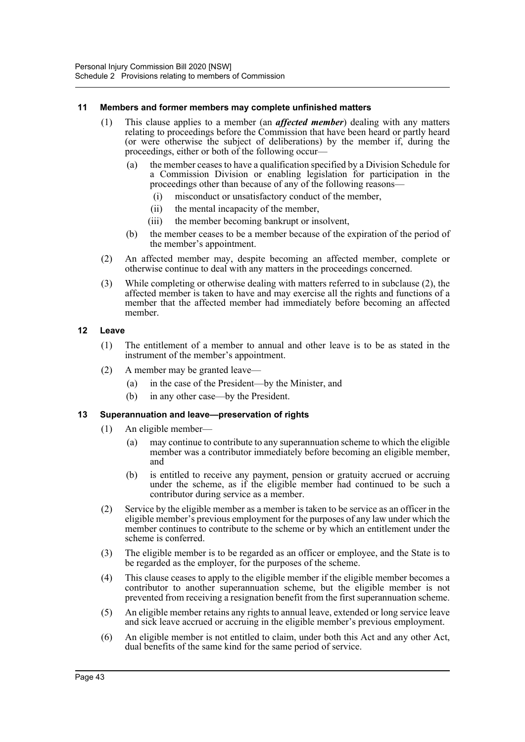#### **11 Members and former members may complete unfinished matters**

- (1) This clause applies to a member (an *affected member*) dealing with any matters relating to proceedings before the Commission that have been heard or partly heard (or were otherwise the subject of deliberations) by the member if, during the proceedings, either or both of the following occur—
	- (a) the member ceases to have a qualification specified by a Division Schedule for a Commission Division or enabling legislation for participation in the proceedings other than because of any of the following reasons—
		- (i) misconduct or unsatisfactory conduct of the member,
		- (ii) the mental incapacity of the member,
		- (iii) the member becoming bankrupt or insolvent,
	- (b) the member ceases to be a member because of the expiration of the period of the member's appointment.
- (2) An affected member may, despite becoming an affected member, complete or otherwise continue to deal with any matters in the proceedings concerned.
- (3) While completing or otherwise dealing with matters referred to in subclause (2), the affected member is taken to have and may exercise all the rights and functions of a member that the affected member had immediately before becoming an affected member.

## **12 Leave**

- (1) The entitlement of a member to annual and other leave is to be as stated in the instrument of the member's appointment.
- (2) A member may be granted leave—
	- (a) in the case of the President—by the Minister, and
	- (b) in any other case—by the President.

#### **13 Superannuation and leave—preservation of rights**

- (1) An eligible member—
	- (a) may continue to contribute to any superannuation scheme to which the eligible member was a contributor immediately before becoming an eligible member, and
	- (b) is entitled to receive any payment, pension or gratuity accrued or accruing under the scheme, as if the eligible member had continued to be such a contributor during service as a member.
- (2) Service by the eligible member as a member is taken to be service as an officer in the eligible member's previous employment for the purposes of any law under which the member continues to contribute to the scheme or by which an entitlement under the scheme is conferred.
- (3) The eligible member is to be regarded as an officer or employee, and the State is to be regarded as the employer, for the purposes of the scheme.
- (4) This clause ceases to apply to the eligible member if the eligible member becomes a contributor to another superannuation scheme, but the eligible member is not prevented from receiving a resignation benefit from the first superannuation scheme.
- (5) An eligible member retains any rights to annual leave, extended or long service leave and sick leave accrued or accruing in the eligible member's previous employment.
- (6) An eligible member is not entitled to claim, under both this Act and any other Act, dual benefits of the same kind for the same period of service.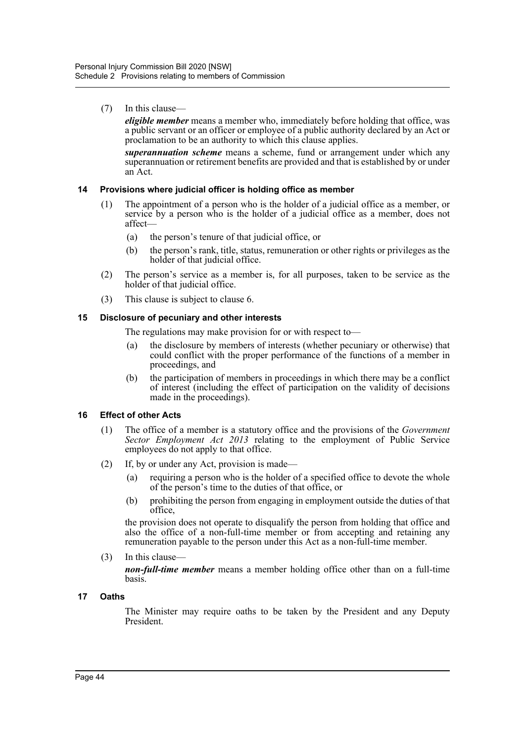(7) In this clause—

*eligible member* means a member who, immediately before holding that office, was a public servant or an officer or employee of a public authority declared by an Act or proclamation to be an authority to which this clause applies.

*superannuation scheme* means a scheme, fund or arrangement under which any superannuation or retirement benefits are provided and that is established by or under an Act.

## **14 Provisions where judicial officer is holding office as member**

- (1) The appointment of a person who is the holder of a judicial office as a member, or service by a person who is the holder of a judicial office as a member, does not affect—
	- (a) the person's tenure of that judicial office, or
	- (b) the person's rank, title, status, remuneration or other rights or privileges as the holder of that judicial office.
- (2) The person's service as a member is, for all purposes, taken to be service as the holder of that judicial office.
- (3) This clause is subject to clause 6.

#### **15 Disclosure of pecuniary and other interests**

The regulations may make provision for or with respect to—

- (a) the disclosure by members of interests (whether pecuniary or otherwise) that could conflict with the proper performance of the functions of a member in proceedings, and
- (b) the participation of members in proceedings in which there may be a conflict of interest (including the effect of participation on the validity of decisions made in the proceedings).

#### **16 Effect of other Acts**

- (1) The office of a member is a statutory office and the provisions of the *Government Sector Employment Act 2013* relating to the employment of Public Service employees do not apply to that office.
- (2) If, by or under any Act, provision is made—
	- (a) requiring a person who is the holder of a specified office to devote the whole of the person's time to the duties of that office, or
	- (b) prohibiting the person from engaging in employment outside the duties of that office,

the provision does not operate to disqualify the person from holding that office and also the office of a non-full-time member or from accepting and retaining any remuneration payable to the person under this Act as a non-full-time member.

(3) In this clause—

*non-full-time member* means a member holding office other than on a full-time basis.

#### **17 Oaths**

The Minister may require oaths to be taken by the President and any Deputy President.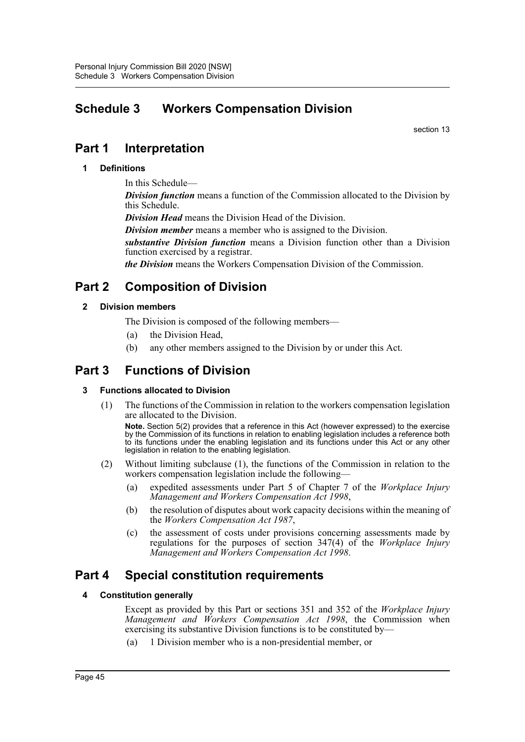# **Schedule 3 Workers Compensation Division**

section 13

# **Part 1 Interpretation**

# **1 Definitions**

In this Schedule—

*Division function* means a function of the Commission allocated to the Division by this Schedule.

*Division Head* means the Division Head of the Division.

*Division member* means a member who is assigned to the Division.

*substantive Division function* means a Division function other than a Division function exercised by a registrar.

*the Division* means the Workers Compensation Division of the Commission.

# **Part 2 Composition of Division**

# **2 Division members**

- The Division is composed of the following members—
- (a) the Division Head,
- (b) any other members assigned to the Division by or under this Act.

# **Part 3 Functions of Division**

# **3 Functions allocated to Division**

(1) The functions of the Commission in relation to the workers compensation legislation are allocated to the Division.

**Note.** Section 5(2) provides that a reference in this Act (however expressed) to the exercise by the Commission of its functions in relation to enabling legislation includes a reference both to its functions under the enabling legislation and its functions under this Act or any other legislation in relation to the enabling legislation.

- (2) Without limiting subclause (1), the functions of the Commission in relation to the workers compensation legislation include the following—
	- (a) expedited assessments under Part 5 of Chapter 7 of the *Workplace Injury Management and Workers Compensation Act 1998*,
	- (b) the resolution of disputes about work capacity decisions within the meaning of the *Workers Compensation Act 1987*,
	- (c) the assessment of costs under provisions concerning assessments made by regulations for the purposes of section 347(4) of the *Workplace Injury Management and Workers Compensation Act 1998*.

# **Part 4 Special constitution requirements**

# **4 Constitution generally**

Except as provided by this Part or sections 351 and 352 of the *Workplace Injury Management and Workers Compensation Act 1998*, the Commission when exercising its substantive Division functions is to be constituted by—

(a) 1 Division member who is a non-presidential member, or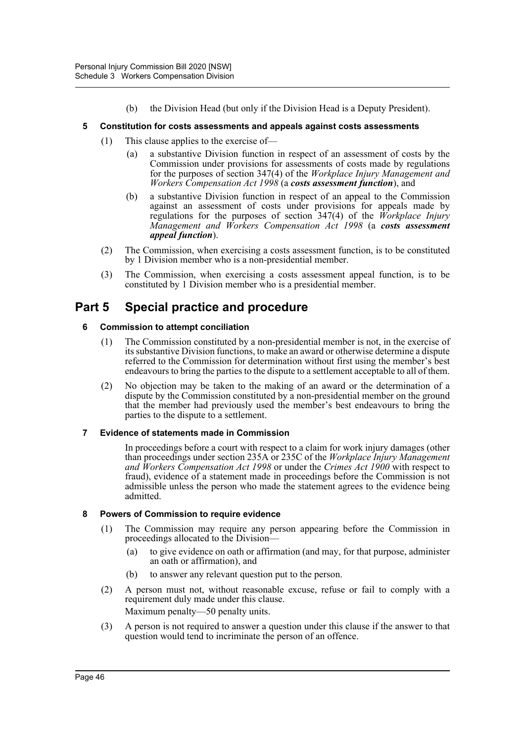(b) the Division Head (but only if the Division Head is a Deputy President).

#### **5 Constitution for costs assessments and appeals against costs assessments**

- (1) This clause applies to the exercise of—
	- (a) a substantive Division function in respect of an assessment of costs by the Commission under provisions for assessments of costs made by regulations for the purposes of section 347(4) of the *Workplace Injury Management and Workers Compensation Act 1998* (a *costs assessment function*), and
	- (b) a substantive Division function in respect of an appeal to the Commission against an assessment of costs under provisions for appeals made by regulations for the purposes of section 347(4) of the *Workplace Injury Management and Workers Compensation Act 1998* (a *costs assessment appeal function*).
- (2) The Commission, when exercising a costs assessment function, is to be constituted by 1 Division member who is a non-presidential member.
- (3) The Commission, when exercising a costs assessment appeal function, is to be constituted by 1 Division member who is a presidential member.

# **Part 5 Special practice and procedure**

## **6 Commission to attempt conciliation**

- (1) The Commission constituted by a non-presidential member is not, in the exercise of its substantive Division functions, to make an award or otherwise determine a dispute referred to the Commission for determination without first using the member's best endeavours to bring the parties to the dispute to a settlement acceptable to all of them.
- (2) No objection may be taken to the making of an award or the determination of a dispute by the Commission constituted by a non-presidential member on the ground that the member had previously used the member's best endeavours to bring the parties to the dispute to a settlement.

#### **7 Evidence of statements made in Commission**

In proceedings before a court with respect to a claim for work injury damages (other than proceedings under section 235A or 235C of the *Workplace Injury Management and Workers Compensation Act 1998* or under the *Crimes Act 1900* with respect to fraud), evidence of a statement made in proceedings before the Commission is not admissible unless the person who made the statement agrees to the evidence being admitted.

#### **8 Powers of Commission to require evidence**

- (1) The Commission may require any person appearing before the Commission in proceedings allocated to the Division—
	- (a) to give evidence on oath or affirmation (and may, for that purpose, administer an oath or affirmation), and
	- (b) to answer any relevant question put to the person.
- (2) A person must not, without reasonable excuse, refuse or fail to comply with a requirement duly made under this clause. Maximum penalty—50 penalty units.
- (3) A person is not required to answer a question under this clause if the answer to that question would tend to incriminate the person of an offence.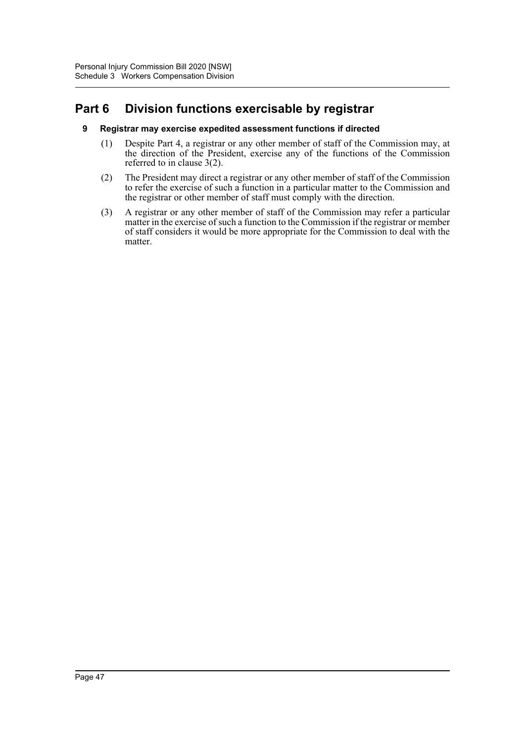# **Part 6 Division functions exercisable by registrar**

## **9 Registrar may exercise expedited assessment functions if directed**

- (1) Despite Part 4, a registrar or any other member of staff of the Commission may, at the direction of the President, exercise any of the functions of the Commission referred to in clause 3(2).
- (2) The President may direct a registrar or any other member of staff of the Commission to refer the exercise of such a function in a particular matter to the Commission and the registrar or other member of staff must comply with the direction.
- (3) A registrar or any other member of staff of the Commission may refer a particular matter in the exercise of such a function to the Commission if the registrar or member of staff considers it would be more appropriate for the Commission to deal with the matter.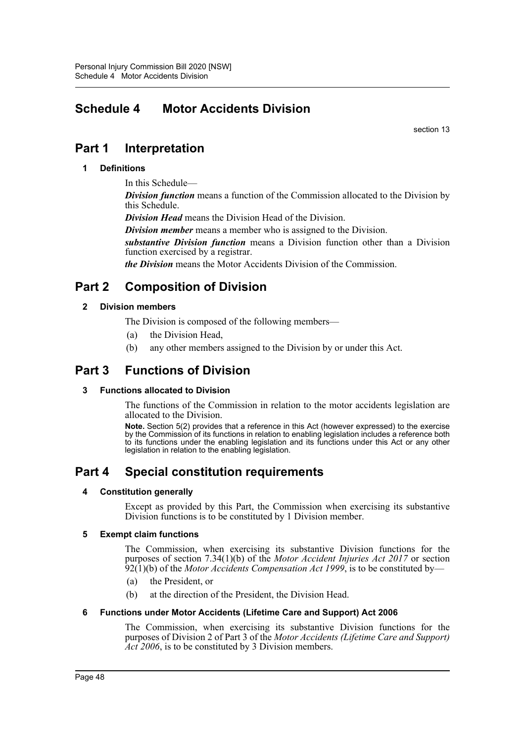# **Schedule 4 Motor Accidents Division**

section 13

# **Part 1 Interpretation**

# **1 Definitions**

In this Schedule—

*Division function* means a function of the Commission allocated to the Division by this Schedule.

*Division Head* means the Division Head of the Division.

*Division member* means a member who is assigned to the Division.

*substantive Division function* means a Division function other than a Division function exercised by a registrar.

*the Division* means the Motor Accidents Division of the Commission.

# **Part 2 Composition of Division**

# **2 Division members**

The Division is composed of the following members—

- (a) the Division Head,
- (b) any other members assigned to the Division by or under this Act.

# **Part 3 Functions of Division**

# **3 Functions allocated to Division**

The functions of the Commission in relation to the motor accidents legislation are allocated to the Division.

**Note.** Section 5(2) provides that a reference in this Act (however expressed) to the exercise by the Commission of its functions in relation to enabling legislation includes a reference both to its functions under the enabling legislation and its functions under this Act or any other legislation in relation to the enabling legislation.

# **Part 4 Special constitution requirements**

#### **4 Constitution generally**

Except as provided by this Part, the Commission when exercising its substantive Division functions is to be constituted by 1 Division member.

#### **5 Exempt claim functions**

The Commission, when exercising its substantive Division functions for the purposes of section 7.34(1)(b) of the *Motor Accident Injuries Act 2017* or section 92(1)(b) of the *Motor Accidents Compensation Act 1999*, is to be constituted by—

- (a) the President, or
- (b) at the direction of the President, the Division Head.

#### **6 Functions under Motor Accidents (Lifetime Care and Support) Act 2006**

The Commission, when exercising its substantive Division functions for the purposes of Division 2 of Part 3 of the *Motor Accidents (Lifetime Care and Support) Act 2006*, is to be constituted by 3 Division members.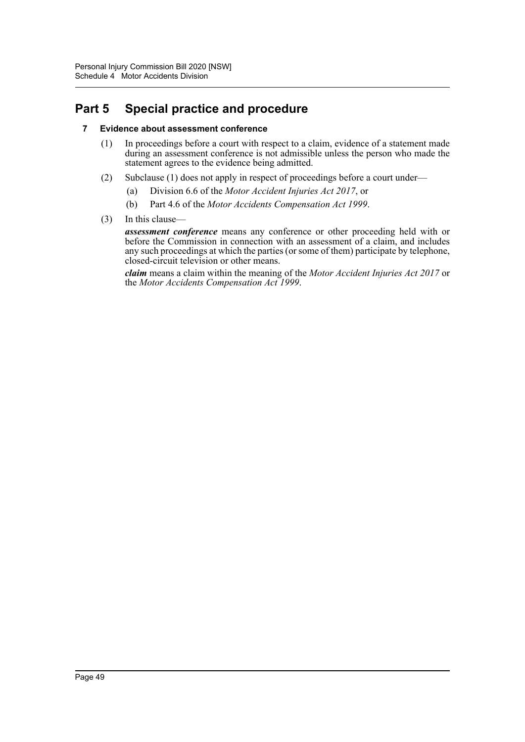# **Part 5 Special practice and procedure**

# **7 Evidence about assessment conference**

- (1) In proceedings before a court with respect to a claim, evidence of a statement made during an assessment conference is not admissible unless the person who made the statement agrees to the evidence being admitted.
- (2) Subclause (1) does not apply in respect of proceedings before a court under—
	- (a) Division 6.6 of the *Motor Accident Injuries Act 2017*, or
	- (b) Part 4.6 of the *Motor Accidents Compensation Act 1999*.
- (3) In this clause—

*assessment conference* means any conference or other proceeding held with or before the Commission in connection with an assessment of a claim, and includes any such proceedings at which the parties (or some of them) participate by telephone, closed-circuit television or other means.

*claim* means a claim within the meaning of the *Motor Accident Injuries Act 2017* or the *Motor Accidents Compensation Act 1999*.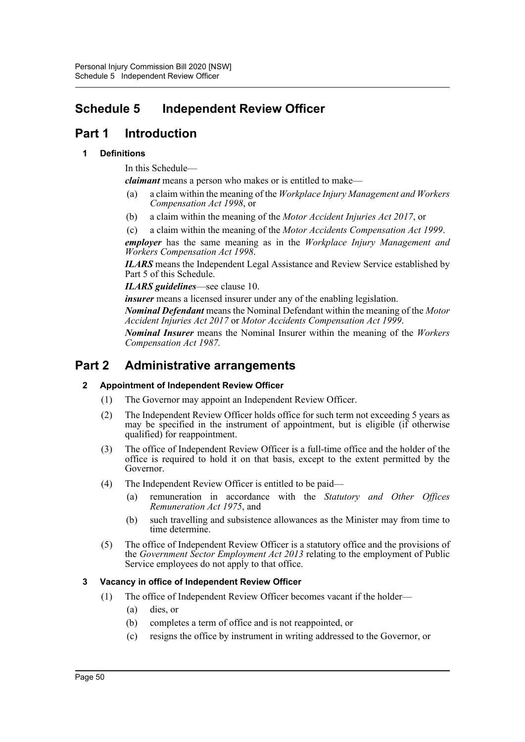# **Schedule 5 Independent Review Officer**

# **Part 1 Introduction**

# **1 Definitions**

In this Schedule—

*claimant* means a person who makes or is entitled to make—

- (a) a claim within the meaning of the *Workplace Injury Management and Workers Compensation Act 1998*, or
- (b) a claim within the meaning of the *Motor Accident Injuries Act 2017*, or

(c) a claim within the meaning of the *Motor Accidents Compensation Act 1999*. *employer* has the same meaning as in the *Workplace Injury Management and Workers Compensation Act 1998*.

*ILARS* means the Independent Legal Assistance and Review Service established by Part 5 of this Schedule.

*ILARS guidelines*—see clause 10.

*insurer* means a licensed insurer under any of the enabling legislation.

*Nominal Defendant* means the Nominal Defendant within the meaning of the *Motor Accident Injuries Act 2017* or *Motor Accidents Compensation Act 1999*.

*Nominal Insurer* means the Nominal Insurer within the meaning of the *Workers Compensation Act 1987.*

# **Part 2 Administrative arrangements**

# **2 Appointment of Independent Review Officer**

- (1) The Governor may appoint an Independent Review Officer.
- (2) The Independent Review Officer holds office for such term not exceeding 5 years as may be specified in the instrument of appointment, but is eligible (if otherwise qualified) for reappointment.
- (3) The office of Independent Review Officer is a full-time office and the holder of the office is required to hold it on that basis, except to the extent permitted by the Governor.
- (4) The Independent Review Officer is entitled to be paid—
	- (a) remuneration in accordance with the *Statutory and Other Offices Remuneration Act 1975*, and
	- (b) such travelling and subsistence allowances as the Minister may from time to time determine.
- (5) The office of Independent Review Officer is a statutory office and the provisions of the *Government Sector Employment Act 2013* relating to the employment of Public Service employees do not apply to that office.

# **3 Vacancy in office of Independent Review Officer**

- (1) The office of Independent Review Officer becomes vacant if the holder—
	- (a) dies, or
	- (b) completes a term of office and is not reappointed, or
	- (c) resigns the office by instrument in writing addressed to the Governor, or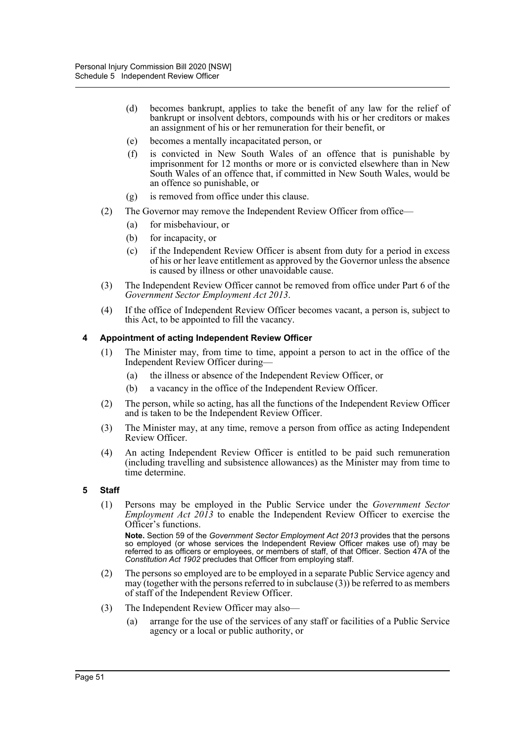- (d) becomes bankrupt, applies to take the benefit of any law for the relief of bankrupt or insolvent debtors, compounds with his or her creditors or makes an assignment of his or her remuneration for their benefit, or
- (e) becomes a mentally incapacitated person, or
- (f) is convicted in New South Wales of an offence that is punishable by imprisonment for 12 months or more or is convicted elsewhere than in New South Wales of an offence that, if committed in New South Wales, would be an offence so punishable, or
- (g) is removed from office under this clause.
- (2) The Governor may remove the Independent Review Officer from office—
	- (a) for misbehaviour, or
	- (b) for incapacity, or
	- (c) if the Independent Review Officer is absent from duty for a period in excess of his or her leave entitlement as approved by the Governor unless the absence is caused by illness or other unavoidable cause.
- (3) The Independent Review Officer cannot be removed from office under Part 6 of the *Government Sector Employment Act 2013*.
- (4) If the office of Independent Review Officer becomes vacant, a person is, subject to this Act, to be appointed to fill the vacancy.

#### **4 Appointment of acting Independent Review Officer**

- (1) The Minister may, from time to time, appoint a person to act in the office of the Independent Review Officer during—
	- (a) the illness or absence of the Independent Review Officer, or
	- (b) a vacancy in the office of the Independent Review Officer.
- (2) The person, while so acting, has all the functions of the Independent Review Officer and is taken to be the Independent Review Officer.
- (3) The Minister may, at any time, remove a person from office as acting Independent Review Officer.
- (4) An acting Independent Review Officer is entitled to be paid such remuneration (including travelling and subsistence allowances) as the Minister may from time to time determine.

#### **5 Staff**

(1) Persons may be employed in the Public Service under the *Government Sector Employment Act 2013* to enable the Independent Review Officer to exercise the Officer's functions.

**Note.** Section 59 of the *Government Sector Employment Act 2013* provides that the persons so employed (or whose services the Independent Review Officer makes use of) may be referred to as officers or employees, or members of staff, of that Officer. Section 47A of the *Constitution Act 1902* precludes that Officer from employing staff.

- (2) The persons so employed are to be employed in a separate Public Service agency and may (together with the persons referred to in subclause (3)) be referred to as members of staff of the Independent Review Officer.
- (3) The Independent Review Officer may also—
	- (a) arrange for the use of the services of any staff or facilities of a Public Service agency or a local or public authority, or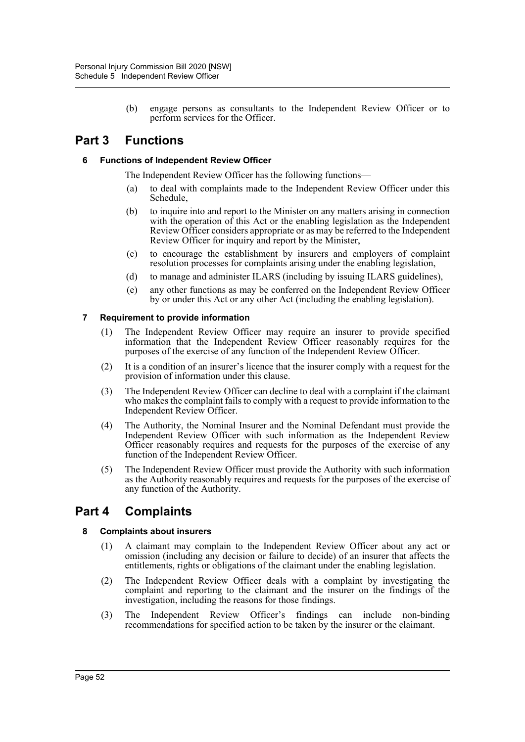(b) engage persons as consultants to the Independent Review Officer or to perform services for the Officer.

# **Part 3 Functions**

# **6 Functions of Independent Review Officer**

The Independent Review Officer has the following functions—

- (a) to deal with complaints made to the Independent Review Officer under this Schedule,
- (b) to inquire into and report to the Minister on any matters arising in connection with the operation of this Act or the enabling legislation as the Independent Review Officer considers appropriate or as may be referred to the Independent Review Officer for inquiry and report by the Minister,
- (c) to encourage the establishment by insurers and employers of complaint resolution processes for complaints arising under the enabling legislation,
- (d) to manage and administer ILARS (including by issuing ILARS guidelines),
- (e) any other functions as may be conferred on the Independent Review Officer by or under this Act or any other Act (including the enabling legislation).

## **7 Requirement to provide information**

- (1) The Independent Review Officer may require an insurer to provide specified information that the Independent Review Officer reasonably requires for the purposes of the exercise of any function of the Independent Review Officer.
- (2) It is a condition of an insurer's licence that the insurer comply with a request for the provision of information under this clause.
- (3) The Independent Review Officer can decline to deal with a complaint if the claimant who makes the complaint fails to comply with a request to provide information to the Independent Review Officer.
- (4) The Authority, the Nominal Insurer and the Nominal Defendant must provide the Independent Review Officer with such information as the Independent Review Officer reasonably requires and requests for the purposes of the exercise of any function of the Independent Review Officer.
- (5) The Independent Review Officer must provide the Authority with such information as the Authority reasonably requires and requests for the purposes of the exercise of any function of the Authority.

# **Part 4 Complaints**

# **8 Complaints about insurers**

- (1) A claimant may complain to the Independent Review Officer about any act or omission (including any decision or failure to decide) of an insurer that affects the entitlements, rights or obligations of the claimant under the enabling legislation.
- (2) The Independent Review Officer deals with a complaint by investigating the complaint and reporting to the claimant and the insurer on the findings of the investigation, including the reasons for those findings.
- (3) The Independent Review Officer's findings can include non-binding recommendations for specified action to be taken by the insurer or the claimant.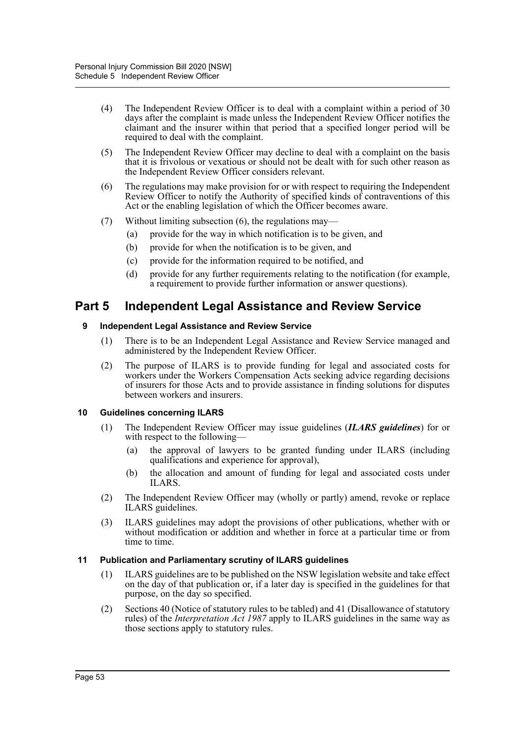- (4) The Independent Review Officer is to deal with a complaint within a period of 30 days after the complaint is made unless the Independent Review Officer notifies the claimant and the insurer within that period that a specified longer period will be required to deal with the complaint.
- (5) The Independent Review Officer may decline to deal with a complaint on the basis that it is frivolous or vexatious or should not be dealt with for such other reason as the Independent Review Officer considers relevant.
- (6) The regulations may make provision for or with respect to requiring the Independent Review Officer to notify the Authority of specified kinds of contraventions of this Act or the enabling legislation of which the Officer becomes aware.
- (7) Without limiting subsection (6), the regulations may—
	- (a) provide for the way in which notification is to be given, and
	- (b) provide for when the notification is to be given, and
	- (c) provide for the information required to be notified, and
	- (d) provide for any further requirements relating to the notification (for example, a requirement to provide further information or answer questions).

# **Part 5 Independent Legal Assistance and Review Service**

## **9 Independent Legal Assistance and Review Service**

- (1) There is to be an Independent Legal Assistance and Review Service managed and administered by the Independent Review Officer.
- (2) The purpose of ILARS is to provide funding for legal and associated costs for workers under the Workers Compensation Acts seeking advice regarding decisions of insurers for those Acts and to provide assistance in finding solutions for disputes between workers and insurers.

# **10 Guidelines concerning ILARS**

- (1) The Independent Review Officer may issue guidelines (*ILARS guidelines*) for or with respect to the following—
	- (a) the approval of lawyers to be granted funding under ILARS (including qualifications and experience for approval),
	- (b) the allocation and amount of funding for legal and associated costs under ILARS.
- (2) The Independent Review Officer may (wholly or partly) amend, revoke or replace ILARS guidelines.
- (3) ILARS guidelines may adopt the provisions of other publications, whether with or without modification or addition and whether in force at a particular time or from time to time.

#### **11 Publication and Parliamentary scrutiny of ILARS guidelines**

- (1) ILARS guidelines are to be published on the NSW legislation website and take effect on the day of that publication or, if a later day is specified in the guidelines for that purpose, on the day so specified.
- (2) Sections 40 (Notice of statutory rules to be tabled) and 41 (Disallowance of statutory rules) of the *Interpretation Act 1987* apply to ILARS guidelines in the same way as those sections apply to statutory rules.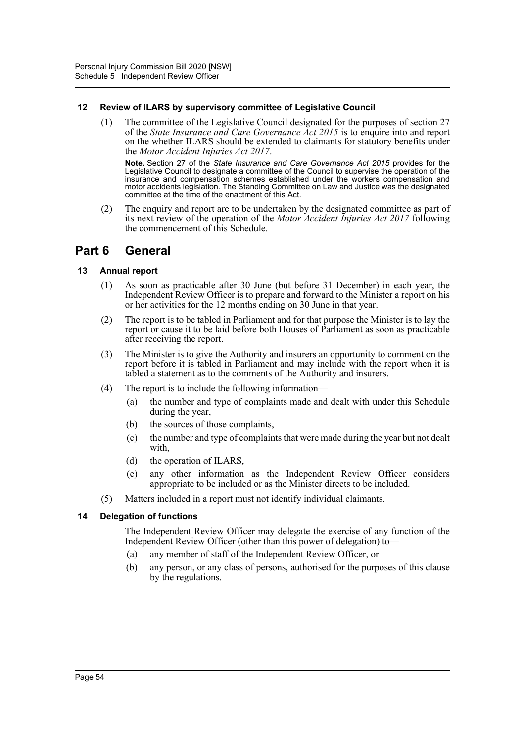## **12 Review of ILARS by supervisory committee of Legislative Council**

(1) The committee of the Legislative Council designated for the purposes of section 27 of the *State Insurance and Care Governance Act 2015* is to enquire into and report on the whether ILARS should be extended to claimants for statutory benefits under the *Motor Accident Injuries Act 2017*.

**Note.** Section 27 of the *State Insurance and Care Governance Act 2015* provides for the Legislative Council to designate a committee of the Council to supervise the operation of the insurance and compensation schemes established under the workers compensation and motor accidents legislation. The Standing Committee on Law and Justice was the designated committee at the time of the enactment of this Act.

(2) The enquiry and report are to be undertaken by the designated committee as part of its next review of the operation of the *Motor Accident Injuries Act 2017* following the commencement of this Schedule.

# **Part 6 General**

# **13 Annual report**

- (1) As soon as practicable after 30 June (but before 31 December) in each year, the Independent Review Officer is to prepare and forward to the Minister a report on his or her activities for the 12 months ending on 30 June in that year.
- (2) The report is to be tabled in Parliament and for that purpose the Minister is to lay the report or cause it to be laid before both Houses of Parliament as soon as practicable after receiving the report.
- (3) The Minister is to give the Authority and insurers an opportunity to comment on the report before it is tabled in Parliament and may include with the report when it is tabled a statement as to the comments of the Authority and insurers.
- (4) The report is to include the following information—
	- (a) the number and type of complaints made and dealt with under this Schedule during the year,
	- (b) the sources of those complaints,
	- (c) the number and type of complaints that were made during the year but not dealt with,
	- (d) the operation of ILARS,
	- (e) any other information as the Independent Review Officer considers appropriate to be included or as the Minister directs to be included.
- (5) Matters included in a report must not identify individual claimants.

# **14 Delegation of functions**

The Independent Review Officer may delegate the exercise of any function of the Independent Review Officer (other than this power of delegation) to—

- (a) any member of staff of the Independent Review Officer, or
- (b) any person, or any class of persons, authorised for the purposes of this clause by the regulations.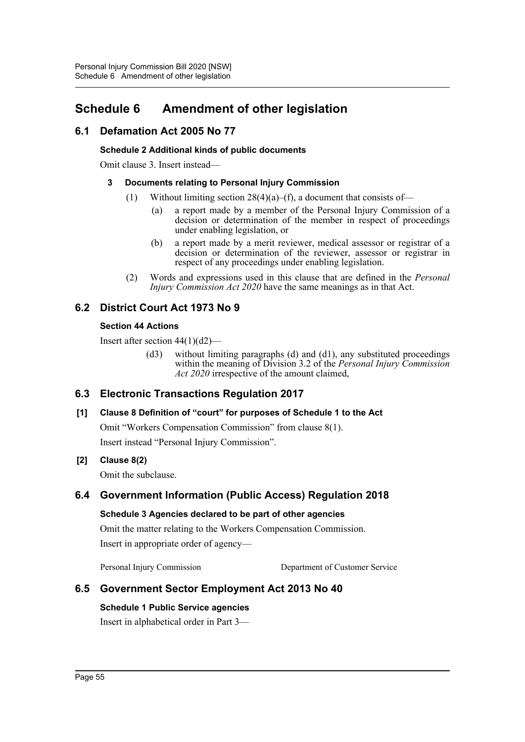# **Schedule 6 Amendment of other legislation**

# **6.1 Defamation Act 2005 No 77**

# **Schedule 2 Additional kinds of public documents**

Omit clause 3. Insert instead—

# **3 Documents relating to Personal Injury Commission**

- (1) Without limiting section  $28(4)(a)$ –(f), a document that consists of–
	- (a) a report made by a member of the Personal Injury Commission of a decision or determination of the member in respect of proceedings under enabling legislation, or
	- (b) a report made by a merit reviewer, medical assessor or registrar of a decision or determination of the reviewer, assessor or registrar in respect of any proceedings under enabling legislation.
- (2) Words and expressions used in this clause that are defined in the *Personal Injury Commission Act 2020* have the same meanings as in that Act.

# **6.2 District Court Act 1973 No 9**

# **Section 44 Actions**

Insert after section  $44(1)(d2)$ —

(d3) without limiting paragraphs (d) and (d1), any substituted proceedings within the meaning of Division 3.2 of the *Personal Injury Commission Act 2020* irrespective of the amount claimed,

# **6.3 Electronic Transactions Regulation 2017**

# **[1] Clause 8 Definition of "court" for purposes of Schedule 1 to the Act**

Omit "Workers Compensation Commission" from clause 8(1).

Insert instead "Personal Injury Commission".

# **[2] Clause 8(2)**

Omit the subclause.

# **6.4 Government Information (Public Access) Regulation 2018**

# **Schedule 3 Agencies declared to be part of other agencies**

Omit the matter relating to the Workers Compensation Commission. Insert in appropriate order of agency—

Personal Injury Commission Department of Customer Service

# **6.5 Government Sector Employment Act 2013 No 40**

# **Schedule 1 Public Service agencies**

Insert in alphabetical order in Part 3—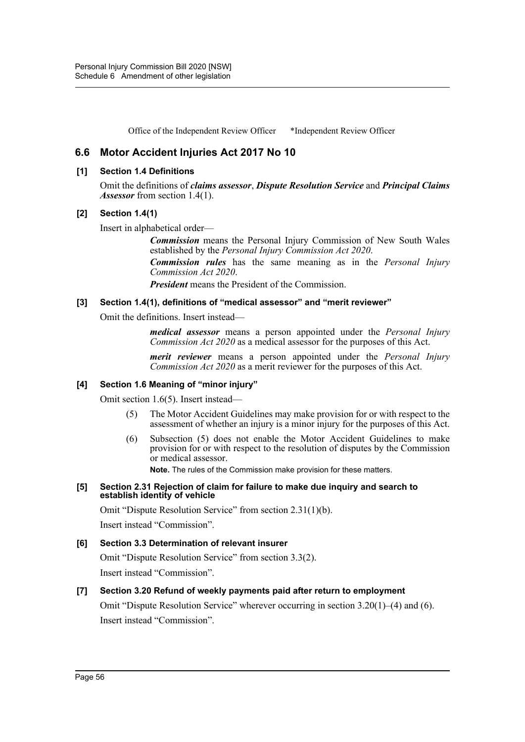Office of the Independent Review Officer \*Independent Review Officer

# **6.6 Motor Accident Injuries Act 2017 No 10**

#### **[1] Section 1.4 Definitions**

Omit the definitions of *claims assessor*, *Dispute Resolution Service* and *Principal Claims Assessor* from section 1.4(1).

## **[2] Section 1.4(1)**

Insert in alphabetical order—

*Commission* means the Personal Injury Commission of New South Wales established by the *Personal Injury Commission Act 2020*.

*Commission rules* has the same meaning as in the *Personal Injury Commission Act 2020*.

*President* means the President of the Commission.

## **[3] Section 1.4(1), definitions of "medical assessor" and "merit reviewer"**

Omit the definitions. Insert instead—

*medical assessor* means a person appointed under the *Personal Injury Commission Act 2020* as a medical assessor for the purposes of this Act.

*merit reviewer* means a person appointed under the *Personal Injury Commission Act 2020* as a merit reviewer for the purposes of this Act.

# **[4] Section 1.6 Meaning of "minor injury"**

Omit section 1.6(5). Insert instead—

- (5) The Motor Accident Guidelines may make provision for or with respect to the assessment of whether an injury is a minor injury for the purposes of this Act.
- (6) Subsection (5) does not enable the Motor Accident Guidelines to make provision for or with respect to the resolution of disputes by the Commission or medical assessor.

**Note.** The rules of the Commission make provision for these matters.

#### **[5] Section 2.31 Rejection of claim for failure to make due inquiry and search to establish identity of vehicle**

Omit "Dispute Resolution Service" from section 2.31(1)(b).

Insert instead "Commission".

#### **[6] Section 3.3 Determination of relevant insurer**

Omit "Dispute Resolution Service" from section 3.3(2). Insert instead "Commission".

# **[7] Section 3.20 Refund of weekly payments paid after return to employment**

Omit "Dispute Resolution Service" wherever occurring in section  $3.20(1)$ –(4) and (6). Insert instead "Commission".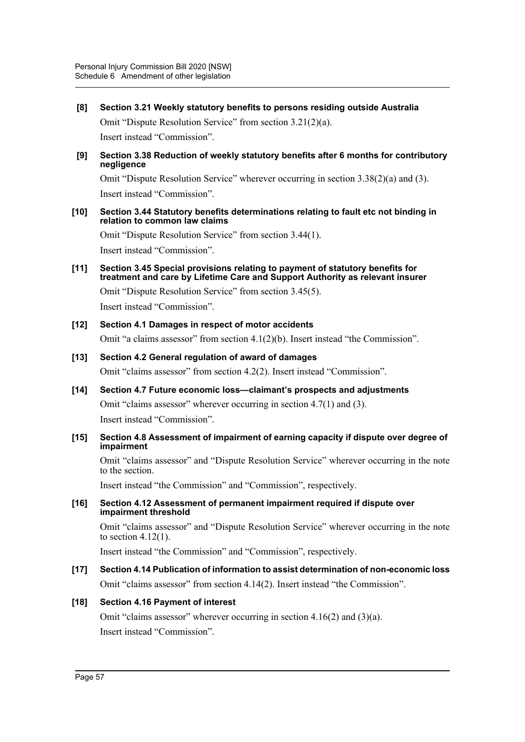**[8] Section 3.21 Weekly statutory benefits to persons residing outside Australia**

Omit "Dispute Resolution Service" from section 3.21(2)(a). Insert instead "Commission".

**[9] Section 3.38 Reduction of weekly statutory benefits after 6 months for contributory negligence**

Omit "Dispute Resolution Service" wherever occurring in section  $3.38(2)(a)$  and  $(3)$ . Insert instead "Commission".

#### **[10] Section 3.44 Statutory benefits determinations relating to fault etc not binding in relation to common law claims**

Omit "Dispute Resolution Service" from section 3.44(1). Insert instead "Commission".

**[11] Section 3.45 Special provisions relating to payment of statutory benefits for treatment and care by Lifetime Care and Support Authority as relevant insurer**

Omit "Dispute Resolution Service" from section 3.45(5).

Insert instead "Commission".

# **[12] Section 4.1 Damages in respect of motor accidents**

Omit "a claims assessor" from section 4.1(2)(b). Insert instead "the Commission".

- **[13] Section 4.2 General regulation of award of damages** Omit "claims assessor" from section 4.2(2). Insert instead "Commission".
- **[14] Section 4.7 Future economic loss—claimant's prospects and adjustments** Omit "claims assessor" wherever occurring in section 4.7(1) and (3). Insert instead "Commission".

#### **[15] Section 4.8 Assessment of impairment of earning capacity if dispute over degree of impairment**

Omit "claims assessor" and "Dispute Resolution Service" wherever occurring in the note to the section.

Insert instead "the Commission" and "Commission", respectively.

#### **[16] Section 4.12 Assessment of permanent impairment required if dispute over impairment threshold**

Omit "claims assessor" and "Dispute Resolution Service" wherever occurring in the note to section 4.12(1).

Insert instead "the Commission" and "Commission", respectively.

# **[17] Section 4.14 Publication of information to assist determination of non-economic loss** Omit "claims assessor" from section 4.14(2). Insert instead "the Commission".

# **[18] Section 4.16 Payment of interest**

Omit "claims assessor" wherever occurring in section 4.16(2) and (3)(a). Insert instead "Commission".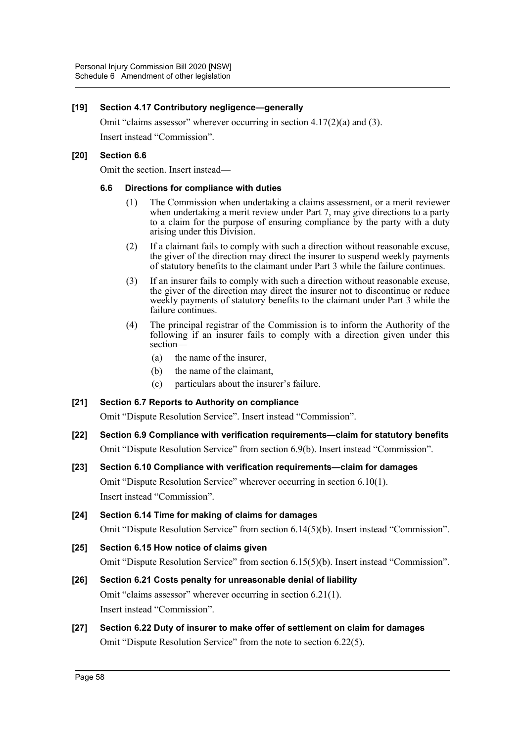## **[19] Section 4.17 Contributory negligence—generally**

Omit "claims assessor" wherever occurring in section  $4.17(2)(a)$  and  $(3)$ . Insert instead "Commission".

#### **[20] Section 6.6**

Omit the section. Insert instead—

#### **6.6 Directions for compliance with duties**

- (1) The Commission when undertaking a claims assessment, or a merit reviewer when undertaking a merit review under Part 7, may give directions to a party to a claim for the purpose of ensuring compliance by the party with a duty arising under this Division.
- (2) If a claimant fails to comply with such a direction without reasonable excuse, the giver of the direction may direct the insurer to suspend weekly payments of statutory benefits to the claimant under Part 3 while the failure continues.
- (3) If an insurer fails to comply with such a direction without reasonable excuse, the giver of the direction may direct the insurer not to discontinue or reduce weekly payments of statutory benefits to the claimant under Part 3 while the failure continues.
- (4) The principal registrar of the Commission is to inform the Authority of the following if an insurer fails to comply with a direction given under this section—
	- (a) the name of the insurer,
	- (b) the name of the claimant,
	- (c) particulars about the insurer's failure.

```
[21] Section 6.7 Reports to Authority on compliance
Omit "Dispute Resolution Service". Insert instead "Commission".
```
- **[22] Section 6.9 Compliance with verification requirements—claim for statutory benefits** Omit "Dispute Resolution Service" from section 6.9(b). Insert instead "Commission".
- **[23] Section 6.10 Compliance with verification requirements—claim for damages** Omit "Dispute Resolution Service" wherever occurring in section 6.10(1). Insert instead "Commission".
- **[24] Section 6.14 Time for making of claims for damages** Omit "Dispute Resolution Service" from section 6.14(5)(b). Insert instead "Commission".
- **[25] Section 6.15 How notice of claims given** Omit "Dispute Resolution Service" from section 6.15(5)(b). Insert instead "Commission".
- **[26] Section 6.21 Costs penalty for unreasonable denial of liability** Omit "claims assessor" wherever occurring in section 6.21(1). Insert instead "Commission".
- **[27] Section 6.22 Duty of insurer to make offer of settlement on claim for damages** Omit "Dispute Resolution Service" from the note to section 6.22(5).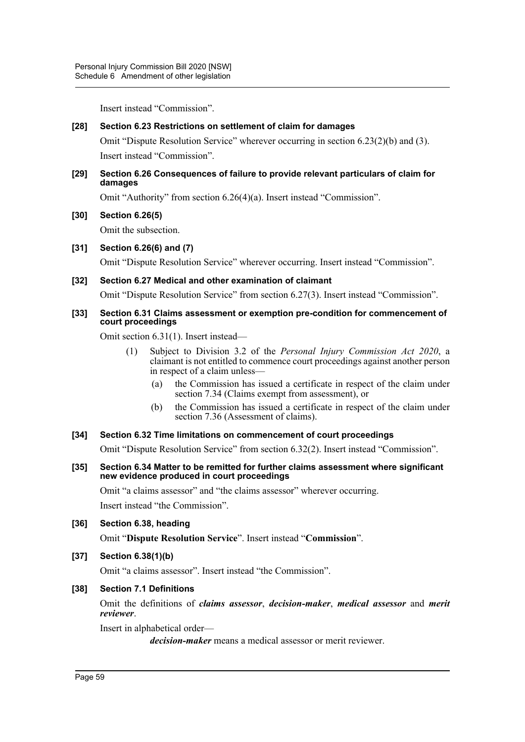Insert instead "Commission".

## **[28] Section 6.23 Restrictions on settlement of claim for damages**

Omit "Dispute Resolution Service" wherever occurring in section 6.23(2)(b) and (3). Insert instead "Commission".

#### **[29] Section 6.26 Consequences of failure to provide relevant particulars of claim for damages**

Omit "Authority" from section 6.26(4)(a). Insert instead "Commission".

## **[30] Section 6.26(5)**

Omit the subsection.

## **[31] Section 6.26(6) and (7)**

Omit "Dispute Resolution Service" wherever occurring. Insert instead "Commission".

## **[32] Section 6.27 Medical and other examination of claimant**

Omit "Dispute Resolution Service" from section 6.27(3). Insert instead "Commission".

#### **[33] Section 6.31 Claims assessment or exemption pre-condition for commencement of court proceedings**

Omit section 6.31(1). Insert instead—

- (1) Subject to Division 3.2 of the *Personal Injury Commission Act 2020*, a claimant is not entitled to commence court proceedings against another person in respect of a claim unless—
	- (a) the Commission has issued a certificate in respect of the claim under section 7.34 (Claims exempt from assessment), or
	- (b) the Commission has issued a certificate in respect of the claim under section 7.36 (Assessment of claims).

#### **[34] Section 6.32 Time limitations on commencement of court proceedings**

Omit "Dispute Resolution Service" from section 6.32(2). Insert instead "Commission".

#### **[35] Section 6.34 Matter to be remitted for further claims assessment where significant new evidence produced in court proceedings**

Omit "a claims assessor" and "the claims assessor" wherever occurring. Insert instead "the Commission".

#### **[36] Section 6.38, heading**

Omit "**Dispute Resolution Service**". Insert instead "**Commission**".

#### **[37] Section 6.38(1)(b)**

Omit "a claims assessor". Insert instead "the Commission".

#### **[38] Section 7.1 Definitions**

Omit the definitions of *claims assessor*, *decision-maker*, *medical assessor* and *merit reviewer*.

Insert in alphabetical order—

*decision-maker* means a medical assessor or merit reviewer.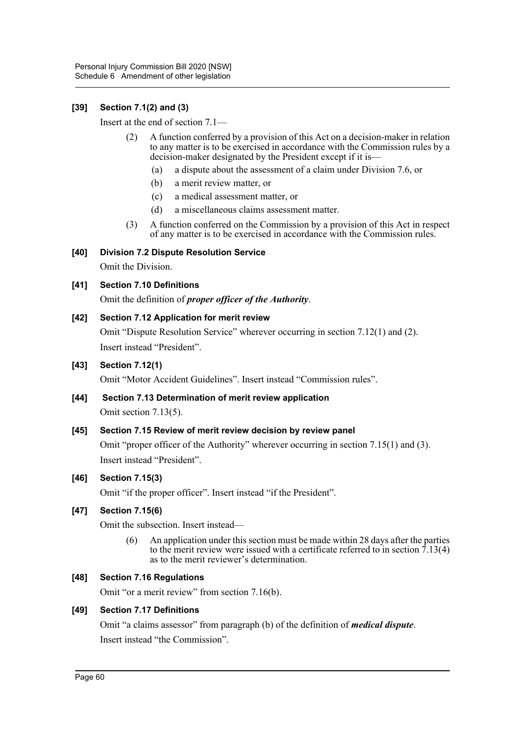# **[39] Section 7.1(2) and (3)**

Insert at the end of section 7.1—

- (2) A function conferred by a provision of this Act on a decision-maker in relation to any matter is to be exercised in accordance with the Commission rules by a decision-maker designated by the President except if it is—
	- (a) a dispute about the assessment of a claim under Division 7.6, or
	- (b) a merit review matter, or
	- (c) a medical assessment matter, or
	- (d) a miscellaneous claims assessment matter.
- (3) A function conferred on the Commission by a provision of this Act in respect of any matter is to be exercised in accordance with the Commission rules.

# **[40] Division 7.2 Dispute Resolution Service**

Omit the Division.

# **[41] Section 7.10 Definitions**

Omit the definition of *proper officer of the Authority*.

## **[42] Section 7.12 Application for merit review**

Omit "Dispute Resolution Service" wherever occurring in section 7.12(1) and (2). Insert instead "President".

## **[43] Section 7.12(1)**

Omit "Motor Accident Guidelines". Insert instead "Commission rules".

# **[44] Section 7.13 Determination of merit review application** Omit section 7.13(5).

# **[45] Section 7.15 Review of merit review decision by review panel**

Omit "proper officer of the Authority" wherever occurring in section 7.15(1) and (3). Insert instead "President".

# **[46] Section 7.15(3)**

Omit "if the proper officer". Insert instead "if the President".

# **[47] Section 7.15(6)**

Omit the subsection. Insert instead—

(6) An application under this section must be made within 28 days after the parties to the merit review were issued with a certificate referred to in section  $\bar{7}$ .13(4) as to the merit reviewer's determination.

#### **[48] Section 7.16 Regulations**

Omit "or a merit review" from section 7.16(b).

#### **[49] Section 7.17 Definitions**

Omit "a claims assessor" from paragraph (b) of the definition of *medical dispute*. Insert instead "the Commission".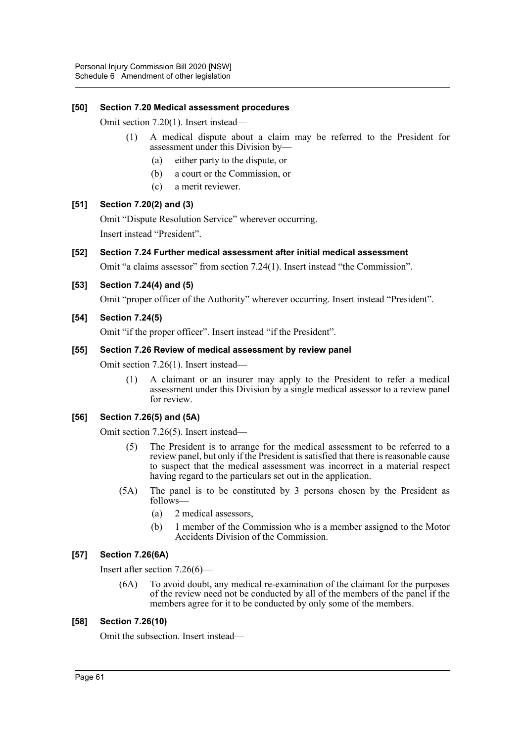## **[50] Section 7.20 Medical assessment procedures**

Omit section 7.20(1). Insert instead—

- (1) A medical dispute about a claim may be referred to the President for assessment under this Division by—
	- (a) either party to the dispute, or
	- (b) a court or the Commission, or
	- (c) a merit reviewer.

## **[51] Section 7.20(2) and (3)**

Omit "Dispute Resolution Service" wherever occurring. Insert instead "President".

## **[52] Section 7.24 Further medical assessment after initial medical assessment**

Omit "a claims assessor" from section 7.24(1). Insert instead "the Commission".

## **[53] Section 7.24(4) and (5)**

Omit "proper officer of the Authority" wherever occurring. Insert instead "President".

## **[54] Section 7.24(5)**

Omit "if the proper officer". Insert instead "if the President".

#### **[55] Section 7.26 Review of medical assessment by review panel**

Omit section 7.26(1). Insert instead—

(1) A claimant or an insurer may apply to the President to refer a medical assessment under this Division by a single medical assessor to a review panel for review.

# **[56] Section 7.26(5) and (5A)**

Omit section 7.26(5). Insert instead—

- (5) The President is to arrange for the medical assessment to be referred to a review panel, but only if the President is satisfied that there is reasonable cause to suspect that the medical assessment was incorrect in a material respect having regard to the particulars set out in the application.
- (5A) The panel is to be constituted by 3 persons chosen by the President as follows—
	- (a) 2 medical assessors,
	- (b) 1 member of the Commission who is a member assigned to the Motor Accidents Division of the Commission.

# **[57] Section 7.26(6A)**

Insert after section 7.26(6)—

(6A) To avoid doubt, any medical re-examination of the claimant for the purposes of the review need not be conducted by all of the members of the panel if the members agree for it to be conducted by only some of the members.

#### **[58] Section 7.26(10)**

Omit the subsection. Insert instead—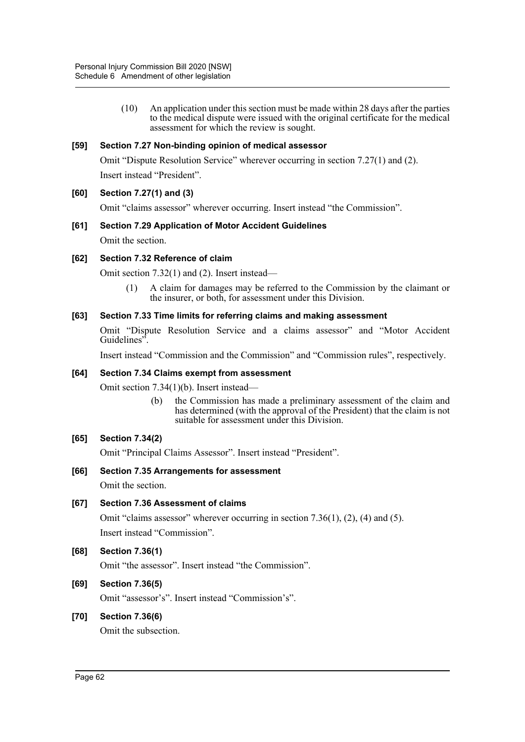(10) An application under this section must be made within 28 days after the parties to the medical dispute were issued with the original certificate for the medical assessment for which the review is sought.

## **[59] Section 7.27 Non-binding opinion of medical assessor**

Omit "Dispute Resolution Service" wherever occurring in section 7.27(1) and (2).

Insert instead "President".

#### **[60] Section 7.27(1) and (3)**

Omit "claims assessor" wherever occurring. Insert instead "the Commission".

#### **[61] Section 7.29 Application of Motor Accident Guidelines**

Omit the section.

#### **[62] Section 7.32 Reference of claim**

Omit section 7.32(1) and (2). Insert instead—

(1) A claim for damages may be referred to the Commission by the claimant or the insurer, or both, for assessment under this Division.

#### **[63] Section 7.33 Time limits for referring claims and making assessment**

Omit "Dispute Resolution Service and a claims assessor" and "Motor Accident Guidelines".

Insert instead "Commission and the Commission" and "Commission rules", respectively.

#### **[64] Section 7.34 Claims exempt from assessment**

Omit section 7.34(1)(b). Insert instead—

(b) the Commission has made a preliminary assessment of the claim and has determined (with the approval of the President) that the claim is not suitable for assessment under this Division.

#### **[65] Section 7.34(2)**

Omit "Principal Claims Assessor". Insert instead "President".

# **[66] Section 7.35 Arrangements for assessment**

Omit the section.

#### **[67] Section 7.36 Assessment of claims**

Omit "claims assessor" wherever occurring in section 7.36(1), (2), (4) and (5). Insert instead "Commission".

#### **[68] Section 7.36(1)**

Omit "the assessor". Insert instead "the Commission".

# **[69] Section 7.36(5)**

Omit "assessor's". Insert instead "Commission's".

#### **[70] Section 7.36(6)**

Omit the subsection.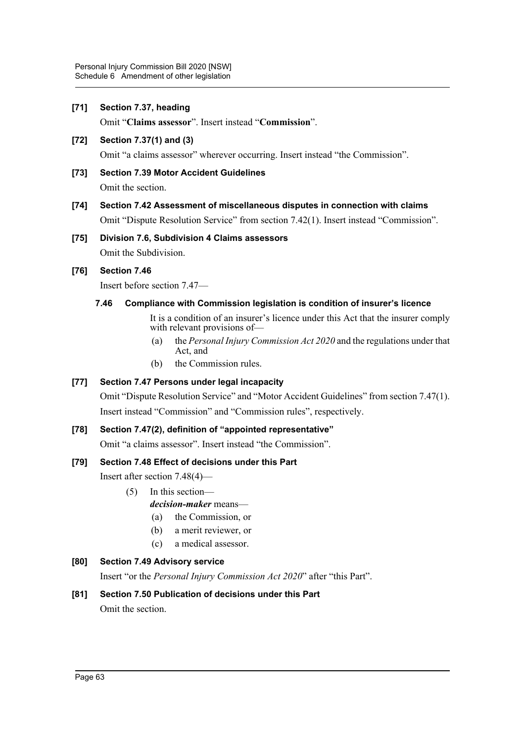# **[71] Section 7.37, heading**

Omit "**Claims assessor**". Insert instead "**Commission**".

# **[72] Section 7.37(1) and (3)**

Omit "a claims assessor" wherever occurring. Insert instead "the Commission".

# **[73] Section 7.39 Motor Accident Guidelines**

Omit the section.

# **[74] Section 7.42 Assessment of miscellaneous disputes in connection with claims** Omit "Dispute Resolution Service" from section 7.42(1). Insert instead "Commission".

# **[75] Division 7.6, Subdivision 4 Claims assessors** Omit the Subdivision.

# **[76] Section 7.46**

Insert before section 7.47—

# **7.46 Compliance with Commission legislation is condition of insurer's licence**

It is a condition of an insurer's licence under this Act that the insurer comply with relevant provisions of—

- (a) the *Personal Injury Commission Act 2020* and the regulations under that Act, and
- (b) the Commission rules.

# **[77] Section 7.47 Persons under legal incapacity**

Omit "Dispute Resolution Service" and "Motor Accident Guidelines" from section 7.47(1). Insert instead "Commission" and "Commission rules", respectively.

# **[78] Section 7.47(2), definition of "appointed representative"**

Omit "a claims assessor". Insert instead "the Commission".

# **[79] Section 7.48 Effect of decisions under this Part**

Insert after section 7.48(4)—

- (5) In this section
	- *decision-maker* means—
		- (a) the Commission, or
		- (b) a merit reviewer, or
	- (c) a medical assessor.

# **[80] Section 7.49 Advisory service**

Insert "or the *Personal Injury Commission Act 2020*" after "this Part".

# **[81] Section 7.50 Publication of decisions under this Part**

Omit the section.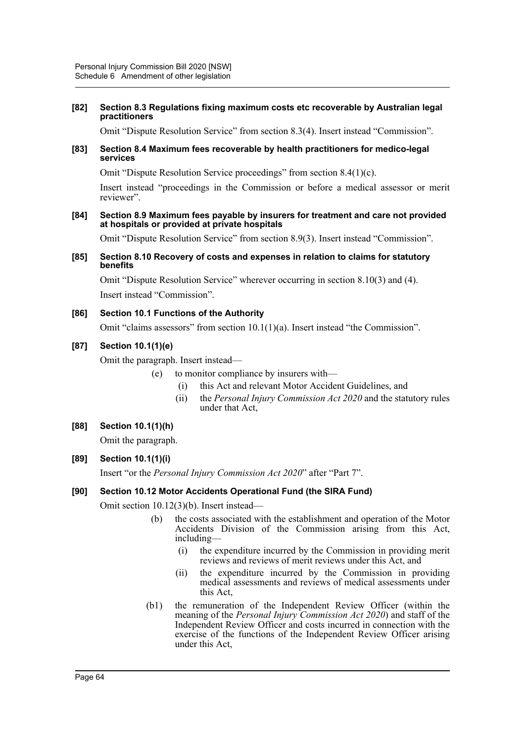#### **[82] Section 8.3 Regulations fixing maximum costs etc recoverable by Australian legal practitioners**

Omit "Dispute Resolution Service" from section 8.3(4). Insert instead "Commission".

#### **[83] Section 8.4 Maximum fees recoverable by health practitioners for medico-legal services**

Omit "Dispute Resolution Service proceedings" from section 8.4(1)(c).

Insert instead "proceedings in the Commission or before a medical assessor or merit reviewer".

#### **[84] Section 8.9 Maximum fees payable by insurers for treatment and care not provided at hospitals or provided at private hospitals**

Omit "Dispute Resolution Service" from section 8.9(3). Insert instead "Commission".

#### **[85] Section 8.10 Recovery of costs and expenses in relation to claims for statutory benefits**

Omit "Dispute Resolution Service" wherever occurring in section 8.10(3) and (4). Insert instead "Commission".

## **[86] Section 10.1 Functions of the Authority**

Omit "claims assessors" from section 10.1(1)(a). Insert instead "the Commission".

# **[87] Section 10.1(1)(e)**

Omit the paragraph. Insert instead—

(e) to monitor compliance by insurers with—

- (i) this Act and relevant Motor Accident Guidelines, and
- (ii) the *Personal Injury Commission Act 2020* and the statutory rules under that Act,

# **[88] Section 10.1(1)(h)**

Omit the paragraph.

# **[89] Section 10.1(1)(i)**

Insert "or the *Personal Injury Commission Act 2020*" after "Part 7".

# **[90] Section 10.12 Motor Accidents Operational Fund (the SIRA Fund)**

Omit section 10.12(3)(b). Insert instead—

- the costs associated with the establishment and operation of the Motor Accidents Division of the Commission arising from this Act, including—
	- (i) the expenditure incurred by the Commission in providing merit reviews and reviews of merit reviews under this Act, and
	- (ii) the expenditure incurred by the Commission in providing medical assessments and reviews of medical assessments under this Act,
- (b1) the remuneration of the Independent Review Officer (within the meaning of the *Personal Injury Commission Act 2020*) and staff of the Independent Review Officer and costs incurred in connection with the exercise of the functions of the Independent Review Officer arising under this Act,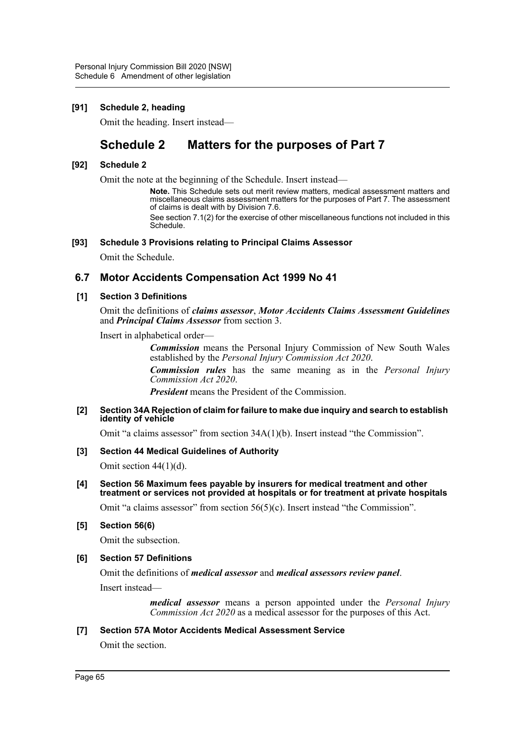# **[91] Schedule 2, heading**

Omit the heading. Insert instead—

# **Schedule 2 Matters for the purposes of Part 7**

#### **[92] Schedule 2**

Omit the note at the beginning of the Schedule. Insert instead—

**Note.** This Schedule sets out merit review matters, medical assessment matters and miscellaneous claims assessment matters for the purposes of Part 7. The assessment of claims is dealt with by Division 7.6.

See section 7.1(2) for the exercise of other miscellaneous functions not included in this Schedule.

#### **[93] Schedule 3 Provisions relating to Principal Claims Assessor**

Omit the Schedule.

## **6.7 Motor Accidents Compensation Act 1999 No 41**

#### **[1] Section 3 Definitions**

Omit the definitions of *claims assessor*, *Motor Accidents Claims Assessment Guidelines* and *Principal Claims Assessor* from section 3.

Insert in alphabetical order—

*Commission* means the Personal Injury Commission of New South Wales established by the *Personal Injury Commission Act 2020*.

*Commission rules* has the same meaning as in the *Personal Injury Commission Act 2020*.

*President* means the President of the Commission.

#### **[2] Section 34A Rejection of claim for failure to make due inquiry and search to establish identity of vehicle**

Omit "a claims assessor" from section 34A(1)(b). Insert instead "the Commission".

#### **[3] Section 44 Medical Guidelines of Authority**

Omit section 44(1)(d).

**[4] Section 56 Maximum fees payable by insurers for medical treatment and other treatment or services not provided at hospitals or for treatment at private hospitals**

Omit "a claims assessor" from section  $56(5)(c)$ . Insert instead "the Commission".

**[5] Section 56(6)**

Omit the subsection.

#### **[6] Section 57 Definitions**

Omit the definitions of *medical assessor* and *medical assessors review panel*.

Insert instead—

*medical assessor* means a person appointed under the *Personal Injury Commission Act 2020* as a medical assessor for the purposes of this Act.

#### **[7] Section 57A Motor Accidents Medical Assessment Service**

Omit the section.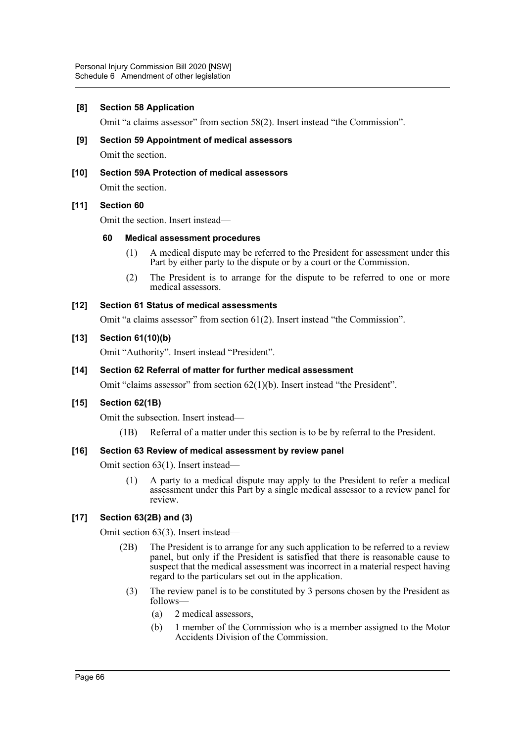#### **[8] Section 58 Application**

Omit "a claims assessor" from section 58(2). Insert instead "the Commission".

- **[9] Section 59 Appointment of medical assessors** Omit the section.
- **[10] Section 59A Protection of medical assessors**

Omit the section.

#### **[11] Section 60**

Omit the section. Insert instead—

#### **60 Medical assessment procedures**

- (1) A medical dispute may be referred to the President for assessment under this Part by either party to the dispute or by a court or the Commission.
- (2) The President is to arrange for the dispute to be referred to one or more medical assessors.

# **[12] Section 61 Status of medical assessments**

Omit "a claims assessor" from section 61(2). Insert instead "the Commission".

#### **[13] Section 61(10)(b)**

Omit "Authority". Insert instead "President".

#### **[14] Section 62 Referral of matter for further medical assessment**

Omit "claims assessor" from section 62(1)(b). Insert instead "the President".

#### **[15] Section 62(1B)**

Omit the subsection. Insert instead—

(1B) Referral of a matter under this section is to be by referral to the President.

#### **[16] Section 63 Review of medical assessment by review panel**

Omit section 63(1). Insert instead—

(1) A party to a medical dispute may apply to the President to refer a medical assessment under this Part by a single medical assessor to a review panel for review.

#### **[17] Section 63(2B) and (3)**

Omit section 63(3). Insert instead—

- (2B) The President is to arrange for any such application to be referred to a review panel, but only if the President is satisfied that there is reasonable cause to suspect that the medical assessment was incorrect in a material respect having regard to the particulars set out in the application.
	- (3) The review panel is to be constituted by 3 persons chosen by the President as follows—
		- (a) 2 medical assessors,
		- (b) 1 member of the Commission who is a member assigned to the Motor Accidents Division of the Commission.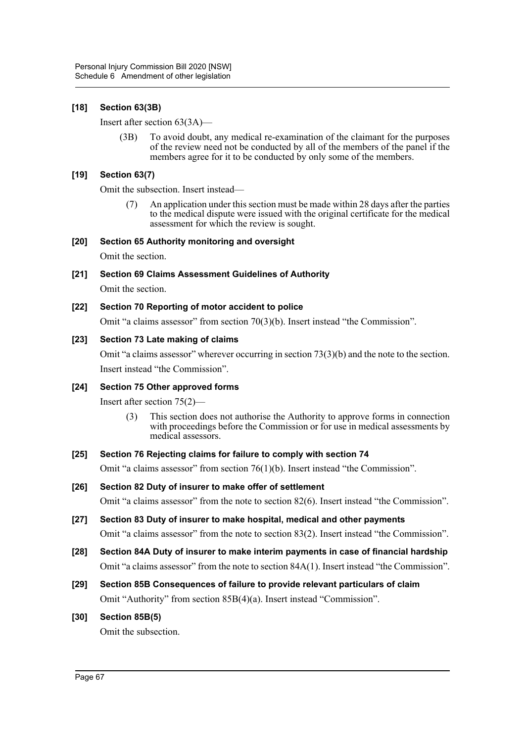# **[18] Section 63(3B)**

Insert after section 63(3A)—

(3B) To avoid doubt, any medical re-examination of the claimant for the purposes of the review need not be conducted by all of the members of the panel if the members agree for it to be conducted by only some of the members.

## **[19] Section 63(7)**

Omit the subsection. Insert instead—

(7) An application under this section must be made within 28 days after the parties to the medical dispute were issued with the original certificate for the medical assessment for which the review is sought.

## **[20] Section 65 Authority monitoring and oversight**

Omit the section.

- **[21] Section 69 Claims Assessment Guidelines of Authority** Omit the section.
- **[22] Section 70 Reporting of motor accident to police**

Omit "a claims assessor" from section 70(3)(b). Insert instead "the Commission".

## **[23] Section 73 Late making of claims**

Omit "a claims assessor" wherever occurring in section 73(3)(b) and the note to the section. Insert instead "the Commission".

#### **[24] Section 75 Other approved forms**

Insert after section 75(2)—

(3) This section does not authorise the Authority to approve forms in connection with proceedings before the Commission or for use in medical assessments by medical assessors.

#### **[25] Section 76 Rejecting claims for failure to comply with section 74**

Omit "a claims assessor" from section 76(1)(b). Insert instead "the Commission".

- **[26] Section 82 Duty of insurer to make offer of settlement** Omit "a claims assessor" from the note to section 82(6). Insert instead "the Commission".
- **[27] Section 83 Duty of insurer to make hospital, medical and other payments** Omit "a claims assessor" from the note to section 83(2). Insert instead "the Commission".
- **[28] Section 84A Duty of insurer to make interim payments in case of financial hardship** Omit "a claims assessor" from the note to section 84A(1). Insert instead "the Commission".

# **[29] Section 85B Consequences of failure to provide relevant particulars of claim**

Omit "Authority" from section 85B(4)(a). Insert instead "Commission".

# **[30] Section 85B(5)**

Omit the subsection.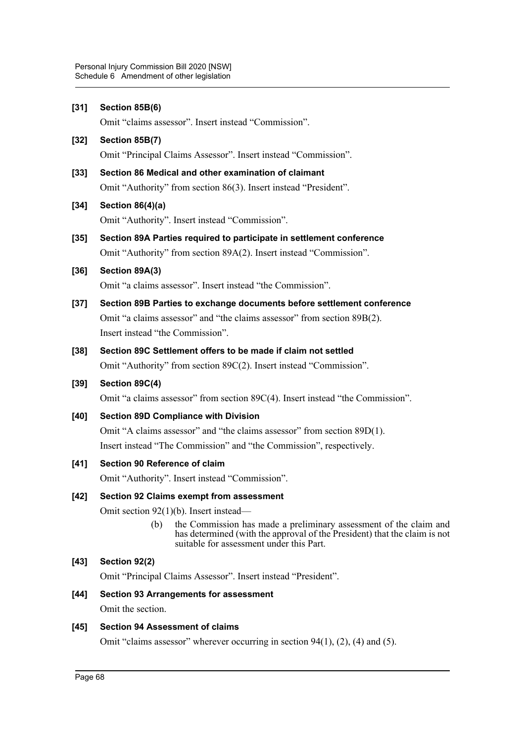| $[31]$ | Section 85B(6)                                                                                                                                                                                    |
|--------|---------------------------------------------------------------------------------------------------------------------------------------------------------------------------------------------------|
|        | Omit "claims assessor". Insert instead "Commission".                                                                                                                                              |
| $[32]$ | Section 85B(7)                                                                                                                                                                                    |
|        | Omit "Principal Claims Assessor". Insert instead "Commission".                                                                                                                                    |
| $[33]$ | Section 86 Medical and other examination of claimant                                                                                                                                              |
|        | Omit "Authority" from section 86(3). Insert instead "President".                                                                                                                                  |
| $[34]$ | Section $86(4)(a)$                                                                                                                                                                                |
|        | Omit "Authority". Insert instead "Commission".                                                                                                                                                    |
| $[35]$ | Section 89A Parties required to participate in settlement conference                                                                                                                              |
|        | Omit "Authority" from section 89A(2). Insert instead "Commission".                                                                                                                                |
| $[36]$ | Section 89A(3)                                                                                                                                                                                    |
|        | Omit "a claims assessor". Insert instead "the Commission".                                                                                                                                        |
| $[37]$ | Section 89B Parties to exchange documents before settlement conference                                                                                                                            |
|        | Omit "a claims assessor" and "the claims assessor" from section 89B(2).                                                                                                                           |
|        | Insert instead "the Commission".                                                                                                                                                                  |
| $[38]$ | Section 89C Settlement offers to be made if claim not settled                                                                                                                                     |
|        | Omit "Authority" from section 89C(2). Insert instead "Commission".                                                                                                                                |
| $[39]$ | Section 89C(4)                                                                                                                                                                                    |
|        | Omit "a claims assessor" from section 89C(4). Insert instead "the Commission".                                                                                                                    |
| $[40]$ | <b>Section 89D Compliance with Division</b>                                                                                                                                                       |
|        | Omit "A claims assessor" and "the claims assessor" from section 89D(1).                                                                                                                           |
|        | Insert instead "The Commission" and "the Commission", respectively.                                                                                                                               |
| $[41]$ | Section 90 Reference of claim                                                                                                                                                                     |
|        | Omit "Authority". Insert instead "Commission".                                                                                                                                                    |
| $[42]$ | Section 92 Claims exempt from assessment                                                                                                                                                          |
|        | Omit section $92(1)(b)$ . Insert instead—                                                                                                                                                         |
|        | (b)<br>the Commission has made a preliminary assessment of the claim and<br>has determined (with the approval of the President) that the claim is not<br>suitable for assessment under this Part. |
| $[43]$ | Section 92(2)                                                                                                                                                                                     |
|        | Omit "Principal Claims Assessor". Insert instead "President".                                                                                                                                     |
| $[44]$ | <b>Section 93 Arrangements for assessment</b>                                                                                                                                                     |
|        | Omit the section.                                                                                                                                                                                 |

# **[45] Section 94 Assessment of claims**

Omit "claims assessor" wherever occurring in section 94(1), (2), (4) and (5).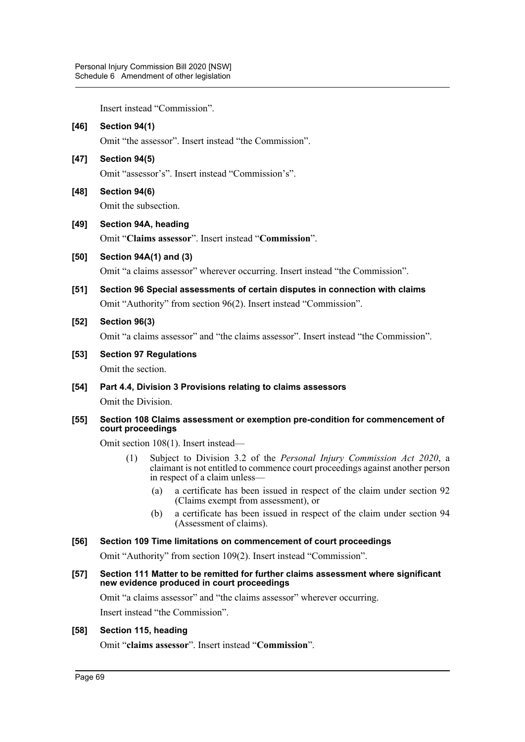Insert instead "Commission".

| $[46]$ | Section 94(1)                                                                                                                                                                                  |
|--------|------------------------------------------------------------------------------------------------------------------------------------------------------------------------------------------------|
|        | Omit "the assessor". Insert instead "the Commission".                                                                                                                                          |
| $[47]$ | Section 94(5)                                                                                                                                                                                  |
|        | Omit "assessor's". Insert instead "Commission's".                                                                                                                                              |
| [48]   | Section 94(6)                                                                                                                                                                                  |
|        | Omit the subsection.                                                                                                                                                                           |
| $[49]$ | Section 94A, heading                                                                                                                                                                           |
|        | Omit "Claims assessor". Insert instead "Commission".                                                                                                                                           |
| [50]   | Section 94A(1) and (3)                                                                                                                                                                         |
|        | Omit "a claims assessor" wherever occurring. Insert instead "the Commission".                                                                                                                  |
| [51]   | Section 96 Special assessments of certain disputes in connection with claims                                                                                                                   |
|        | Omit "Authority" from section 96(2). Insert instead "Commission".                                                                                                                              |
| $[52]$ | Section 96(3)                                                                                                                                                                                  |
|        | Omit "a claims assessor" and "the claims assessor". Insert instead "the Commission".                                                                                                           |
| $[53]$ | <b>Section 97 Regulations</b>                                                                                                                                                                  |
|        | Omit the section.                                                                                                                                                                              |
| [54]   | Part 4.4, Division 3 Provisions relating to claims assessors                                                                                                                                   |
|        | Omit the Division.                                                                                                                                                                             |
| $[55]$ | Section 108 Claims assessment or exemption pre-condition for commencement of<br>court proceedings                                                                                              |
|        | Omit section 108(1). Insert instead—                                                                                                                                                           |
|        | Subject to Division 3.2 of the Personal Injury Commission Act 2020, a<br>(1)<br>claimant is not entitled to commence court proceedings against another person<br>in respect of a claim unless— |
|        | a certificate has been issued in respect of the claim under section 92<br>(a)                                                                                                                  |

- (Claims exempt from assessment), or
- (b) a certificate has been issued in respect of the claim under section 94 (Assessment of claims).

### **[56] Section 109 Time limitations on commencement of court proceedings**

Omit "Authority" from section 109(2). Insert instead "Commission".

**[57] Section 111 Matter to be remitted for further claims assessment where significant new evidence produced in court proceedings**

Omit "a claims assessor" and "the claims assessor" wherever occurring.

Insert instead "the Commission".

# **[58] Section 115, heading**

Omit "**claims assessor**". Insert instead "**Commission**".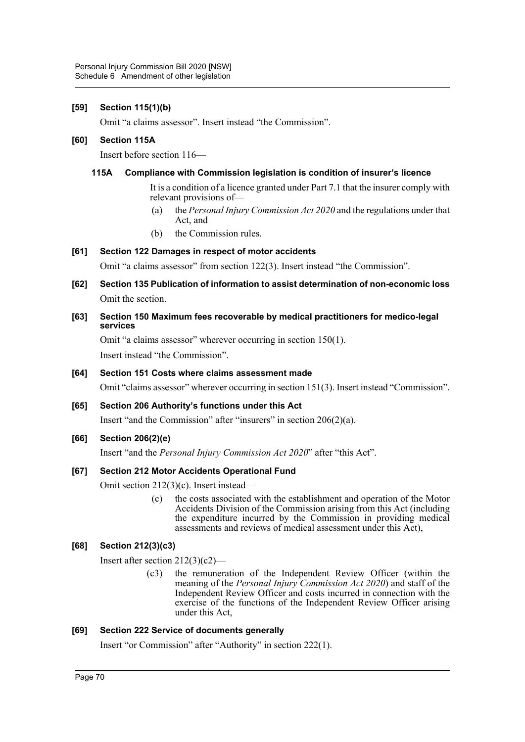### **[59] Section 115(1)(b)**

Omit "a claims assessor". Insert instead "the Commission".

### **[60] Section 115A**

Insert before section 116—

### **115A Compliance with Commission legislation is condition of insurer's licence**

It is a condition of a licence granted under Part 7.1 that the insurer comply with relevant provisions of—

- (a) the *Personal Injury Commission Act 2020* and the regulations under that Act, and
- (b) the Commission rules.

### **[61] Section 122 Damages in respect of motor accidents**

Omit "a claims assessor" from section 122(3). Insert instead "the Commission".

**[62] Section 135 Publication of information to assist determination of non-economic loss** Omit the section.

### **[63] Section 150 Maximum fees recoverable by medical practitioners for medico-legal services**

Omit "a claims assessor" wherever occurring in section 150(1). Insert instead "the Commission".

### **[64] Section 151 Costs where claims assessment made**

Omit "claims assessor" wherever occurring in section 151(3). Insert instead "Commission".

# **[65] Section 206 Authority's functions under this Act**

Insert "and the Commission" after "insurers" in section 206(2)(a).

### **[66] Section 206(2)(e)**

Insert "and the *Personal Injury Commission Act 2020*" after "this Act".

### **[67] Section 212 Motor Accidents Operational Fund**

Omit section 212(3)(c). Insert instead—

(c) the costs associated with the establishment and operation of the Motor Accidents Division of the Commission arising from this Act (including the expenditure incurred by the Commission in providing medical assessments and reviews of medical assessment under this Act),

# **[68] Section 212(3)(c3)**

Insert after section 212(3)(c2)—

(c3) the remuneration of the Independent Review Officer (within the meaning of the *Personal Injury Commission Act 2020*) and staff of the Independent Review Officer and costs incurred in connection with the exercise of the functions of the Independent Review Officer arising under this Act,

# **[69] Section 222 Service of documents generally**

Insert "or Commission" after "Authority" in section 222(1).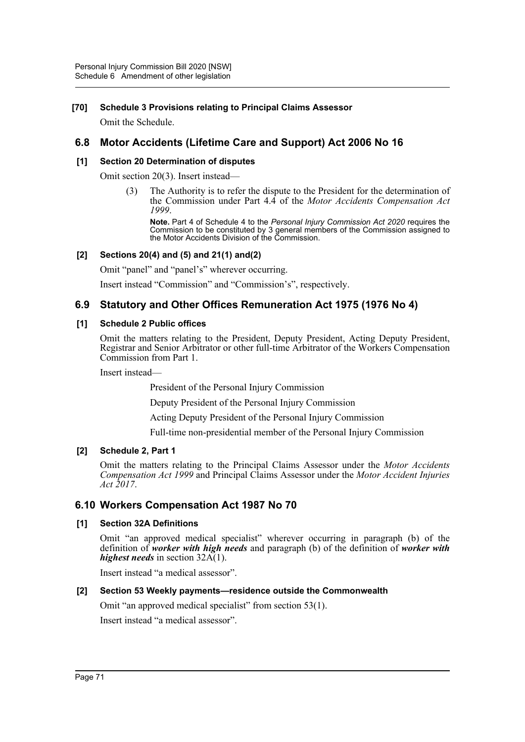### **[70] Schedule 3 Provisions relating to Principal Claims Assessor**

Omit the Schedule.

# **6.8 Motor Accidents (Lifetime Care and Support) Act 2006 No 16**

### **[1] Section 20 Determination of disputes**

Omit section 20(3). Insert instead—

(3) The Authority is to refer the dispute to the President for the determination of the Commission under Part 4.4 of the *Motor Accidents Compensation Act 1999*.

**Note.** Part 4 of Schedule 4 to the *Personal Injury Commission Act 2020* requires the Commission to be constituted by 3 general members of the Commission assigned to the Motor Accidents Division of the Commission.

#### **[2] Sections 20(4) and (5) and 21(1) and(2)**

Omit "panel" and "panel's" wherever occurring.

Insert instead "Commission" and "Commission's", respectively.

# **6.9 Statutory and Other Offices Remuneration Act 1975 (1976 No 4)**

#### **[1] Schedule 2 Public offices**

Omit the matters relating to the President, Deputy President, Acting Deputy President, Registrar and Senior Arbitrator or other full-time Arbitrator of the Workers Compensation Commission from Part 1.

Insert instead—

President of the Personal Injury Commission

Deputy President of the Personal Injury Commission

Acting Deputy President of the Personal Injury Commission

Full-time non-presidential member of the Personal Injury Commission

### **[2] Schedule 2, Part 1**

Omit the matters relating to the Principal Claims Assessor under the *Motor Accidents Compensation Act 1999* and Principal Claims Assessor under the *Motor Accident Injuries Act 2017*.

# **6.10 Workers Compensation Act 1987 No 70**

### **[1] Section 32A Definitions**

Omit "an approved medical specialist" wherever occurring in paragraph (b) of the definition of *worker with high needs* and paragraph (b) of the definition of *worker with highest needs* in section 32A(1).

Insert instead "a medical assessor".

### **[2] Section 53 Weekly payments—residence outside the Commonwealth**

Omit "an approved medical specialist" from section 53(1).

Insert instead "a medical assessor".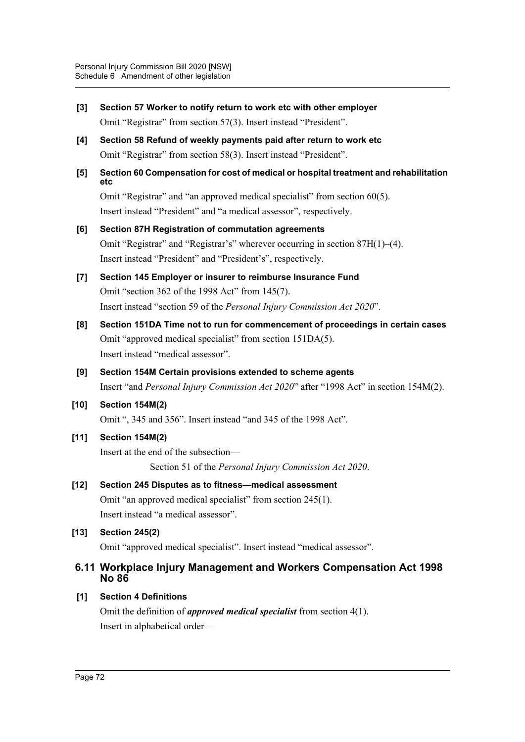- **[3] Section 57 Worker to notify return to work etc with other employer** Omit "Registrar" from section 57(3). Insert instead "President". **[4] Section 58 Refund of weekly payments paid after return to work etc** Omit "Registrar" from section 58(3). Insert instead "President". **[5] Section 60 Compensation for cost of medical or hospital treatment and rehabilitation etc** Omit "Registrar" and "an approved medical specialist" from section 60(5). Insert instead "President" and "a medical assessor", respectively. **[6] Section 87H Registration of commutation agreements** Omit "Registrar" and "Registrar's" wherever occurring in section 87H(1)–(4). Insert instead "President" and "President's", respectively. **[7] Section 145 Employer or insurer to reimburse Insurance Fund** Omit "section 362 of the 1998 Act" from 145(7). Insert instead "section 59 of the *Personal Injury Commission Act 2020*". **[8] Section 151DA Time not to run for commencement of proceedings in certain cases** Omit "approved medical specialist" from section 151DA(5). Insert instead "medical assessor". **[9] Section 154M Certain provisions extended to scheme agents** Insert "and *Personal Injury Commission Act 2020*" after "1998 Act" in section 154M(2). **[10] Section 154M(2)** Omit ", 345 and 356". Insert instead "and 345 of the 1998 Act". **[11] Section 154M(2)** Insert at the end of the subsection— Section 51 of the *Personal Injury Commission Act 2020*. **[12] Section 245 Disputes as to fitness—medical assessment** Omit "an approved medical specialist" from section 245(1). Insert instead "a medical assessor". **[13] Section 245(2)** Omit "approved medical specialist". Insert instead "medical assessor". **6.11 Workplace Injury Management and Workers Compensation Act 1998 No 86 [1] Section 4 Definitions**
	- Omit the definition of *approved medical specialist* from section 4(1). Insert in alphabetical order—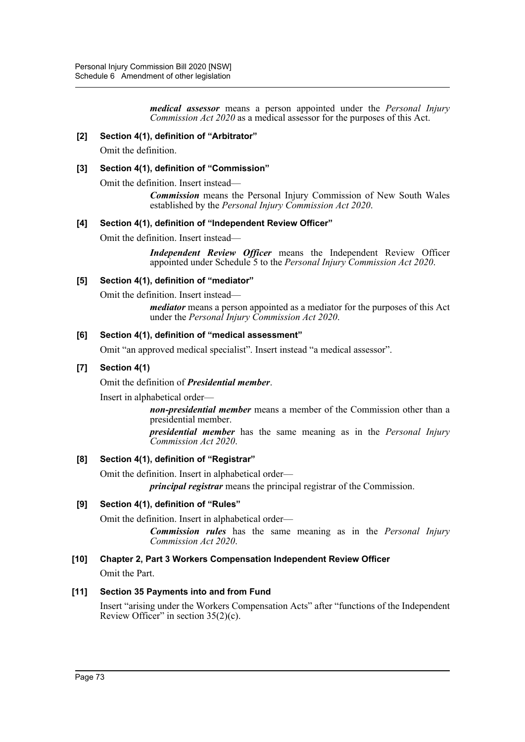*medical assessor* means a person appointed under the *Personal Injury Commission Act 2020* as a medical assessor for the purposes of this Act.

### **[2] Section 4(1), definition of "Arbitrator"**

Omit the definition.

### **[3] Section 4(1), definition of "Commission"**

Omit the definition. Insert instead—

*Commission* means the Personal Injury Commission of New South Wales established by the *Personal Injury Commission Act 2020*.

### **[4] Section 4(1), definition of "Independent Review Officer"**

Omit the definition. Insert instead—

*Independent Review Officer* means the Independent Review Officer appointed under Schedule 5 to the *Personal Injury Commission Act 2020*.

### **[5] Section 4(1), definition of "mediator"**

Omit the definition. Insert instead—

*mediator* means a person appointed as a mediator for the purposes of this Act under the *Personal Injury Commission Act 2020*.

#### **[6] Section 4(1), definition of "medical assessment"**

Omit "an approved medical specialist". Insert instead "a medical assessor".

### **[7] Section 4(1)**

Omit the definition of *Presidential member*.

Insert in alphabetical order—

*non-presidential member* means a member of the Commission other than a presidential member.

*presidential member* has the same meaning as in the *Personal Injury Commission Act 2020*.

### **[8] Section 4(1), definition of "Registrar"**

Omit the definition. Insert in alphabetical order—

*principal registrar* means the principal registrar of the Commission.

### **[9] Section 4(1), definition of "Rules"**

Omit the definition. Insert in alphabetical order—

*Commission rules* has the same meaning as in the *Personal Injury Commission Act 2020*.

### **[10] Chapter 2, Part 3 Workers Compensation Independent Review Officer**

Omit the Part.

### **[11] Section 35 Payments into and from Fund**

Insert "arising under the Workers Compensation Acts" after "functions of the Independent Review Officer" in section  $35(2)(c)$ .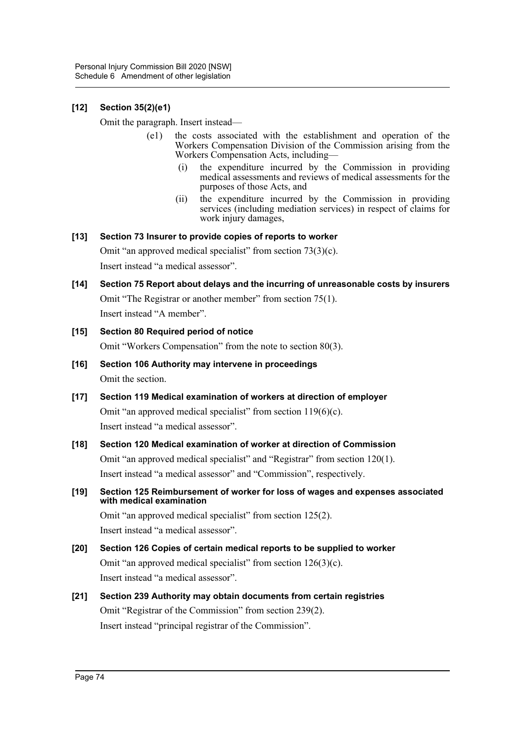# **[12] Section 35(2)(e1)**

Omit the paragraph. Insert instead—

- (e1) the costs associated with the establishment and operation of the Workers Compensation Division of the Commission arising from the Workers Compensation Acts, including—
	- (i) the expenditure incurred by the Commission in providing medical assessments and reviews of medical assessments for the purposes of those Acts, and
	- (ii) the expenditure incurred by the Commission in providing services (including mediation services) in respect of claims for work injury damages,

# **[13] Section 73 Insurer to provide copies of reports to worker**

Omit "an approved medical specialist" from section 73(3)(c). Insert instead "a medical assessor".

**[14] Section 75 Report about delays and the incurring of unreasonable costs by insurers** Omit "The Registrar or another member" from section 75(1). Insert instead "A member".

### **[15] Section 80 Required period of notice**

Omit "Workers Compensation" from the note to section 80(3).

- **[16] Section 106 Authority may intervene in proceedings** Omit the section.
- **[17] Section 119 Medical examination of workers at direction of employer** Omit "an approved medical specialist" from section  $119(6)(c)$ . Insert instead "a medical assessor".
- **[18] Section 120 Medical examination of worker at direction of Commission** Omit "an approved medical specialist" and "Registrar" from section 120(1). Insert instead "a medical assessor" and "Commission", respectively.
- **[19] Section 125 Reimbursement of worker for loss of wages and expenses associated with medical examination**

Omit "an approved medical specialist" from section 125(2). Insert instead "a medical assessor".

- **[20] Section 126 Copies of certain medical reports to be supplied to worker** Omit "an approved medical specialist" from section 126(3)(c). Insert instead "a medical assessor".
- **[21] Section 239 Authority may obtain documents from certain registries** Omit "Registrar of the Commission" from section 239(2). Insert instead "principal registrar of the Commission".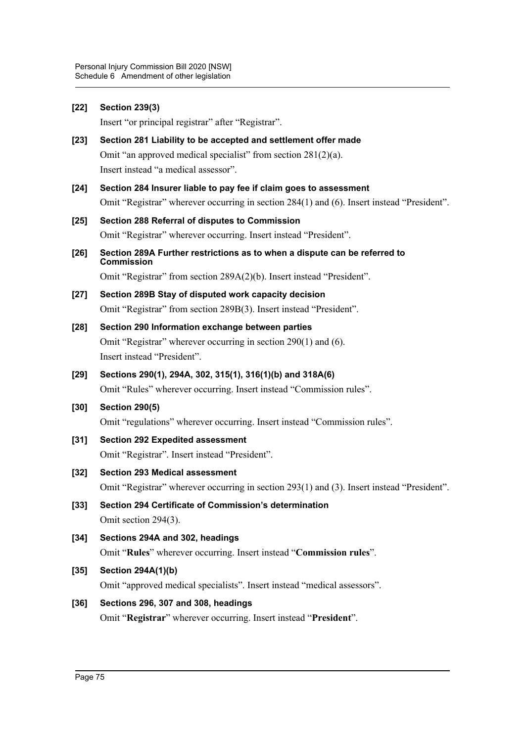| $[22]$ | <b>Section 239(3)</b>                                                                          |
|--------|------------------------------------------------------------------------------------------------|
|        | Insert "or principal registrar" after "Registrar".                                             |
| $[23]$ | Section 281 Liability to be accepted and settlement offer made                                 |
|        | Omit "an approved medical specialist" from section $281(2)(a)$ .                               |
|        | Insert instead "a medical assessor".                                                           |
| $[24]$ | Section 284 Insurer liable to pay fee if claim goes to assessment                              |
|        | Omit "Registrar" wherever occurring in section 284(1) and (6). Insert instead "President".     |
| $[25]$ | Section 288 Referral of disputes to Commission                                                 |
|        | Omit "Registrar" wherever occurring. Insert instead "President".                               |
| $[26]$ | Section 289A Further restrictions as to when a dispute can be referred to<br><b>Commission</b> |
|        | Omit "Registrar" from section 289A(2)(b). Insert instead "President".                          |
| $[27]$ | Section 289B Stay of disputed work capacity decision                                           |
|        | Omit "Registrar" from section 289B(3). Insert instead "President".                             |
| [28]   | Section 290 Information exchange between parties                                               |
|        | Omit "Registrar" wherever occurring in section 290(1) and (6).                                 |
|        | Insert instead "President".                                                                    |
| $[29]$ | Sections 290(1), 294A, 302, 315(1), 316(1)(b) and 318A(6)                                      |
|        | Omit "Rules" wherever occurring. Insert instead "Commission rules".                            |
| $[30]$ | <b>Section 290(5)</b>                                                                          |
|        | Omit "regulations" wherever occurring. Insert instead "Commission rules".                      |
| $[31]$ | <b>Section 292 Expedited assessment</b>                                                        |
|        | Omit "Registrar". Insert instead "President".                                                  |
| $[32]$ | <b>Section 293 Medical assessment</b>                                                          |
|        | Omit "Registrar" wherever occurring in section 293(1) and (3). Insert instead "President".     |
| $[33]$ | Section 294 Certificate of Commission's determination                                          |
|        | Omit section 294(3).                                                                           |
| $[34]$ | Sections 294A and 302, headings                                                                |
|        | Omit "Rules" wherever occurring. Insert instead "Commission rules".                            |
| $[35]$ | <b>Section 294A(1)(b)</b>                                                                      |
|        | Omit "approved medical specialists". Insert instead "medical assessors".                       |
| $[36]$ | Sections 296, 307 and 308, headings                                                            |
|        | Omit "Registrar" wherever occurring. Insert instead "President".                               |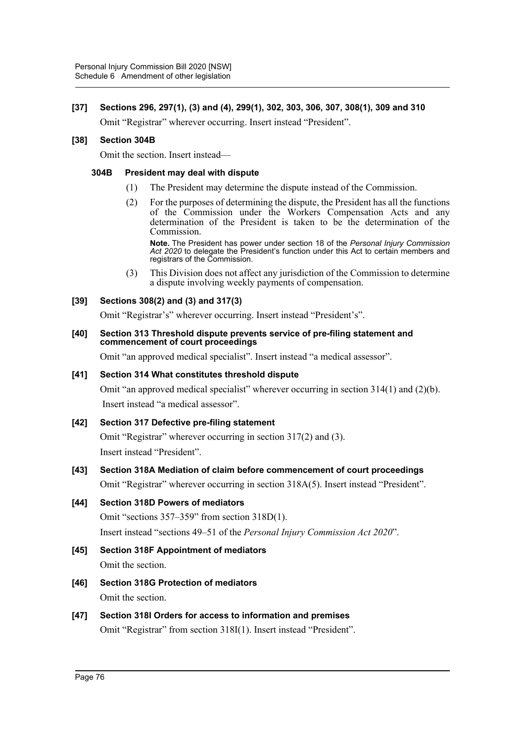# **[37] Sections 296, 297(1), (3) and (4), 299(1), 302, 303, 306, 307, 308(1), 309 and 310**

Omit "Registrar" wherever occurring. Insert instead "President".

### **[38] Section 304B**

Omit the section. Insert instead—

### **304B President may deal with dispute**

- (1) The President may determine the dispute instead of the Commission.
- (2) For the purposes of determining the dispute, the President has all the functions of the Commission under the Workers Compensation Acts and any determination of the President is taken to be the determination of the Commission.

**Note.** The President has power under section 18 of the *Personal Injury Commission Act 2020* to delegate the President's function under this Act to certain members and registrars of the Commission.

(3) This Division does not affect any jurisdiction of the Commission to determine a dispute involving weekly payments of compensation.

### **[39] Sections 308(2) and (3) and 317(3)**

Omit "Registrar's" wherever occurring. Insert instead "President's".

#### **[40] Section 313 Threshold dispute prevents service of pre-filing statement and commencement of court proceedings**

Omit "an approved medical specialist". Insert instead "a medical assessor".

### **[41] Section 314 What constitutes threshold dispute**

Omit "an approved medical specialist" wherever occurring in section 314(1) and (2)(b). Insert instead "a medical assessor".

# **[42] Section 317 Defective pre-filing statement**

Omit "Registrar" wherever occurring in section 317(2) and (3). Insert instead "President".

# **[43] Section 318A Mediation of claim before commencement of court proceedings**

Omit "Registrar" wherever occurring in section 318A(5). Insert instead "President".

# **[44] Section 318D Powers of mediators**

Omit "sections 357–359" from section 318D(1). Insert instead "sections 49–51 of the *Personal Injury Commission Act 2020*".

- **[45] Section 318F Appointment of mediators** Omit the section.
- **[46] Section 318G Protection of mediators** Omit the section.

# **[47] Section 318I Orders for access to information and premises**

Omit "Registrar" from section 318I(1). Insert instead "President".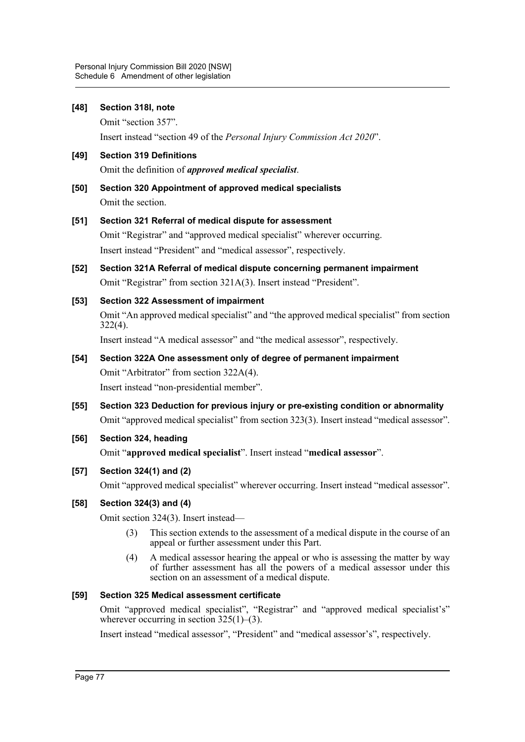| [48]   | Section 318I, note                                                                                     |
|--------|--------------------------------------------------------------------------------------------------------|
|        | Omit "section 357".                                                                                    |
|        | Insert instead "section 49 of the Personal Injury Commission Act 2020".                                |
| $[49]$ | <b>Section 319 Definitions</b>                                                                         |
|        | Omit the definition of <i>approved medical specialist</i> .                                            |
| $[50]$ | Section 320 Appointment of approved medical specialists                                                |
|        | Omit the section.                                                                                      |
| $[51]$ | Section 321 Referral of medical dispute for assessment                                                 |
|        | Omit "Registrar" and "approved medical specialist" wherever occurring.                                 |
|        | Insert instead "President" and "medical assessor", respectively.                                       |
| $[52]$ | Section 321A Referral of medical dispute concerning permanent impairment                               |
|        | Omit "Registrar" from section 321A(3). Insert instead "President".                                     |
| [53]   | <b>Section 322 Assessment of impairment</b>                                                            |
|        | Omit "An approved medical specialist" and "the approved medical specialist" from section<br>$322(4)$ . |
|        | Insert instead "A medical assessor" and "the medical assessor", respectively.                          |
| [54]   | Section 322A One assessment only of degree of permanent impairment                                     |
|        | Omit "Arbitrator" from section 322A(4).                                                                |
|        | Insert instead "non-presidential member".                                                              |
| [55]   | Section 323 Deduction for previous injury or pre-existing condition or abnormality                     |
|        | Omit "approved medical specialist" from section 323(3). Insert instead "medical assessor".             |
| [56]   | Section 324, heading                                                                                   |
|        | Omit "approved medical specialist". Insert instead "medical assessor".                                 |

### **[57] Section 324(1) and (2)**

Omit "approved medical specialist" wherever occurring. Insert instead "medical assessor".

### **[58] Section 324(3) and (4)**

Omit section 324(3). Insert instead—

- (3) This section extends to the assessment of a medical dispute in the course of an appeal or further assessment under this Part.
- (4) A medical assessor hearing the appeal or who is assessing the matter by way of further assessment has all the powers of a medical assessor under this section on an assessment of a medical dispute.

### **[59] Section 325 Medical assessment certificate**

Omit "approved medical specialist", "Registrar" and "approved medical specialist's" wherever occurring in section  $325(1)$ –(3).

Insert instead "medical assessor", "President" and "medical assessor's", respectively.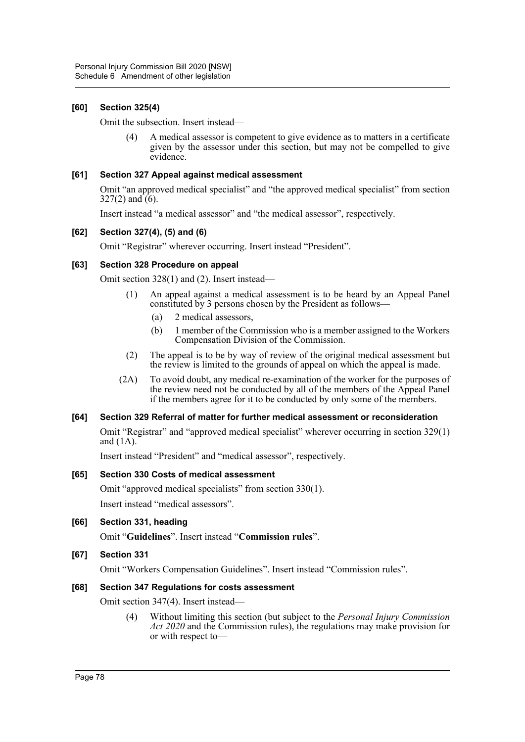# **[60] Section 325(4)**

Omit the subsection. Insert instead—

(4) A medical assessor is competent to give evidence as to matters in a certificate given by the assessor under this section, but may not be compelled to give evidence.

### **[61] Section 327 Appeal against medical assessment**

Omit "an approved medical specialist" and "the approved medical specialist" from section  $327(2)$  and  $(6)$ .

Insert instead "a medical assessor" and "the medical assessor", respectively.

### **[62] Section 327(4), (5) and (6)**

Omit "Registrar" wherever occurring. Insert instead "President".

### **[63] Section 328 Procedure on appeal**

Omit section 328(1) and (2). Insert instead—

- (1) An appeal against a medical assessment is to be heard by an Appeal Panel constituted by 3 persons chosen by the President as follows—
	- (a) 2 medical assessors,
	- (b) 1 member of the Commission who is a member assigned to the Workers Compensation Division of the Commission.
- (2) The appeal is to be by way of review of the original medical assessment but the review is limited to the grounds of appeal on which the appeal is made.
- (2A) To avoid doubt, any medical re-examination of the worker for the purposes of the review need not be conducted by all of the members of the Appeal Panel if the members agree for it to be conducted by only some of the members.

# **[64] Section 329 Referral of matter for further medical assessment or reconsideration**

Omit "Registrar" and "approved medical specialist" wherever occurring in section 329(1) and (1A).

Insert instead "President" and "medical assessor", respectively.

### **[65] Section 330 Costs of medical assessment**

Omit "approved medical specialists" from section 330(1). Insert instead "medical assessors".

**[66] Section 331, heading**

Omit "**Guidelines**". Insert instead "**Commission rules**".

# **[67] Section 331**

Omit "Workers Compensation Guidelines". Insert instead "Commission rules".

### **[68] Section 347 Regulations for costs assessment**

Omit section 347(4). Insert instead—

(4) Without limiting this section (but subject to the *Personal Injury Commission Act 2020* and the Commission rules), the regulations may make provision for or with respect to—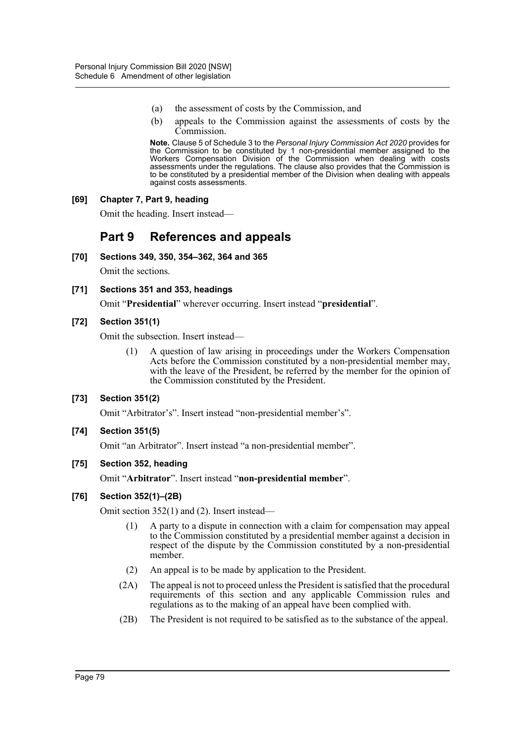- (a) the assessment of costs by the Commission, and
- (b) appeals to the Commission against the assessments of costs by the Commission.

**Note.** Clause 5 of Schedule 3 to the *Personal Injury Commission Act 2020* provides for the Commission to be constituted by 1 non-presidential member assigned to the Workers Compensation Division of the Commission when dealing with costs assessments under the regulations. The clause also provides that the Commission is to be constituted by a presidential member of the Division when dealing with appeals against costs assessments.

### **[69] Chapter 7, Part 9, heading**

Omit the heading. Insert instead—

# **Part 9 References and appeals**

**[70] Sections 349, 350, 354–362, 364 and 365**

Omit the sections.

**[71] Sections 351 and 353, headings**

Omit "**Presidential**" wherever occurring. Insert instead "**presidential**".

### **[72] Section 351(1)**

Omit the subsection. Insert instead—

(1) A question of law arising in proceedings under the Workers Compensation Acts before the Commission constituted by a non-presidential member may, with the leave of the President, be referred by the member for the opinion of the Commission constituted by the President.

# **[73] Section 351(2)**

Omit "Arbitrator's". Insert instead "non-presidential member's".

### **[74] Section 351(5)**

Omit "an Arbitrator". Insert instead "a non-presidential member".

### **[75] Section 352, heading**

Omit "**Arbitrator**". Insert instead "**non-presidential member**".

### **[76] Section 352(1)–(2B)**

Omit section 352(1) and (2). Insert instead—

- (1) A party to a dispute in connection with a claim for compensation may appeal to the Commission constituted by a presidential member against a decision in respect of the dispute by the Commission constituted by a non-presidential member.
- (2) An appeal is to be made by application to the President.
- (2A) The appeal is not to proceed unless the President is satisfied that the procedural requirements of this section and any applicable Commission rules and regulations as to the making of an appeal have been complied with.
- (2B) The President is not required to be satisfied as to the substance of the appeal.